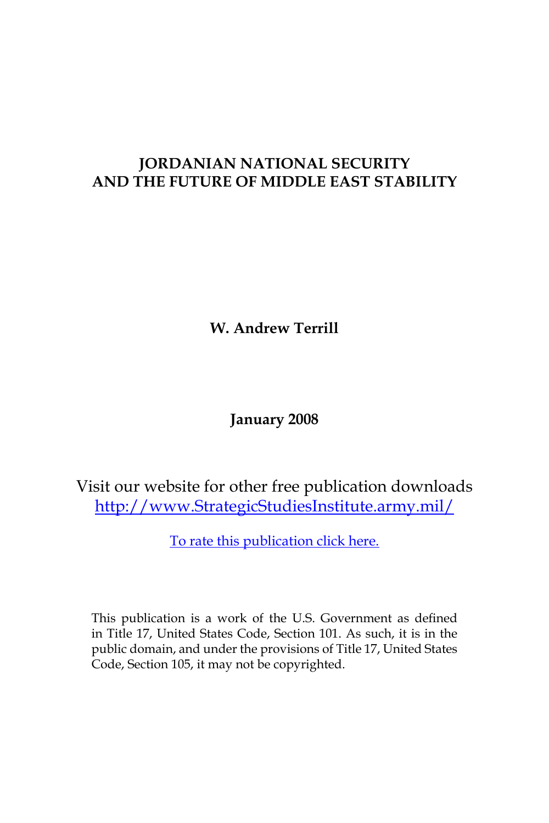# **JORDANIAN NATIONAL SECURITY AND THE FUTURE OF MIDDLE EAST STABILITY**

**W. Andrew Terrill**

**January 2008**

Visit our website for other free publication downloads [http://www.StrategicStudiesInstitute.army.mil/](http://www.StrategicStudiesInstitute.army.mil)

[To rate this publication click here.](http://www.strategicstudiesinstitute.army.mil/pubs/display.cfm?pubID=838)

This publication is a work of the U.S. Government as defined in Title 17, United States Code, Section 101. As such, it is in the public domain, and under the provisions of Title 17, United States Code, Section 105, it may not be copyrighted.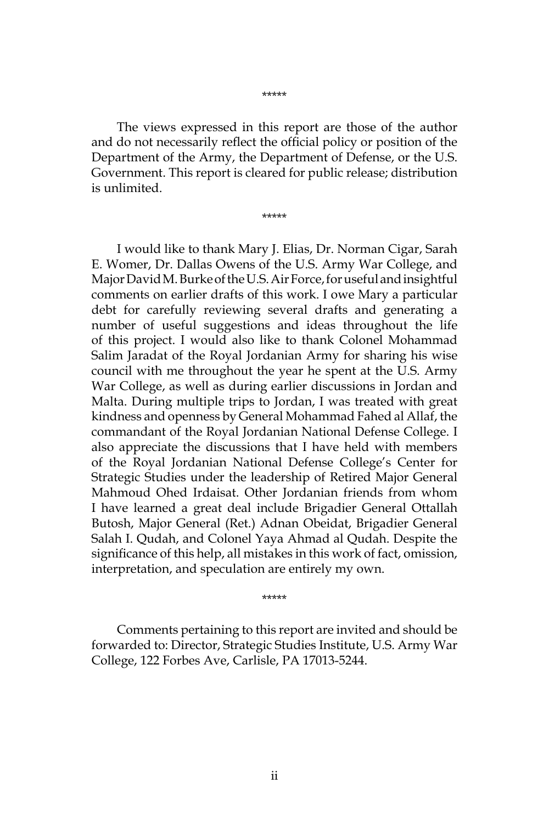\*\*\*\*\*

The views expressed in this report are those of the author and do not necessarily reflect the official policy or position of the Department of the Army, the Department of Defense, or the U.S. Government. This report is cleared for public release; distribution is unlimited.

\*\*\*\*\*

I would like to thank Mary J. Elias, Dr. Norman Cigar, Sarah E. Womer, Dr. Dallas Owens of the U.S. Army War College, and Major David M. Burke of the U.S. Air Force, for useful and insightful comments on earlier drafts of this work. I owe Mary a particular debt for carefully reviewing several drafts and generating a number of useful suggestions and ideas throughout the life of this project. I would also like to thank Colonel Mohammad Salim Jaradat of the Royal Jordanian Army for sharing his wise council with me throughout the year he spent at the U.S. Army War College, as well as during earlier discussions in Jordan and Malta. During multiple trips to Jordan, I was treated with great kindness and openness by General Mohammad Fahed al Allaf, the commandant of the Royal Jordanian National Defense College. I also appreciate the discussions that I have held with members of the Royal Jordanian National Defense College's Center for Strategic Studies under the leadership of Retired Major General Mahmoud Ohed Irdaisat. Other Jordanian friends from whom I have learned a great deal include Brigadier General Ottallah Butosh, Major General (Ret.) Adnan Obeidat, Brigadier General Salah I. Qudah, and Colonel Yaya Ahmad al Qudah. Despite the significance of this help, all mistakes in this work of fact, omission, interpretation, and speculation are entirely my own.

\*\*\*\*\*

Comments pertaining to this report are invited and should be forwarded to: Director, Strategic Studies Institute, U.S. Army War College, 122 Forbes Ave, Carlisle, PA 17013-5244.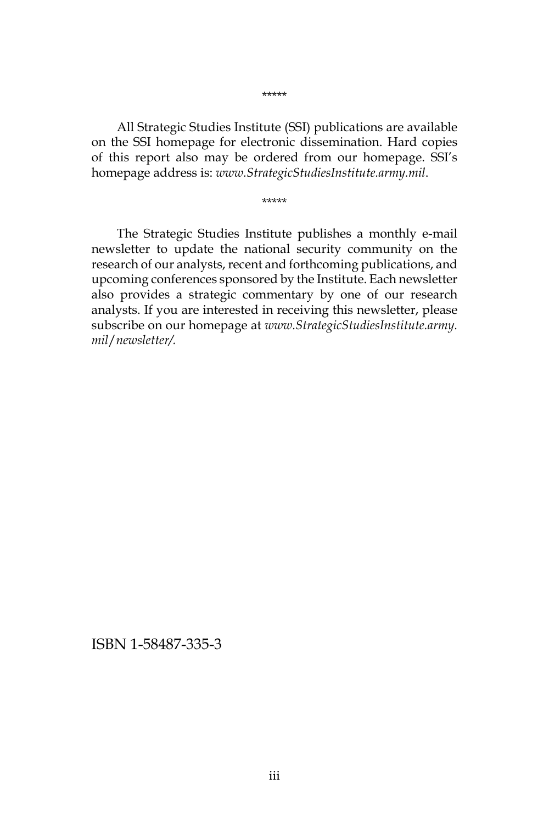All Strategic Studies Institute (SSI) publications are available on the SSI homepage for electronic dissemination. Hard copies of this report also may be ordered from our homepage. SSI's homepage address is: *www.StrategicStudiesInstitute.army.mil*.

\*\*\*\*\*

The Strategic Studies Institute publishes a monthly e-mail newsletter to update the national security community on the research of our analysts, recent and forthcoming publications, and upcoming conferences sponsored by the Institute. Each newsletter also provides a strategic commentary by one of our research analysts. If you are interested in receiving this newsletter, please subscribe on our homepage at *www.StrategicStudiesInstitute.army. mil*/*newsletter/.*

ISBN 1-58487-335-3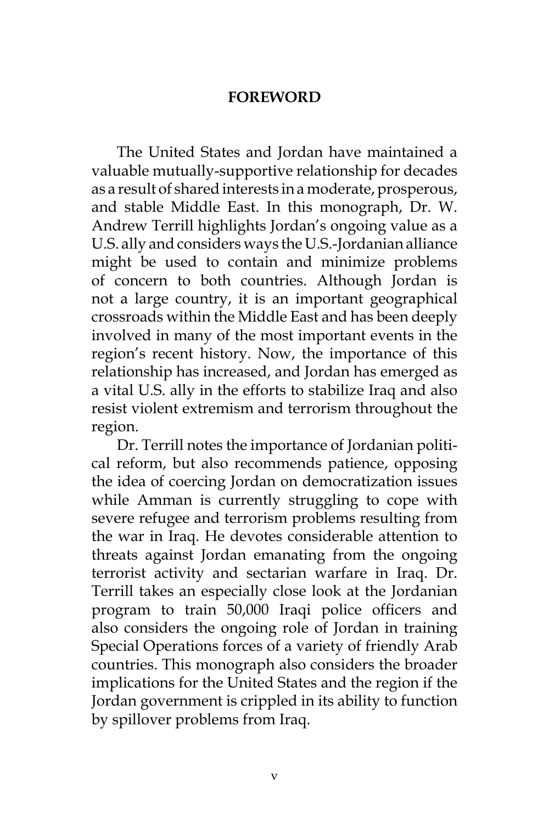### **FOREWORD**

The United States and Jordan have maintained a valuable mutually-supportive relationship for decades as a result of shared interests in a moderate, prosperous, and stable Middle East. In this monograph, Dr. W. Andrew Terrill highlights Jordan's ongoing value as a U.S. ally and considers ways the U.S.-Jordanian alliance might be used to contain and minimize problems of concern to both countries. Although Jordan is not a large country, it is an important geographical crossroads within the Middle East and has been deeply involved in many of the most important events in the region's recent history. Now, the importance of this relationship has increased, and Jordan has emerged as a vital U.S. ally in the efforts to stabilize Iraq and also resist violent extremism and terrorism throughout the region.

Dr. Terrill notes the importance of Jordanian political reform, but also recommends patience, opposing the idea of coercing Jordan on democratization issues while Amman is currently struggling to cope with severe refugee and terrorism problems resulting from the war in Iraq. He devotes considerable attention to threats against Jordan emanating from the ongoing terrorist activity and sectarian warfare in Iraq. Dr. Terrill takes an especially close look at the Jordanian program to train 50,000 Iraqi police officers and also considers the ongoing role of Jordan in training Special Operations forces of a variety of friendly Arab countries. This monograph also considers the broader implications for the United States and the region if the Jordan government is crippled in its ability to function by spillover problems from Iraq.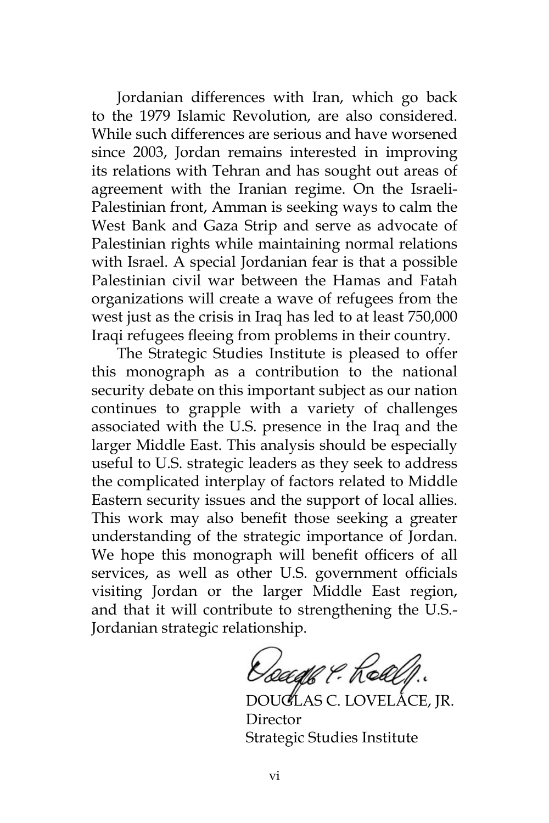Jordanian differences with Iran, which go back to the 1979 Islamic Revolution, are also considered. While such differences are serious and have worsened since 2003, Jordan remains interested in improving its relations with Tehran and has sought out areas of agreement with the Iranian regime. On the Israeli-Palestinian front, Amman is seeking ways to calm the West Bank and Gaza Strip and serve as advocate of Palestinian rights while maintaining normal relations with Israel. A special Jordanian fear is that a possible Palestinian civil war between the Hamas and Fatah organizations will create a wave of refugees from the west just as the crisis in Iraq has led to at least 750,000 Iraqi refugees fleeing from problems in their country.

The Strategic Studies Institute is pleased to offer this monograph as a contribution to the national security debate on this important subject as our nation continues to grapple with a variety of challenges associated with the U.S. presence in the Iraq and the larger Middle East. This analysis should be especially useful to U.S. strategic leaders as they seek to address the complicated interplay of factors related to Middle Eastern security issues and the support of local allies. This work may also benefit those seeking a greater understanding of the strategic importance of Jordan. We hope this monograph will benefit officers of all services, as well as other U.S. government officials visiting Jordan or the larger Middle East region, and that it will contribute to strengthening the U.S.- Jordanian strategic relationship.

Doage P. Realp.

DOUGLAS C. LOVELACE, JR. Director Strategic Studies Institute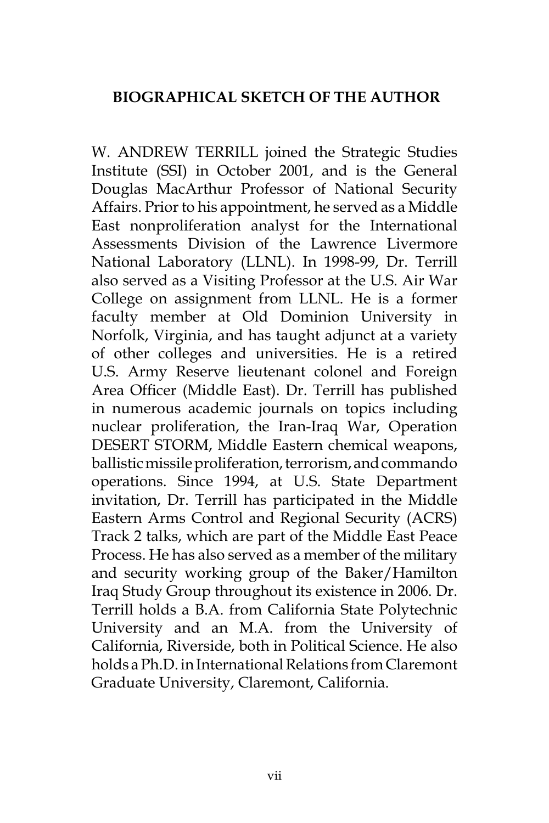## **BIOGRAPHICAL SKETCH OF THE AUTHOR**

W. ANDREW TERRILL joined the Strategic Studies Institute (SSI) in October 2001, and is the General Douglas MacArthur Professor of National Security Affairs. Prior to his appointment, he served as a Middle East nonproliferation analyst for the International Assessments Division of the Lawrence Livermore National Laboratory (LLNL). In 1998-99, Dr. Terrill also served as a Visiting Professor at the U.S. Air War College on assignment from LLNL. He is a former faculty member at Old Dominion University in Norfolk, Virginia, and has taught adjunct at a variety of other colleges and universities. He is a retired U.S. Army Reserve lieutenant colonel and Foreign Area Officer (Middle East). Dr. Terrill has published in numerous academic journals on topics including nuclear proliferation, the Iran-Iraq War, Operation DESERT STORM, Middle Eastern chemical weapons, ballistic missile proliferation, terrorism, and commando operations. Since 1994, at U.S. State Department invitation, Dr. Terrill has participated in the Middle Eastern Arms Control and Regional Security (ACRS) Track 2 talks, which are part of the Middle East Peace Process. He has also served as a member of the military and security working group of the Baker/Hamilton Iraq Study Group throughout its existence in 2006. Dr. Terrill holds a B.A. from California State Polytechnic University and an M.A. from the University of California, Riverside, both in Political Science. He also holds a Ph.D. in International Relations from Claremont Graduate University, Claremont, California.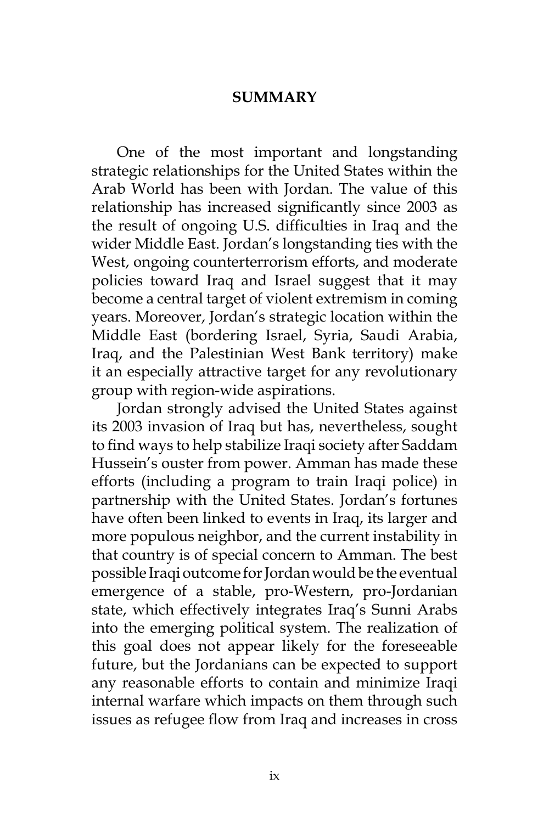#### **SUMMARY**

One of the most important and longstanding strategic relationships for the United States within the Arab World has been with Jordan. The value of this relationship has increased significantly since 2003 as the result of ongoing U.S. difficulties in Iraq and the wider Middle East. Jordan's longstanding ties with the West, ongoing counterterrorism efforts, and moderate policies toward Iraq and Israel suggest that it may become a central target of violent extremism in coming years. Moreover, Jordan's strategic location within the Middle East (bordering Israel, Syria, Saudi Arabia, Iraq, and the Palestinian West Bank territory) make it an especially attractive target for any revolutionary group with region-wide aspirations.

Jordan strongly advised the United States against its 2003 invasion of Iraq but has, nevertheless, sought to find ways to help stabilize Iraqi society after Saddam Hussein's ouster from power. Amman has made these efforts (including a program to train Iraqi police) in partnership with the United States. Jordan's fortunes have often been linked to events in Iraq, its larger and more populous neighbor, and the current instability in that country is of special concern to Amman. The best possible Iraqi outcome for Jordan would be the eventual emergence of a stable, pro-Western, pro-Jordanian state, which effectively integrates Iraq's Sunni Arabs into the emerging political system. The realization of this goal does not appear likely for the foreseeable future, but the Jordanians can be expected to support any reasonable efforts to contain and minimize Iraqi internal warfare which impacts on them through such issues as refugee flow from Iraq and increases in cross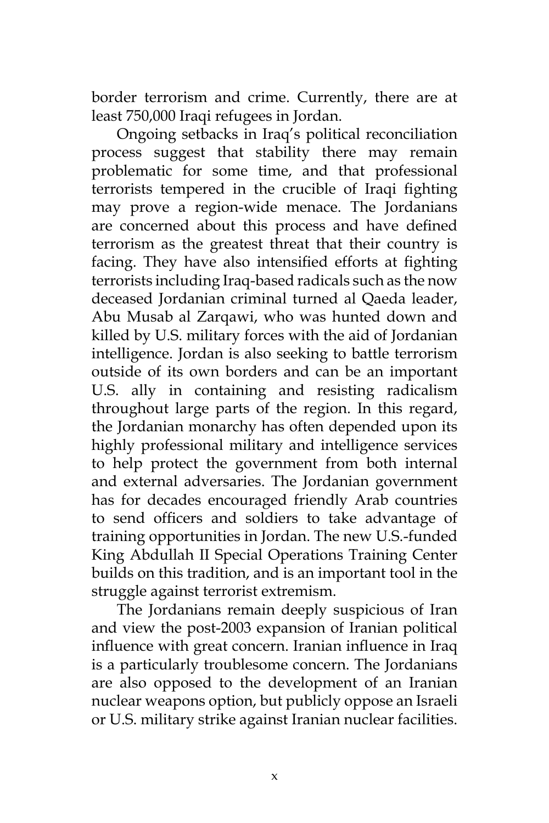border terrorism and crime. Currently, there are at least 750,000 Iraqi refugees in Jordan.

Ongoing setbacks in Iraq's political reconciliation process suggest that stability there may remain problematic for some time, and that professional terrorists tempered in the crucible of Iraqi fighting may prove a region-wide menace. The Jordanians are concerned about this process and have defined terrorism as the greatest threat that their country is facing. They have also intensified efforts at fighting terrorists including Iraq-based radicals such as the now deceased Jordanian criminal turned al Qaeda leader, Abu Musab al Zarqawi, who was hunted down and killed by U.S. military forces with the aid of Jordanian intelligence. Jordan is also seeking to battle terrorism outside of its own borders and can be an important U.S. ally in containing and resisting radicalism throughout large parts of the region. In this regard, the Jordanian monarchy has often depended upon its highly professional military and intelligence services to help protect the government from both internal and external adversaries. The Jordanian government has for decades encouraged friendly Arab countries to send officers and soldiers to take advantage of training opportunities in Jordan. The new U.S.-funded King Abdullah II Special Operations Training Center builds on this tradition, and is an important tool in the struggle against terrorist extremism.

The Jordanians remain deeply suspicious of Iran and view the post-2003 expansion of Iranian political influence with great concern. Iranian influence in Iraq is a particularly troublesome concern. The Jordanians are also opposed to the development of an Iranian nuclear weapons option, but publicly oppose an Israeli or U.S. military strike against Iranian nuclear facilities.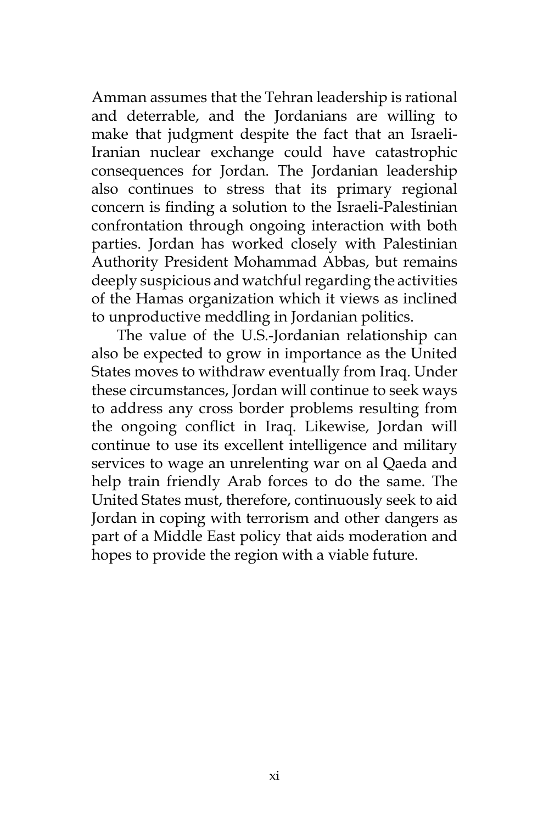Amman assumes that the Tehran leadership is rational and deterrable, and the Jordanians are willing to make that judgment despite the fact that an Israeli-Iranian nuclear exchange could have catastrophic consequences for Jordan. The Jordanian leadership also continues to stress that its primary regional concern is finding a solution to the Israeli-Palestinian confrontation through ongoing interaction with both parties. Jordan has worked closely with Palestinian Authority President Mohammad Abbas, but remains deeply suspicious and watchful regarding the activities of the Hamas organization which it views as inclined to unproductive meddling in Jordanian politics.

The value of the U.S.-Jordanian relationship can also be expected to grow in importance as the United States moves to withdraw eventually from Iraq. Under these circumstances, Jordan will continue to seek ways to address any cross border problems resulting from the ongoing conflict in Iraq. Likewise, Jordan will continue to use its excellent intelligence and military services to wage an unrelenting war on al Qaeda and help train friendly Arab forces to do the same. The United States must, therefore, continuously seek to aid Jordan in coping with terrorism and other dangers as part of a Middle East policy that aids moderation and hopes to provide the region with a viable future.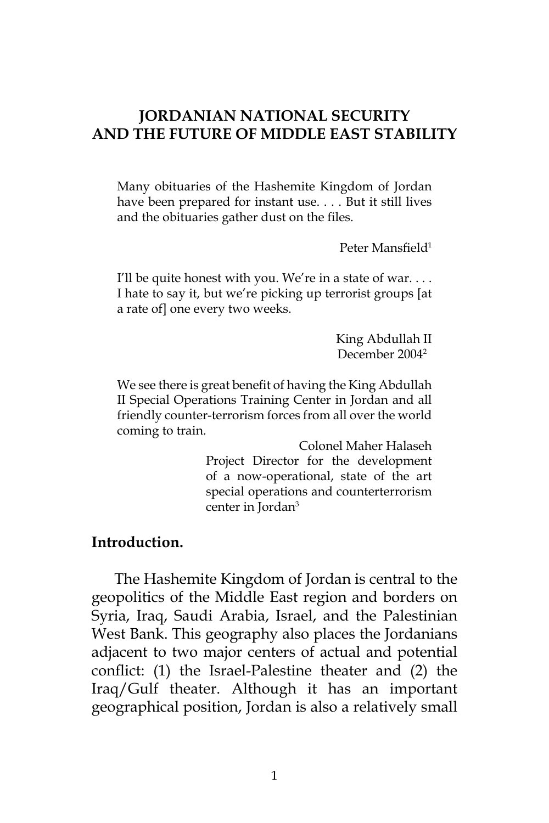### **JORDANIAN NATIONAL SECURITY AND THE FUTURE OF MIDDLE EAST STABILITY**

Many obituaries of the Hashemite Kingdom of Jordan have been prepared for instant use. . . . But it still lives and the obituaries gather dust on the files.

Peter Mansfield<sup>1</sup>

I'll be quite honest with you. We're in a state of war.... I hate to say it, but we're picking up terrorist groups [at a rate of] one every two weeks.

> King Abdullah II December 20042

We see there is great benefit of having the King Abdullah II Special Operations Training Center in Jordan and all friendly counter-terrorism forces from all over the world coming to train.

> Colonel Maher Halaseh Project Director for the development of a now-operational, state of the art special operations and counterterrorism center in Jordan<sup>3</sup>

#### **Introduction.**

The Hashemite Kingdom of Jordan is central to the geopolitics of the Middle East region and borders on Syria, Iraq, Saudi Arabia, Israel, and the Palestinian West Bank. This geography also places the Jordanians adjacent to two major centers of actual and potential conflict: (1) the Israel-Palestine theater and (2) the Iraq/Gulf theater. Although it has an important geographical position, Jordan is also a relatively small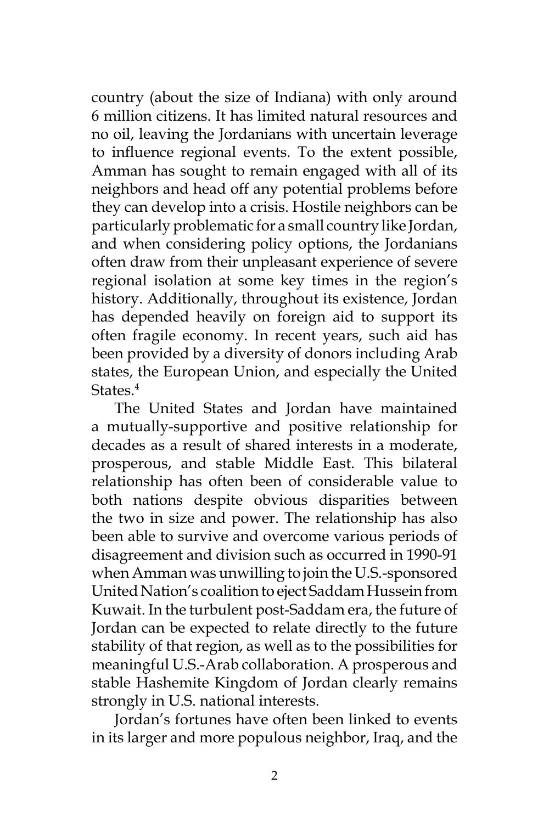country (about the size of Indiana) with only around 6 million citizens. It has limited natural resources and no oil, leaving the Jordanians with uncertain leverage to influence regional events. To the extent possible, Amman has sought to remain engaged with all of its neighbors and head off any potential problems before they can develop into a crisis. Hostile neighbors can be particularly problematic for a small country like Jordan, and when considering policy options, the Jordanians often draw from their unpleasant experience of severe regional isolation at some key times in the region's history. Additionally, throughout its existence, Jordan has depended heavily on foreign aid to support its often fragile economy. In recent years, such aid has been provided by a diversity of donors including Arab states, the European Union, and especially the United States.<sup>4</sup>

The United States and Jordan have maintained a mutually-supportive and positive relationship for decades as a result of shared interests in a moderate, prosperous, and stable Middle East. This bilateral relationship has often been of considerable value to both nations despite obvious disparities between the two in size and power. The relationship has also been able to survive and overcome various periods of disagreement and division such as occurred in 1990-91 when Amman was unwilling to join the U.S.-sponsored United Nation's coalition to eject Saddam Hussein from Kuwait. In the turbulent post-Saddam era, the future of Jordan can be expected to relate directly to the future stability of that region, as well as to the possibilities for meaningful U.S.-Arab collaboration. A prosperous and stable Hashemite Kingdom of Jordan clearly remains strongly in U.S. national interests.

Jordan's fortunes have often been linked to events in its larger and more populous neighbor, Iraq, and the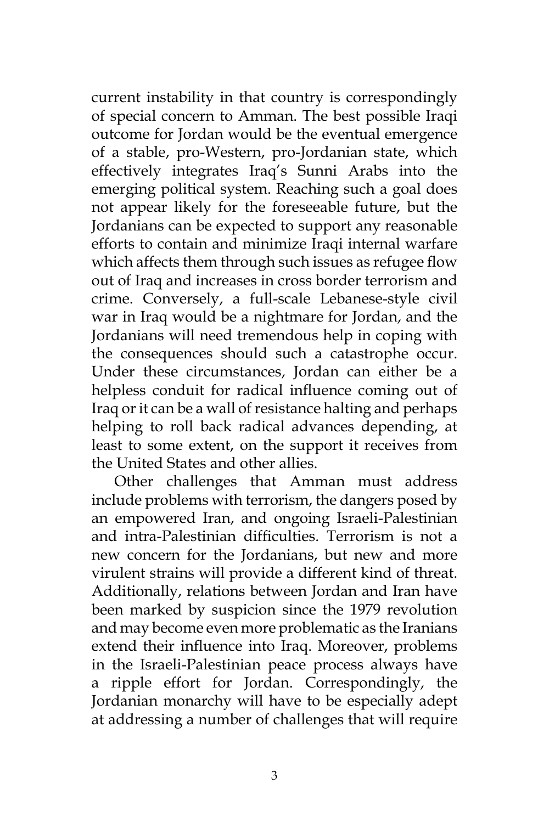current instability in that country is correspondingly of special concern to Amman. The best possible Iraqi outcome for Jordan would be the eventual emergence of a stable, pro-Western, pro-Jordanian state, which effectively integrates Iraq's Sunni Arabs into the emerging political system. Reaching such a goal does not appear likely for the foreseeable future, but the Jordanians can be expected to support any reasonable efforts to contain and minimize Iraqi internal warfare which affects them through such issues as refugee flow out of Iraq and increases in cross border terrorism and crime. Conversely, a full-scale Lebanese-style civil war in Iraq would be a nightmare for Jordan, and the Jordanians will need tremendous help in coping with the consequences should such a catastrophe occur. Under these circumstances, Jordan can either be a helpless conduit for radical influence coming out of Iraq or it can be a wall of resistance halting and perhaps helping to roll back radical advances depending, at least to some extent, on the support it receives from the United States and other allies.

Other challenges that Amman must address include problems with terrorism, the dangers posed by an empowered Iran, and ongoing Israeli-Palestinian and intra-Palestinian difficulties. Terrorism is not a new concern for the Jordanians, but new and more virulent strains will provide a different kind of threat. Additionally, relations between Jordan and Iran have been marked by suspicion since the 1979 revolution and may become even more problematic as the Iranians extend their influence into Iraq. Moreover, problems in the Israeli-Palestinian peace process always have a ripple effort for Jordan. Correspondingly, the Jordanian monarchy will have to be especially adept at addressing a number of challenges that will require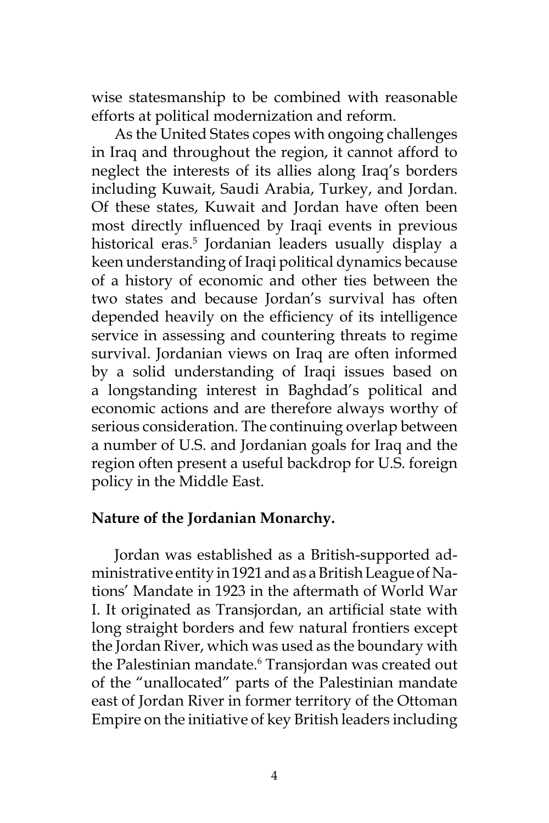wise statesmanship to be combined with reasonable efforts at political modernization and reform.

As the United States copes with ongoing challenges in Iraq and throughout the region, it cannot afford to neglect the interests of its allies along Iraq's borders including Kuwait, Saudi Arabia, Turkey, and Jordan. Of these states, Kuwait and Jordan have often been most directly influenced by Iraqi events in previous historical eras.<sup>5</sup> Jordanian leaders usually display a keen understanding of Iraqi political dynamics because of a history of economic and other ties between the two states and because Jordan's survival has often depended heavily on the efficiency of its intelligence service in assessing and countering threats to regime survival. Jordanian views on Iraq are often informed by a solid understanding of Iraqi issues based on a longstanding interest in Baghdad's political and economic actions and are therefore always worthy of serious consideration. The continuing overlap between a number of U.S. and Jordanian goals for Iraq and the region often present a useful backdrop for U.S. foreign policy in the Middle East.

#### **Nature of the Jordanian Monarchy.**

Jordan was established as a British-supported administrative entity in 1921 and as a British League of Nations' Mandate in 1923 in the aftermath of World War I. It originated as Transjordan, an artificial state with long straight borders and few natural frontiers except the Jordan River, which was used as the boundary with the Palestinian mandate.<sup>6</sup> Transjordan was created out of the "unallocated" parts of the Palestinian mandate east of Jordan River in former territory of the Ottoman Empire on the initiative of key British leaders including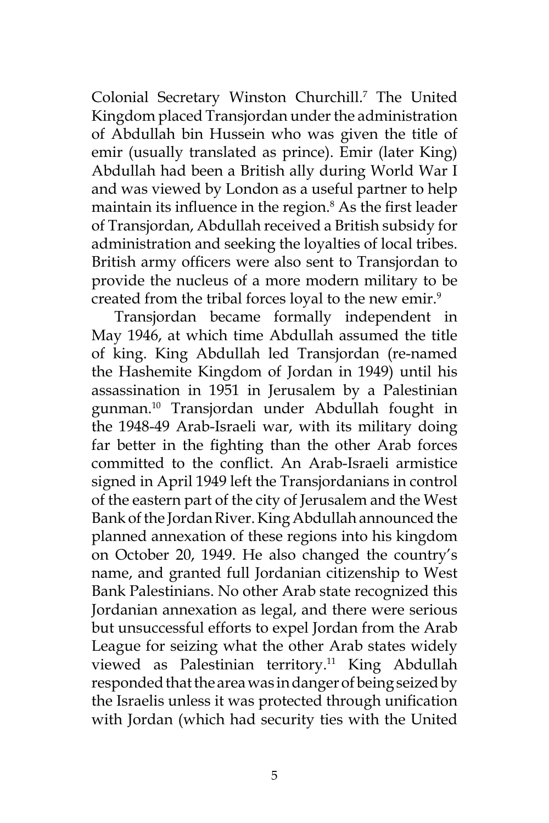Colonial Secretary Winston Churchill.7 The United Kingdom placed Transjordan under the administration of Abdullah bin Hussein who was given the title of emir (usually translated as prince). Emir (later King) Abdullah had been a British ally during World War I and was viewed by London as a useful partner to help maintain its influence in the region.<sup>8</sup> As the first leader of Transjordan, Abdullah received a British subsidy for administration and seeking the loyalties of local tribes. British army officers were also sent to Transjordan to provide the nucleus of a more modern military to be created from the tribal forces loyal to the new emir.<sup>9</sup>

Transjordan became formally independent in May 1946, at which time Abdullah assumed the title of king. King Abdullah led Transjordan (re-named the Hashemite Kingdom of Jordan in 1949) until his assassination in 1951 in Jerusalem by a Palestinian gunman.10 Transjordan under Abdullah fought in the 1948-49 Arab-Israeli war, with its military doing far better in the fighting than the other Arab forces committed to the conflict. An Arab-Israeli armistice signed in April 1949 left the Transjordanians in control of the eastern part of the city of Jerusalem and the West Bank of the Jordan River. King Abdullah announced the planned annexation of these regions into his kingdom on October 20, 1949. He also changed the country's name, and granted full Jordanian citizenship to West Bank Palestinians. No other Arab state recognized this Jordanian annexation as legal, and there were serious but unsuccessful efforts to expel Jordan from the Arab League for seizing what the other Arab states widely viewed as Palestinian territory.11 King Abdullah responded that the area was in danger of being seized by the Israelis unless it was protected through unification with Jordan (which had security ties with the United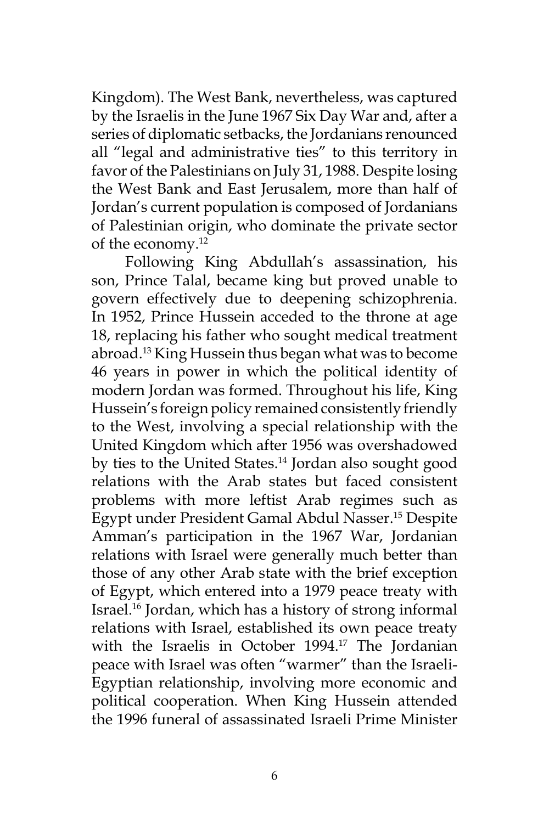Kingdom). The West Bank, nevertheless, was captured by the Israelis in the June 1967 Six Day War and, after a series of diplomatic setbacks, the Jordanians renounced all "legal and administrative ties" to this territory in favor of the Palestinians on July 31, 1988. Despite losing the West Bank and East Jerusalem, more than half of Jordan's current population is composed of Jordanians of Palestinian origin, who dominate the private sector of the economy.12

 Following King Abdullah's assassination, his son, Prince Talal, became king but proved unable to govern effectively due to deepening schizophrenia. In 1952, Prince Hussein acceded to the throne at age 18, replacing his father who sought medical treatment abroad.13 King Hussein thus began what was to become 46 years in power in which the political identity of modern Jordan was formed. Throughout his life, King Hussein's foreign policy remained consistently friendly to the West, involving a special relationship with the United Kingdom which after 1956 was overshadowed by ties to the United States.14 Jordan also sought good relations with the Arab states but faced consistent problems with more leftist Arab regimes such as Egypt under President Gamal Abdul Nasser.15 Despite Amman's participation in the 1967 War, Jordanian relations with Israel were generally much better than those of any other Arab state with the brief exception of Egypt, which entered into a 1979 peace treaty with Israel.16 Jordan, which has a history of strong informal relations with Israel, established its own peace treaty with the Israelis in October 1994.<sup>17</sup> The Jordanian peace with Israel was often "warmer" than the Israeli-Egyptian relationship, involving more economic and political cooperation. When King Hussein attended the 1996 funeral of assassinated Israeli Prime Minister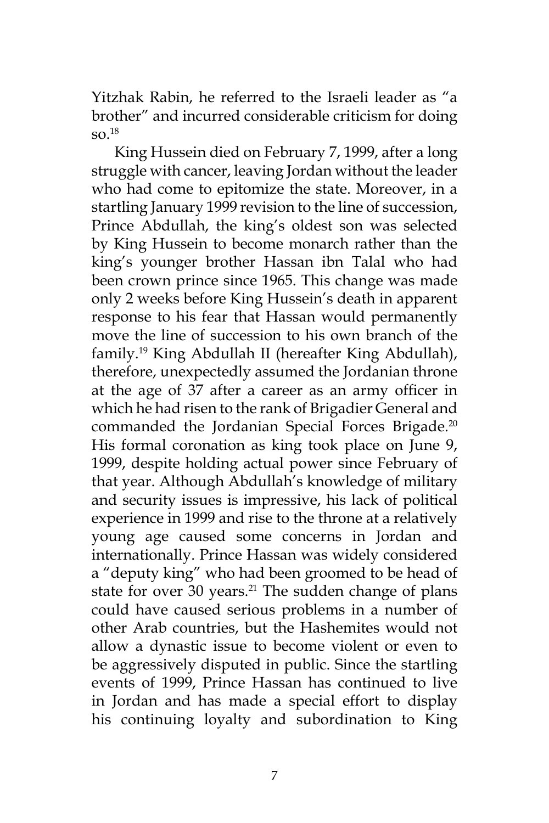Yitzhak Rabin, he referred to the Israeli leader as "a brother" and incurred considerable criticism for doing  $SO<sup>18</sup>$ 

King Hussein died on February 7, 1999, after a long struggle with cancer, leaving Jordan without the leader who had come to epitomize the state. Moreover, in a startling January 1999 revision to the line of succession, Prince Abdullah, the king's oldest son was selected by King Hussein to become monarch rather than the king's younger brother Hassan ibn Talal who had been crown prince since 1965. This change was made only 2 weeks before King Hussein's death in apparent response to his fear that Hassan would permanently move the line of succession to his own branch of the family.19 King Abdullah II (hereafter King Abdullah), therefore, unexpectedly assumed the Jordanian throne at the age of 37 after a career as an army officer in which he had risen to the rank of Brigadier General and commanded the Jordanian Special Forces Brigade.<sup>20</sup> His formal coronation as king took place on June 9, 1999, despite holding actual power since February of that year. Although Abdullah's knowledge of military and security issues is impressive, his lack of political experience in 1999 and rise to the throne at a relatively young age caused some concerns in Jordan and internationally. Prince Hassan was widely considered a "deputy king" who had been groomed to be head of state for over 30 years.<sup>21</sup> The sudden change of plans could have caused serious problems in a number of other Arab countries, but the Hashemites would not allow a dynastic issue to become violent or even to be aggressively disputed in public. Since the startling events of 1999, Prince Hassan has continued to live in Jordan and has made a special effort to display his continuing loyalty and subordination to King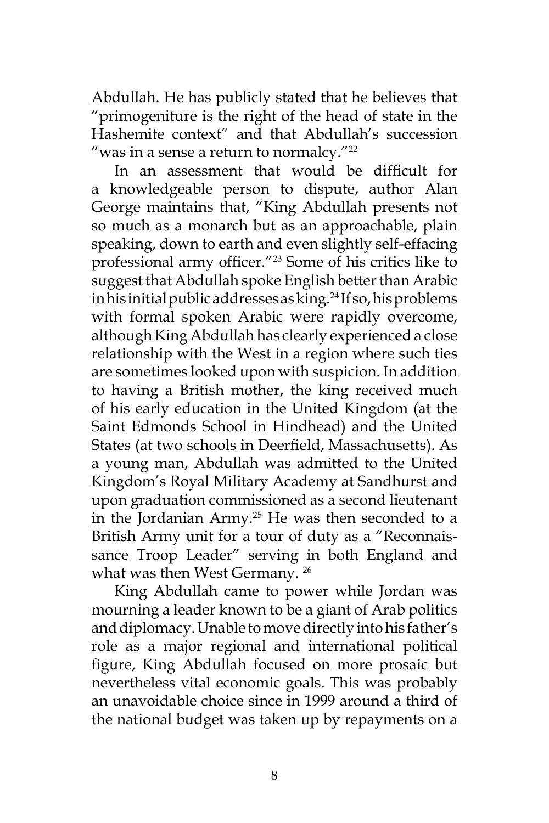Abdullah. He has publicly stated that he believes that "primogeniture is the right of the head of state in the Hashemite context" and that Abdullah's succession "was in a sense a return to normalcy." $22$ 

In an assessment that would be difficult for a knowledgeable person to dispute, author Alan George maintains that, "King Abdullah presents not so much as a monarch but as an approachable, plain speaking, down to earth and even slightly self-effacing professional army officer."23 Some of his critics like to suggest that Abdullah spoke English better than Arabic in his initial public addresses as king.<sup>24</sup> If so, his problems with formal spoken Arabic were rapidly overcome, although King Abdullah has clearly experienced a close relationship with the West in a region where such ties are sometimes looked upon with suspicion. In addition to having a British mother, the king received much of his early education in the United Kingdom (at the Saint Edmonds School in Hindhead) and the United States (at two schools in Deerfield, Massachusetts). As a young man, Abdullah was admitted to the United Kingdom's Royal Military Academy at Sandhurst and upon graduation commissioned as a second lieutenant in the Jordanian Army.<sup>25</sup> He was then seconded to a British Army unit for a tour of duty as a "Reconnaissance Troop Leader" serving in both England and what was then West Germany.<sup>26</sup>

King Abdullah came to power while Jordan was mourning a leader known to be a giant of Arab politics and diplomacy. Unable to move directly into his father's role as a major regional and international political figure, King Abdullah focused on more prosaic but nevertheless vital economic goals. This was probably an unavoidable choice since in 1999 around a third of the national budget was taken up by repayments on a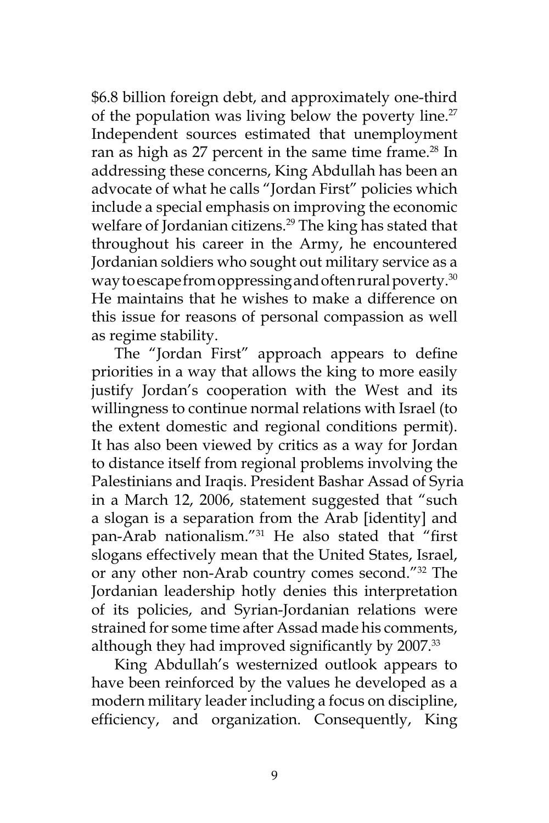\$6.8 billion foreign debt, and approximately one-third of the population was living below the poverty line.<sup>27</sup> Independent sources estimated that unemployment ran as high as 27 percent in the same time frame.<sup>28</sup> In addressing these concerns, King Abdullah has been an advocate of what he calls "Jordan First" policies which include a special emphasis on improving the economic welfare of Jordanian citizens.<sup>29</sup> The king has stated that throughout his career in the Army, he encountered Jordanian soldiers who sought out military service as a way to escape from oppressing and often rural poverty.<sup>30</sup> He maintains that he wishes to make a difference on this issue for reasons of personal compassion as well as regime stability.

The "Jordan First" approach appears to define priorities in a way that allows the king to more easily justify Jordan's cooperation with the West and its willingness to continue normal relations with Israel (to the extent domestic and regional conditions permit). It has also been viewed by critics as a way for Jordan to distance itself from regional problems involving the Palestinians and Iraqis. President Bashar Assad of Syria in a March 12, 2006, statement suggested that "such a slogan is a separation from the Arab [identity] and pan-Arab nationalism."31 He also stated that "first slogans effectively mean that the United States, Israel, or any other non-Arab country comes second."32 The Jordanian leadership hotly denies this interpretation of its policies, and Syrian-Jordanian relations were strained for some time after Assad made his comments, although they had improved significantly by 2007.<sup>33</sup>

King Abdullah's westernized outlook appears to have been reinforced by the values he developed as a modern military leader including a focus on discipline, efficiency, and organization. Consequently, King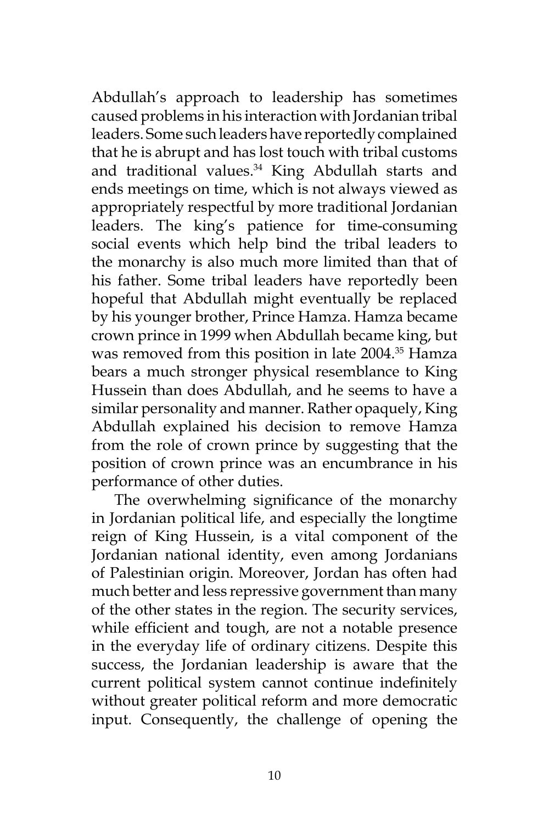Abdullah's approach to leadership has sometimes caused problems in his interaction with Jordanian tribal leaders. Some such leaders have reportedly complained that he is abrupt and has lost touch with tribal customs and traditional values.<sup>34</sup> King Abdullah starts and ends meetings on time, which is not always viewed as appropriately respectful by more traditional Jordanian leaders. The king's patience for time-consuming social events which help bind the tribal leaders to the monarchy is also much more limited than that of his father. Some tribal leaders have reportedly been hopeful that Abdullah might eventually be replaced by his younger brother, Prince Hamza. Hamza became crown prince in 1999 when Abdullah became king, but was removed from this position in late 2004.<sup>35</sup> Hamza bears a much stronger physical resemblance to King Hussein than does Abdullah, and he seems to have a similar personality and manner. Rather opaquely, King Abdullah explained his decision to remove Hamza from the role of crown prince by suggesting that the position of crown prince was an encumbrance in his performance of other duties.

The overwhelming significance of the monarchy in Jordanian political life, and especially the longtime reign of King Hussein, is a vital component of the Jordanian national identity, even among Jordanians of Palestinian origin. Moreover, Jordan has often had much better and less repressive government than many of the other states in the region. The security services, while efficient and tough, are not a notable presence in the everyday life of ordinary citizens. Despite this success, the Jordanian leadership is aware that the current political system cannot continue indefinitely without greater political reform and more democratic input. Consequently, the challenge of opening the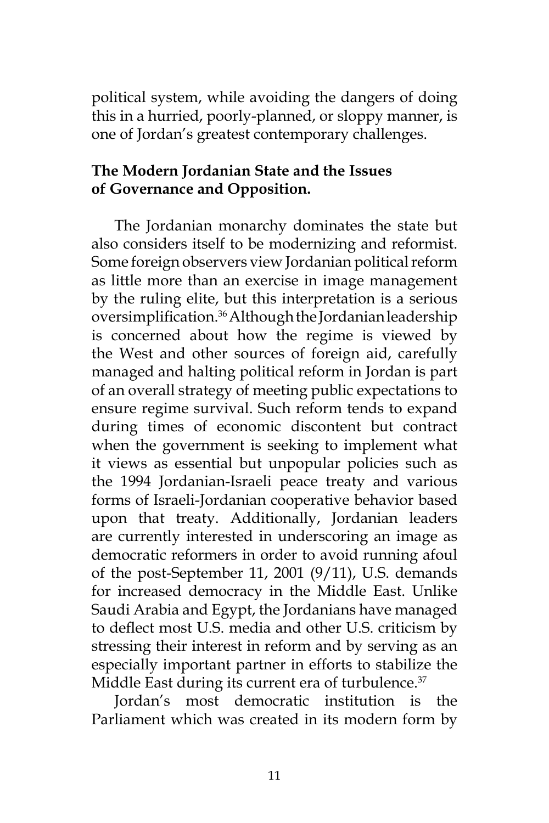political system, while avoiding the dangers of doing this in a hurried, poorly-planned, or sloppy manner, is one of Jordan's greatest contemporary challenges.

# **The Modern Jordanian State and the Issues of Governance and Opposition.**

The Jordanian monarchy dominates the state but also considers itself to be modernizing and reformist. Some foreign observers view Jordanian political reform as little more than an exercise in image management by the ruling elite, but this interpretation is a serious oversimplification.36 Although the Jordanian leadership is concerned about how the regime is viewed by the West and other sources of foreign aid, carefully managed and halting political reform in Jordan is part of an overall strategy of meeting public expectations to ensure regime survival. Such reform tends to expand during times of economic discontent but contract when the government is seeking to implement what it views as essential but unpopular policies such as the 1994 Jordanian-Israeli peace treaty and various forms of Israeli-Jordanian cooperative behavior based upon that treaty. Additionally, Jordanian leaders are currently interested in underscoring an image as democratic reformers in order to avoid running afoul of the post-September 11, 2001 (9/11), U.S. demands for increased democracy in the Middle East. Unlike Saudi Arabia and Egypt, the Jordanians have managed to deflect most U.S. media and other U.S. criticism by stressing their interest in reform and by serving as an especially important partner in efforts to stabilize the Middle East during its current era of turbulence.<sup>37</sup>

Jordan's most democratic institution is the Parliament which was created in its modern form by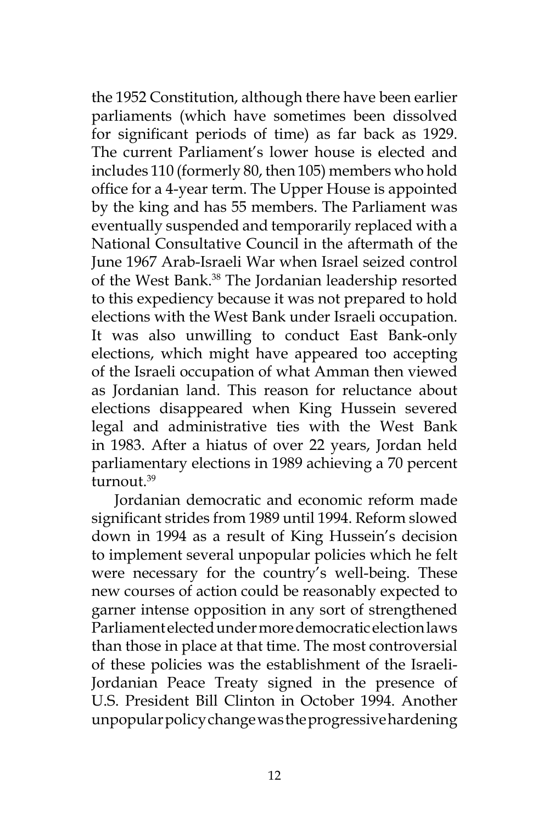the 1952 Constitution, although there have been earlier parliaments (which have sometimes been dissolved for significant periods of time) as far back as 1929. The current Parliament's lower house is elected and includes 110 (formerly 80, then 105) members who hold office for a 4-year term. The Upper House is appointed by the king and has 55 members. The Parliament was eventually suspended and temporarily replaced with a National Consultative Council in the aftermath of the June 1967 Arab-Israeli War when Israel seized control of the West Bank.38 The Jordanian leadership resorted to this expediency because it was not prepared to hold elections with the West Bank under Israeli occupation. It was also unwilling to conduct East Bank-only elections, which might have appeared too accepting of the Israeli occupation of what Amman then viewed as Jordanian land. This reason for reluctance about elections disappeared when King Hussein severed legal and administrative ties with the West Bank in 1983. After a hiatus of over 22 years, Jordan held parliamentary elections in 1989 achieving a 70 percent turnout.39

Jordanian democratic and economic reform made significant strides from 1989 until 1994. Reform slowed down in 1994 as a result of King Hussein's decision to implement several unpopular policies which he felt were necessary for the country's well-being. These new courses of action could be reasonably expected to garner intense opposition in any sort of strengthened Parliament elected under more democratic election laws than those in place at that time. The most controversial of these policies was the establishment of the Israeli-Jordanian Peace Treaty signed in the presence of U.S. President Bill Clinton in October 1994. Another unpopular policy change was the progressive hardening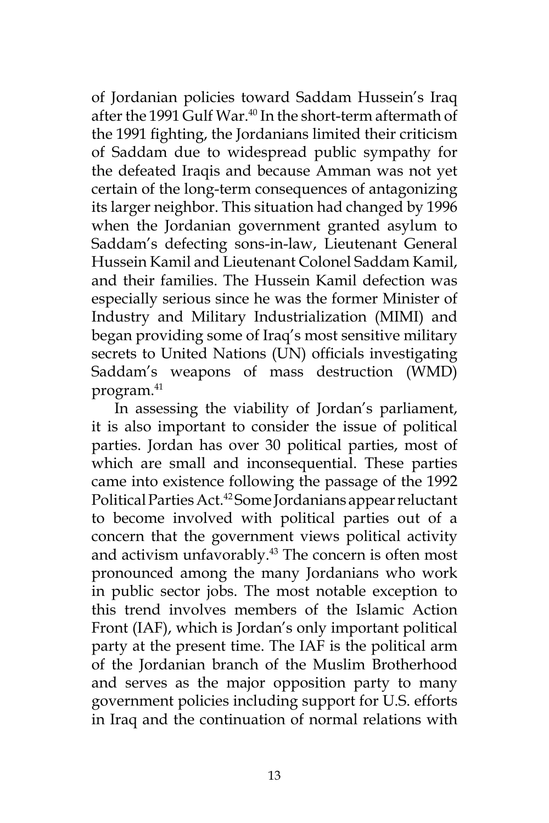of Jordanian policies toward Saddam Hussein's Iraq after the 1991 Gulf War.<sup>40</sup> In the short-term aftermath of the 1991 fighting, the Jordanians limited their criticism of Saddam due to widespread public sympathy for the defeated Iraqis and because Amman was not yet certain of the long-term consequences of antagonizing its larger neighbor. This situation had changed by 1996 when the Jordanian government granted asylum to Saddam's defecting sons-in-law, Lieutenant General Hussein Kamil and Lieutenant Colonel Saddam Kamil, and their families. The Hussein Kamil defection was especially serious since he was the former Minister of Industry and Military Industrialization (MIMI) and began providing some of Iraq's most sensitive military secrets to United Nations (UN) officials investigating Saddam's weapons of mass destruction (WMD) program.41

In assessing the viability of Jordan's parliament, it is also important to consider the issue of political parties. Jordan has over 30 political parties, most of which are small and inconsequential. These parties came into existence following the passage of the 1992 Political Parties Act.<sup>42</sup> Some Jordanians appear reluctant to become involved with political parties out of a concern that the government views political activity and activism unfavorably.<sup>43</sup> The concern is often most pronounced among the many Jordanians who work in public sector jobs. The most notable exception to this trend involves members of the Islamic Action Front (IAF), which is Jordan's only important political party at the present time. The IAF is the political arm of the Jordanian branch of the Muslim Brotherhood and serves as the major opposition party to many government policies including support for U.S. efforts in Iraq and the continuation of normal relations with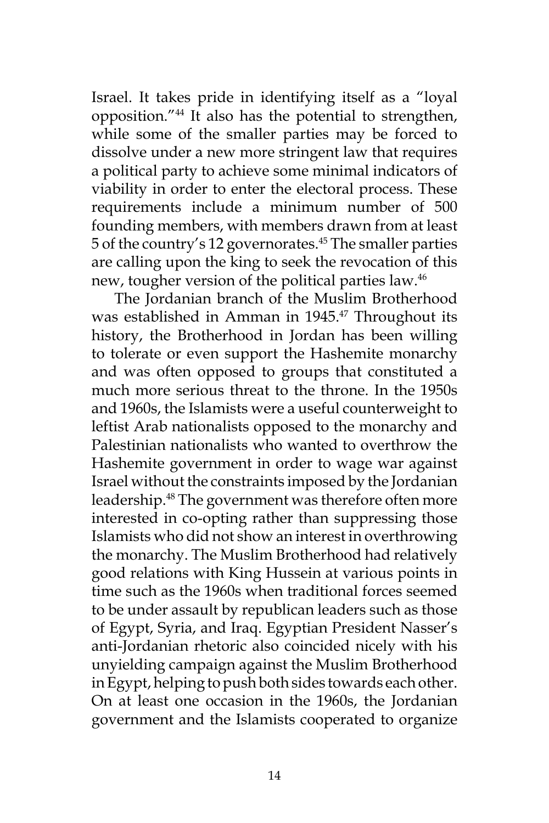Israel. It takes pride in identifying itself as a "loyal opposition."44 It also has the potential to strengthen, while some of the smaller parties may be forced to dissolve under a new more stringent law that requires a political party to achieve some minimal indicators of viability in order to enter the electoral process. These requirements include a minimum number of 500 founding members, with members drawn from at least 5 of the country's 12 governorates.45 The smaller parties are calling upon the king to seek the revocation of this new, tougher version of the political parties law.<sup>46</sup>

The Jordanian branch of the Muslim Brotherhood was established in Amman in 1945.<sup>47</sup> Throughout its history, the Brotherhood in Jordan has been willing to tolerate or even support the Hashemite monarchy and was often opposed to groups that constituted a much more serious threat to the throne. In the 1950s and 1960s, the Islamists were a useful counterweight to leftist Arab nationalists opposed to the monarchy and Palestinian nationalists who wanted to overthrow the Hashemite government in order to wage war against Israel without the constraints imposed by the Jordanian leadership.48 The government was therefore often more interested in co-opting rather than suppressing those Islamists who did not show an interest in overthrowing the monarchy. The Muslim Brotherhood had relatively good relations with King Hussein at various points in time such as the 1960s when traditional forces seemed to be under assault by republican leaders such as those of Egypt, Syria, and Iraq. Egyptian President Nasser's anti-Jordanian rhetoric also coincided nicely with his unyielding campaign against the Muslim Brotherhood in Egypt, helping to push both sides towards each other. On at least one occasion in the 1960s, the Jordanian government and the Islamists cooperated to organize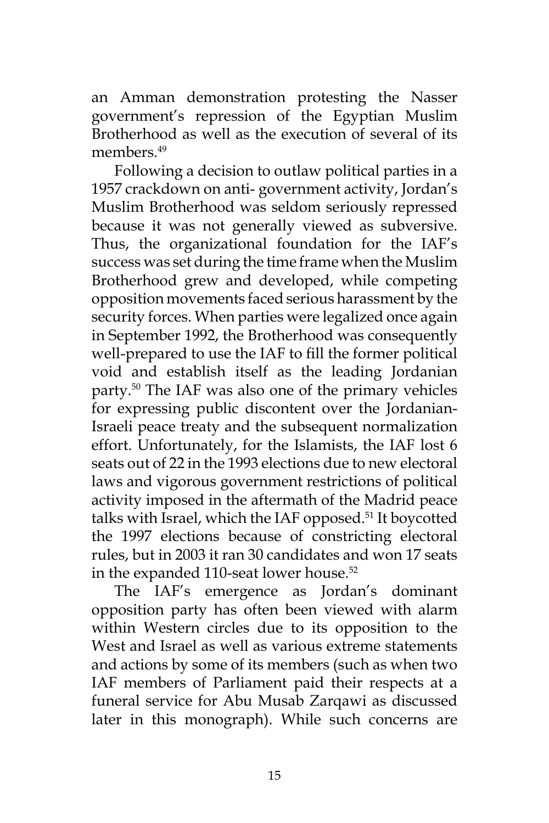an Amman demonstration protesting the Nasser government's repression of the Egyptian Muslim Brotherhood as well as the execution of several of its members.<sup>49</sup>

Following a decision to outlaw political parties in a 1957 crackdown on anti- government activity, Jordan's Muslim Brotherhood was seldom seriously repressed because it was not generally viewed as subversive. Thus, the organizational foundation for the IAF's success was set during the time frame when the Muslim Brotherhood grew and developed, while competing opposition movements faced serious harassment by the security forces. When parties were legalized once again in September 1992, the Brotherhood was consequently well-prepared to use the IAF to fill the former political void and establish itself as the leading Jordanian party.50 The IAF was also one of the primary vehicles for expressing public discontent over the Jordanian-Israeli peace treaty and the subsequent normalization effort. Unfortunately, for the Islamists, the IAF lost 6 seats out of 22 in the 1993 elections due to new electoral laws and vigorous government restrictions of political activity imposed in the aftermath of the Madrid peace talks with Israel, which the IAF opposed.<sup>51</sup> It boycotted the 1997 elections because of constricting electoral rules, but in 2003 it ran 30 candidates and won 17 seats in the expanded 110-seat lower house.<sup>52</sup>

The IAF's emergence as Jordan's dominant opposition party has often been viewed with alarm within Western circles due to its opposition to the West and Israel as well as various extreme statements and actions by some of its members (such as when two IAF members of Parliament paid their respects at a funeral service for Abu Musab Zarqawi as discussed later in this monograph). While such concerns are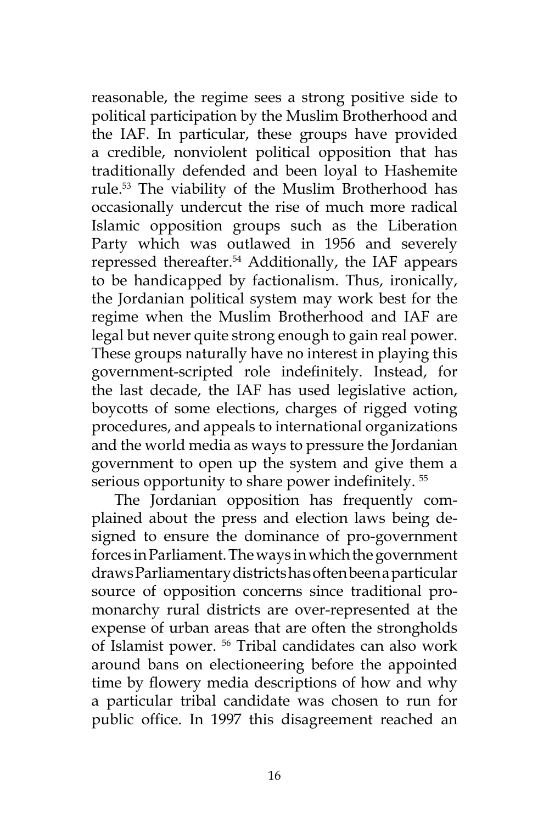reasonable, the regime sees a strong positive side to political participation by the Muslim Brotherhood and the IAF. In particular, these groups have provided a credible, nonviolent political opposition that has traditionally defended and been loyal to Hashemite rule.53 The viability of the Muslim Brotherhood has occasionally undercut the rise of much more radical Islamic opposition groups such as the Liberation Party which was outlawed in 1956 and severely repressed thereafter.54 Additionally, the IAF appears to be handicapped by factionalism. Thus, ironically, the Jordanian political system may work best for the regime when the Muslim Brotherhood and IAF are legal but never quite strong enough to gain real power. These groups naturally have no interest in playing this government-scripted role indefinitely. Instead, for the last decade, the IAF has used legislative action, boycotts of some elections, charges of rigged voting procedures, and appeals to international organizations and the world media as ways to pressure the Jordanian government to open up the system and give them a serious opportunity to share power indefinitely.<sup>55</sup>

The Jordanian opposition has frequently complained about the press and election laws being designed to ensure the dominance of pro-government forces in Parliament. The ways in which the government draws Parliamentary districts has often been a particular source of opposition concerns since traditional promonarchy rural districts are over-represented at the expense of urban areas that are often the strongholds of Islamist power. 56 Tribal candidates can also work around bans on electioneering before the appointed time by flowery media descriptions of how and why a particular tribal candidate was chosen to run for public office. In 1997 this disagreement reached an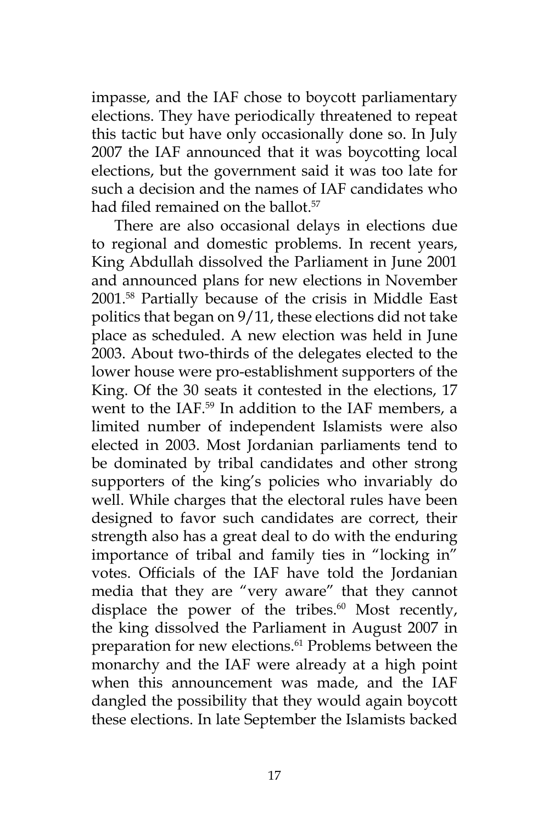impasse, and the IAF chose to boycott parliamentary elections. They have periodically threatened to repeat this tactic but have only occasionally done so. In July 2007 the IAF announced that it was boycotting local elections, but the government said it was too late for such a decision and the names of IAF candidates who had filed remained on the ballot.<sup>57</sup>

There are also occasional delays in elections due to regional and domestic problems. In recent years, King Abdullah dissolved the Parliament in June 2001 and announced plans for new elections in November 2001.58 Partially because of the crisis in Middle East politics that began on 9/11, these elections did not take place as scheduled. A new election was held in June 2003. About two-thirds of the delegates elected to the lower house were pro-establishment supporters of the King. Of the 30 seats it contested in the elections, 17 went to the IAF.59 In addition to the IAF members, a limited number of independent Islamists were also elected in 2003. Most Jordanian parliaments tend to be dominated by tribal candidates and other strong supporters of the king's policies who invariably do well. While charges that the electoral rules have been designed to favor such candidates are correct, their strength also has a great deal to do with the enduring importance of tribal and family ties in "locking in" votes. Officials of the IAF have told the Jordanian media that they are "very aware" that they cannot displace the power of the tribes. $60$  Most recently, the king dissolved the Parliament in August 2007 in preparation for new elections.<sup>61</sup> Problems between the monarchy and the IAF were already at a high point when this announcement was made, and the IAF dangled the possibility that they would again boycott these elections. In late September the Islamists backed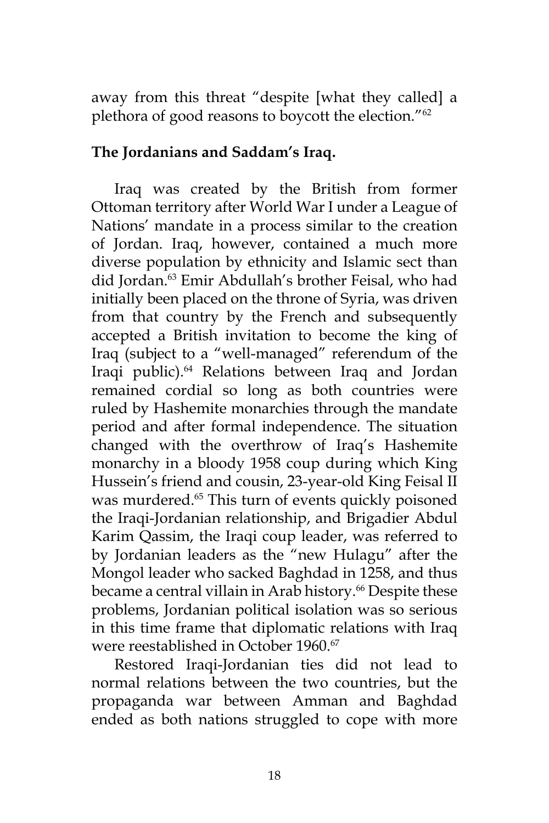away from this threat "despite [what they called] a plethora of good reasons to boycott the election."<sup>62</sup>

## **The Jordanians and Saddam's Iraq.**

Iraq was created by the British from former Ottoman territory after World War I under a League of Nations' mandate in a process similar to the creation of Jordan. Iraq, however, contained a much more diverse population by ethnicity and Islamic sect than did Jordan.63 Emir Abdullah's brother Feisal, who had initially been placed on the throne of Syria, was driven from that country by the French and subsequently accepted a British invitation to become the king of Iraq (subject to a "well-managed" referendum of the Iraqi public).64 Relations between Iraq and Jordan remained cordial so long as both countries were ruled by Hashemite monarchies through the mandate period and after formal independence. The situation changed with the overthrow of Iraq's Hashemite monarchy in a bloody 1958 coup during which King Hussein's friend and cousin, 23-year-old King Feisal II was murdered.<sup>65</sup> This turn of events quickly poisoned the Iraqi-Jordanian relationship, and Brigadier Abdul Karim Qassim, the Iraqi coup leader, was referred to by Jordanian leaders as the "new Hulagu" after the Mongol leader who sacked Baghdad in 1258, and thus became a central villain in Arab history.<sup>66</sup> Despite these problems, Jordanian political isolation was so serious in this time frame that diplomatic relations with Iraq were reestablished in October 1960.<sup>67</sup>

Restored Iraqi-Jordanian ties did not lead to normal relations between the two countries, but the propaganda war between Amman and Baghdad ended as both nations struggled to cope with more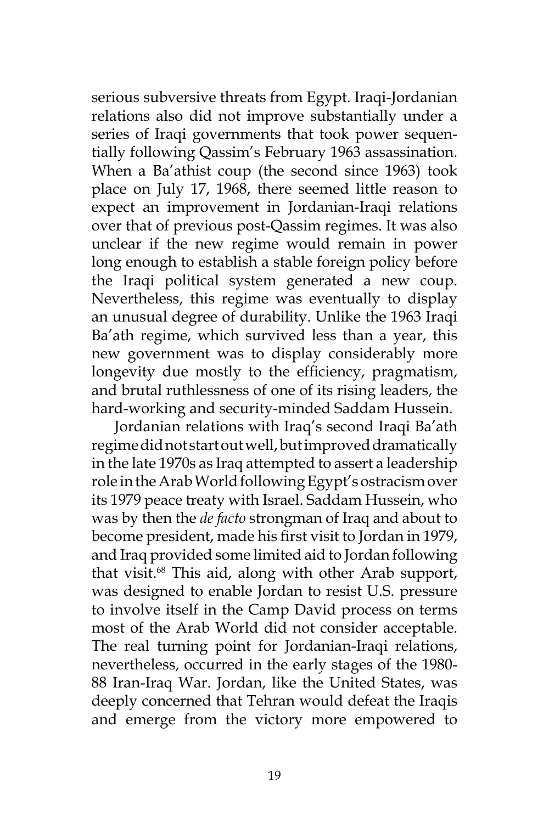serious subversive threats from Egypt. Iraqi-Jordanian relations also did not improve substantially under a series of Iraqi governments that took power sequentially following Qassim's February 1963 assassination. When a Ba'athist coup (the second since 1963) took place on July 17, 1968, there seemed little reason to expect an improvement in Jordanian-Iraqi relations over that of previous post-Qassim regimes. It was also unclear if the new regime would remain in power long enough to establish a stable foreign policy before the Iraqi political system generated a new coup. Nevertheless, this regime was eventually to display an unusual degree of durability. Unlike the 1963 Iraqi Ba'ath regime, which survived less than a year, this new government was to display considerably more longevity due mostly to the efficiency, pragmatism, and brutal ruthlessness of one of its rising leaders, the hard-working and security-minded Saddam Hussein.

Jordanian relations with Iraq's second Iraqi Ba'ath regime did not start out well, but improved dramatically in the late 1970s as Iraq attempted to assert a leadership role in the Arab World following Egypt's ostracism over its 1979 peace treaty with Israel. Saddam Hussein, who was by then the *de facto* strongman of Iraq and about to become president, made his first visit to Jordan in 1979, and Iraq provided some limited aid to Jordan following that visit.68 This aid, along with other Arab support, was designed to enable Jordan to resist U.S. pressure to involve itself in the Camp David process on terms most of the Arab World did not consider acceptable. The real turning point for Jordanian-Iraqi relations, nevertheless, occurred in the early stages of the 1980- 88 Iran-Iraq War. Jordan, like the United States, was deeply concerned that Tehran would defeat the Iraqis and emerge from the victory more empowered to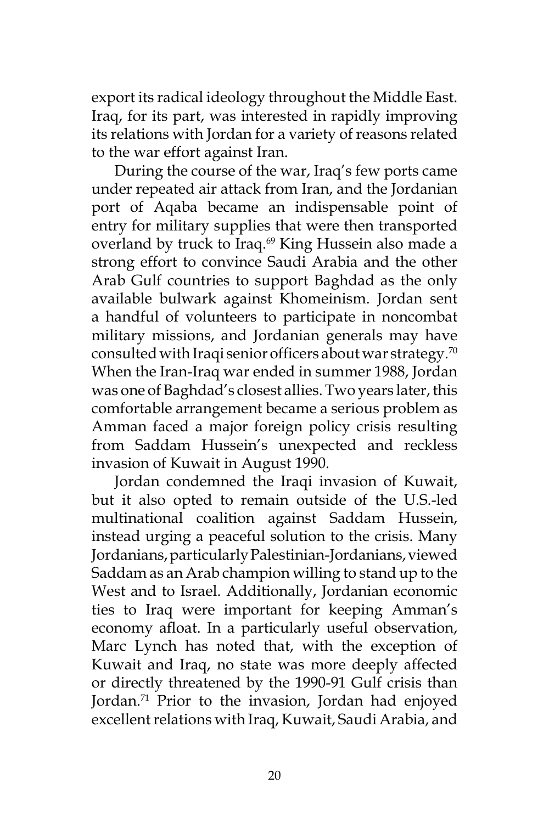export its radical ideology throughout the Middle East. Iraq, for its part, was interested in rapidly improving its relations with Jordan for a variety of reasons related to the war effort against Iran.

During the course of the war, Iraq's few ports came under repeated air attack from Iran, and the Jordanian port of Aqaba became an indispensable point of entry for military supplies that were then transported overland by truck to Iraq.<sup>69</sup> King Hussein also made a strong effort to convince Saudi Arabia and the other Arab Gulf countries to support Baghdad as the only available bulwark against Khomeinism. Jordan sent a handful of volunteers to participate in noncombat military missions, and Jordanian generals may have consulted with Iraqi senior officers about war strategy.<sup>70</sup> When the Iran-Iraq war ended in summer 1988, Jordan was one of Baghdad's closest allies. Two years later, this comfortable arrangement became a serious problem as Amman faced a major foreign policy crisis resulting from Saddam Hussein's unexpected and reckless invasion of Kuwait in August 1990.

Jordan condemned the Iraqi invasion of Kuwait, but it also opted to remain outside of the U.S.-led multinational coalition against Saddam Hussein, instead urging a peaceful solution to the crisis. Many Jordanians, particularly Palestinian-Jordanians, viewed Saddam as an Arab champion willing to stand up to the West and to Israel. Additionally, Jordanian economic ties to Iraq were important for keeping Amman's economy afloat. In a particularly useful observation, Marc Lynch has noted that, with the exception of Kuwait and Iraq, no state was more deeply affected or directly threatened by the 1990-91 Gulf crisis than Jordan.<sup>71</sup> Prior to the invasion, Jordan had enjoyed excellent relations with Iraq, Kuwait, Saudi Arabia, and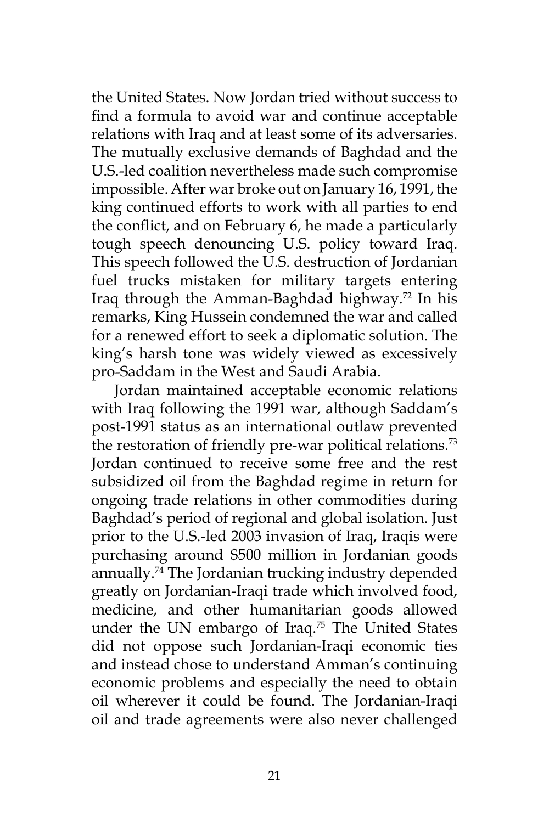the United States. Now Jordan tried without success to find a formula to avoid war and continue acceptable relations with Iraq and at least some of its adversaries. The mutually exclusive demands of Baghdad and the U.S.-led coalition nevertheless made such compromise impossible. After war broke out on January 16, 1991, the king continued efforts to work with all parties to end the conflict, and on February 6, he made a particularly tough speech denouncing U.S. policy toward Iraq. This speech followed the U.S. destruction of Jordanian fuel trucks mistaken for military targets entering Iraq through the Amman-Baghdad highway.72 In his remarks, King Hussein condemned the war and called for a renewed effort to seek a diplomatic solution. The king's harsh tone was widely viewed as excessively pro-Saddam in the West and Saudi Arabia.

Jordan maintained acceptable economic relations with Iraq following the 1991 war, although Saddam's post-1991 status as an international outlaw prevented the restoration of friendly pre-war political relations.<sup>73</sup> Jordan continued to receive some free and the rest subsidized oil from the Baghdad regime in return for ongoing trade relations in other commodities during Baghdad's period of regional and global isolation. Just prior to the U.S.-led 2003 invasion of Iraq, Iraqis were purchasing around \$500 million in Jordanian goods annually.74 The Jordanian trucking industry depended greatly on Jordanian-Iraqi trade which involved food, medicine, and other humanitarian goods allowed under the UN embargo of Iraq.<sup>75</sup> The United States did not oppose such Jordanian-Iraqi economic ties and instead chose to understand Amman's continuing economic problems and especially the need to obtain oil wherever it could be found. The Jordanian-Iraqi oil and trade agreements were also never challenged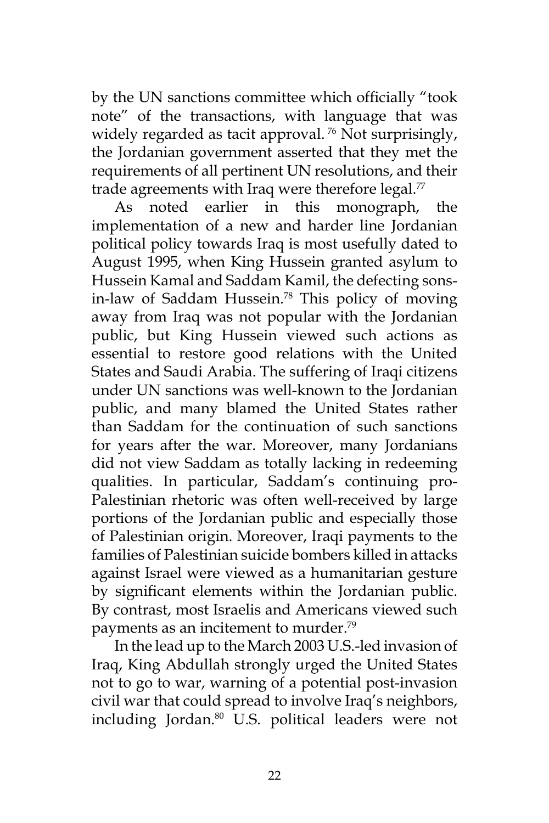by the UN sanctions committee which officially "took note" of the transactions, with language that was widely regarded as tacit approval.<sup>76</sup> Not surprisingly, the Jordanian government asserted that they met the requirements of all pertinent UN resolutions, and their trade agreements with Iraq were therefore legal. $77$ 

As noted earlier in this monograph, the implementation of a new and harder line Jordanian political policy towards Iraq is most usefully dated to August 1995, when King Hussein granted asylum to Hussein Kamal and Saddam Kamil, the defecting sonsin-law of Saddam Hussein.<sup>78</sup> This policy of moving away from Iraq was not popular with the Jordanian public, but King Hussein viewed such actions as essential to restore good relations with the United States and Saudi Arabia. The suffering of Iraqi citizens under UN sanctions was well-known to the Jordanian public, and many blamed the United States rather than Saddam for the continuation of such sanctions for years after the war. Moreover, many Jordanians did not view Saddam as totally lacking in redeeming qualities. In particular, Saddam's continuing pro-Palestinian rhetoric was often well-received by large portions of the Jordanian public and especially those of Palestinian origin. Moreover, Iraqi payments to the families of Palestinian suicide bombers killed in attacks against Israel were viewed as a humanitarian gesture by significant elements within the Jordanian public. By contrast, most Israelis and Americans viewed such payments as an incitement to murder.79

In the lead up to the March 2003 U.S.-led invasion of Iraq, King Abdullah strongly urged the United States not to go to war, warning of a potential post-invasion civil war that could spread to involve Iraq's neighbors, including Jordan.<sup>80</sup> U.S. political leaders were not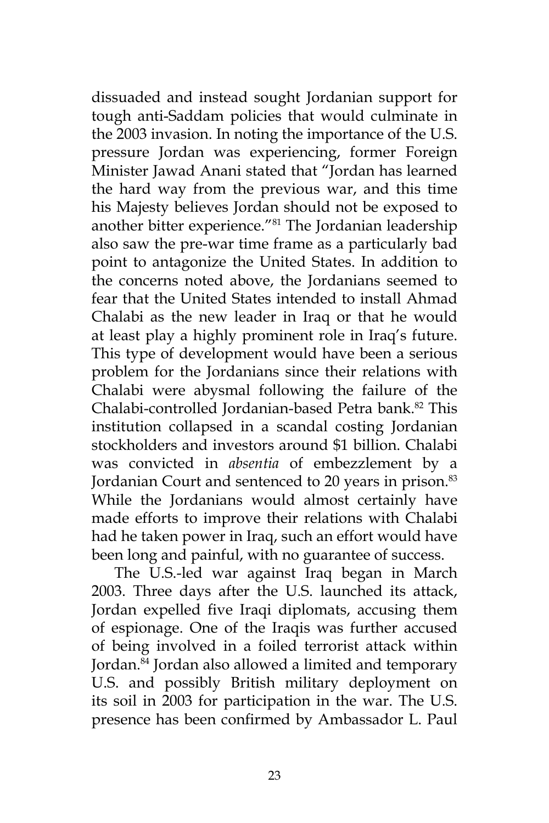dissuaded and instead sought Jordanian support for tough anti-Saddam policies that would culminate in the 2003 invasion. In noting the importance of the U.S. pressure Jordan was experiencing, former Foreign Minister Jawad Anani stated that "Jordan has learned the hard way from the previous war, and this time his Majesty believes Jordan should not be exposed to another bitter experience."81 The Jordanian leadership also saw the pre-war time frame as a particularly bad point to antagonize the United States. In addition to the concerns noted above, the Jordanians seemed to fear that the United States intended to install Ahmad Chalabi as the new leader in Iraq or that he would at least play a highly prominent role in Iraq's future. This type of development would have been a serious problem for the Jordanians since their relations with Chalabi were abysmal following the failure of the Chalabi-controlled Jordanian-based Petra bank.<sup>82</sup> This institution collapsed in a scandal costing Jordanian stockholders and investors around \$1 billion. Chalabi was convicted in *absentia* of embezzlement by a Jordanian Court and sentenced to 20 years in prison.<sup>83</sup> While the Jordanians would almost certainly have made efforts to improve their relations with Chalabi had he taken power in Iraq, such an effort would have been long and painful, with no guarantee of success.

The U.S.-led war against Iraq began in March 2003. Three days after the U.S. launched its attack, Jordan expelled five Iraqi diplomats, accusing them of espionage. One of the Iraqis was further accused of being involved in a foiled terrorist attack within Jordan.84 Jordan also allowed a limited and temporary U.S. and possibly British military deployment on its soil in 2003 for participation in the war. The U.S. presence has been confirmed by Ambassador L. Paul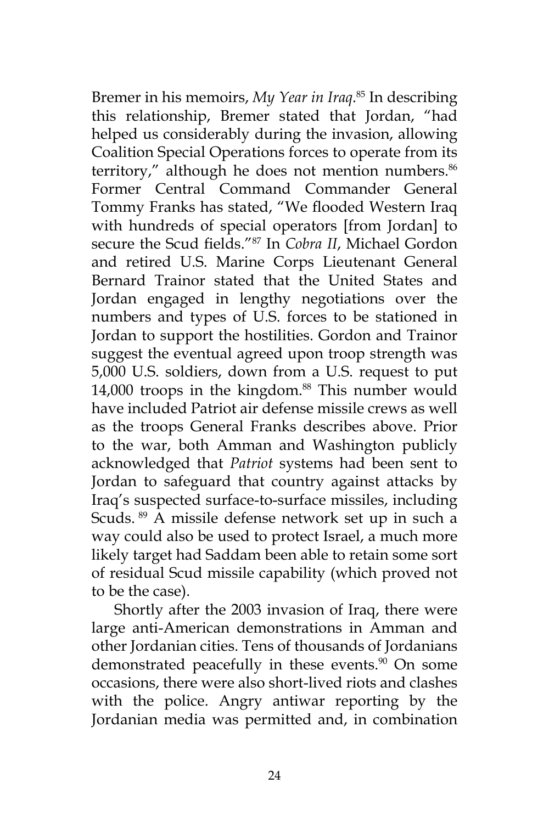Bremer in his memoirs, *My Year in Iraq*. 85 In describing this relationship, Bremer stated that Jordan, "had helped us considerably during the invasion, allowing Coalition Special Operations forces to operate from its territory," although he does not mention numbers.<sup>86</sup> Former Central Command Commander General Tommy Franks has stated, "We flooded Western Iraq with hundreds of special operators [from Jordan] to secure the Scud fields."87 In *Cobra II*, Michael Gordon and retired U.S. Marine Corps Lieutenant General Bernard Trainor stated that the United States and Jordan engaged in lengthy negotiations over the numbers and types of U.S. forces to be stationed in Jordan to support the hostilities. Gordon and Trainor suggest the eventual agreed upon troop strength was 5,000 U.S. soldiers, down from a U.S. request to put 14,000 troops in the kingdom.<sup>88</sup> This number would have included Patriot air defense missile crews as well as the troops General Franks describes above. Prior to the war, both Amman and Washington publicly acknowledged that *Patriot* systems had been sent to Jordan to safeguard that country against attacks by Iraq's suspected surface-to-surface missiles, including Scuds. 89 A missile defense network set up in such a way could also be used to protect Israel, a much more likely target had Saddam been able to retain some sort of residual Scud missile capability (which proved not to be the case).

Shortly after the 2003 invasion of Iraq, there were large anti-American demonstrations in Amman and other Jordanian cities. Tens of thousands of Jordanians demonstrated peacefully in these events.<sup>90</sup> On some occasions, there were also short-lived riots and clashes with the police. Angry antiwar reporting by the Jordanian media was permitted and, in combination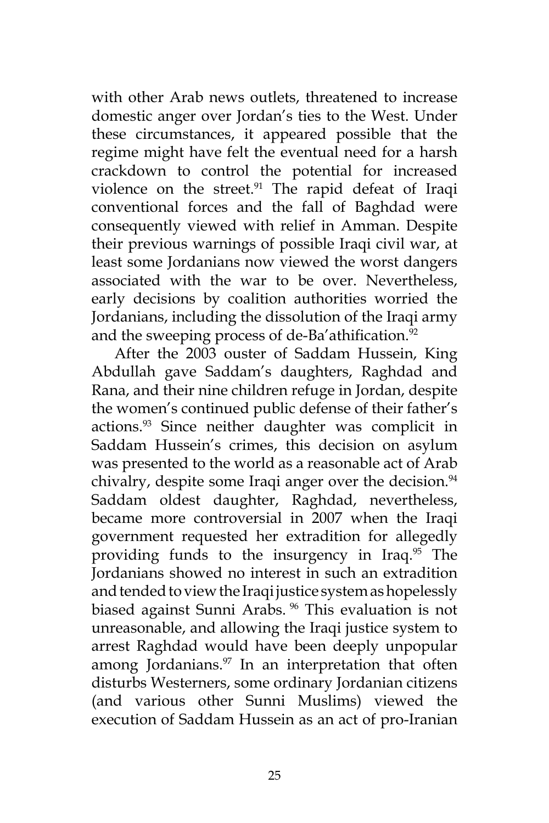with other Arab news outlets, threatened to increase domestic anger over Jordan's ties to the West. Under these circumstances, it appeared possible that the regime might have felt the eventual need for a harsh crackdown to control the potential for increased violence on the street.<sup>91</sup> The rapid defeat of Iraqi conventional forces and the fall of Baghdad were consequently viewed with relief in Amman. Despite their previous warnings of possible Iraqi civil war, at least some Jordanians now viewed the worst dangers associated with the war to be over. Nevertheless, early decisions by coalition authorities worried the Jordanians, including the dissolution of the Iraqi army and the sweeping process of de-Ba'athification. $92$ 

After the 2003 ouster of Saddam Hussein, King Abdullah gave Saddam's daughters, Raghdad and Rana, and their nine children refuge in Jordan, despite the women's continued public defense of their father's actions.93 Since neither daughter was complicit in Saddam Hussein's crimes, this decision on asylum was presented to the world as a reasonable act of Arab chivalry, despite some Iraqi anger over the decision.<sup>94</sup> Saddam oldest daughter, Raghdad, nevertheless, became more controversial in 2007 when the Iraqi government requested her extradition for allegedly providing funds to the insurgency in Iraq.95 The Jordanians showed no interest in such an extradition and tended to view the Iraqi justice system as hopelessly biased against Sunni Arabs. 96 This evaluation is not unreasonable, and allowing the Iraqi justice system to arrest Raghdad would have been deeply unpopular among Jordanians. $97$  In an interpretation that often disturbs Westerners, some ordinary Jordanian citizens (and various other Sunni Muslims) viewed the execution of Saddam Hussein as an act of pro-Iranian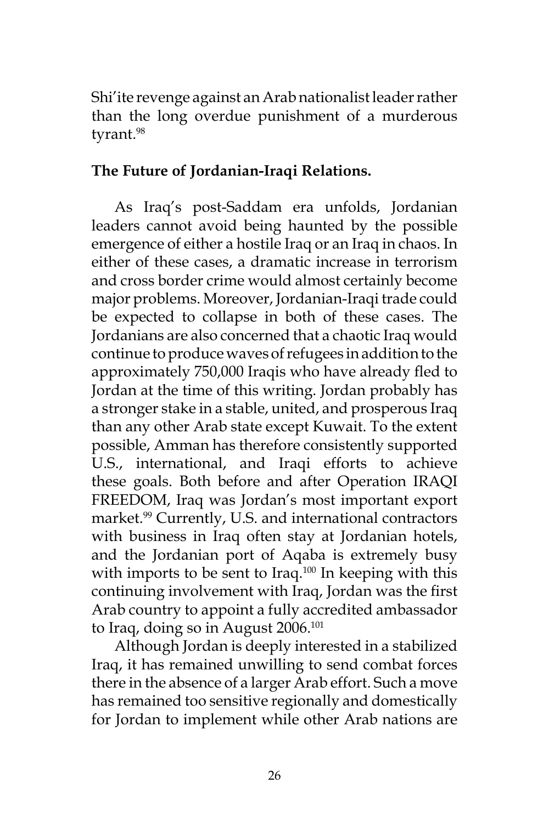Shi'ite revenge against an Arab nationalist leader rather than the long overdue punishment of a murderous tyrant.<sup>98</sup>

# **The Future of Jordanian-Iraqi Relations.**

As Iraq's post-Saddam era unfolds, Jordanian leaders cannot avoid being haunted by the possible emergence of either a hostile Iraq or an Iraq in chaos. In either of these cases, a dramatic increase in terrorism and cross border crime would almost certainly become major problems. Moreover, Jordanian-Iraqi trade could be expected to collapse in both of these cases. The Jordanians are also concerned that a chaotic Iraq would continue to produce waves of refugees in addition to the approximately 750,000 Iraqis who have already fled to Jordan at the time of this writing. Jordan probably has a stronger stake in a stable, united, and prosperous Iraq than any other Arab state except Kuwait. To the extent possible, Amman has therefore consistently supported U.S., international, and Iraqi efforts to achieve these goals. Both before and after Operation IRAQI FREEDOM, Iraq was Jordan's most important export market.<sup>99</sup> Currently, U.S. and international contractors with business in Iraq often stay at Jordanian hotels, and the Jordanian port of Aqaba is extremely busy with imports to be sent to Iraq. $100$  In keeping with this continuing involvement with Iraq, Jordan was the first Arab country to appoint a fully accredited ambassador to Iraq, doing so in August  $2006$ <sup>101</sup>

Although Jordan is deeply interested in a stabilized Iraq, it has remained unwilling to send combat forces there in the absence of a larger Arab effort. Such a move has remained too sensitive regionally and domestically for Jordan to implement while other Arab nations are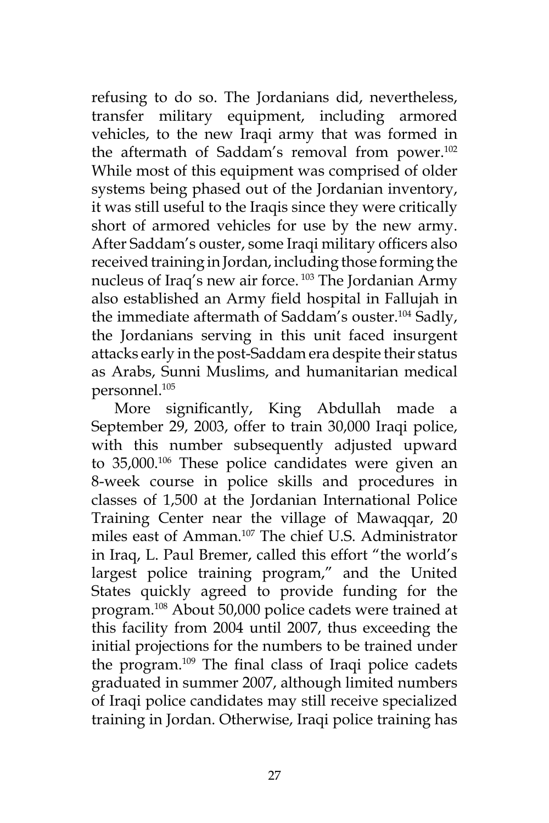refusing to do so. The Jordanians did, nevertheless, transfer military equipment, including armored vehicles, to the new Iraqi army that was formed in the aftermath of Saddam's removal from power.<sup>102</sup> While most of this equipment was comprised of older systems being phased out of the Jordanian inventory, it was still useful to the Iraqis since they were critically short of armored vehicles for use by the new army. After Saddam's ouster, some Iraqi military officers also received training in Jordan, including those forming the nucleus of Iraq's new air force. 103 The Jordanian Army also established an Army field hospital in Fallujah in the immediate aftermath of Saddam's ouster.104 Sadly, the Jordanians serving in this unit faced insurgent attacks early in the post-Saddam era despite their status as Arabs, Sunni Muslims, and humanitarian medical personnel.105

More significantly, King Abdullah made a September 29, 2003, offer to train 30,000 Iraqi police, with this number subsequently adjusted upward to 35,000.106 These police candidates were given an 8-week course in police skills and procedures in classes of 1,500 at the Jordanian International Police Training Center near the village of Mawaqqar, 20 miles east of Amman.107 The chief U.S. Administrator in Iraq, L. Paul Bremer, called this effort "the world's largest police training program," and the United States quickly agreed to provide funding for the program.108 About 50,000 police cadets were trained at this facility from 2004 until 2007, thus exceeding the initial projections for the numbers to be trained under the program.109 The final class of Iraqi police cadets graduated in summer 2007, although limited numbers of Iraqi police candidates may still receive specialized training in Jordan. Otherwise, Iraqi police training has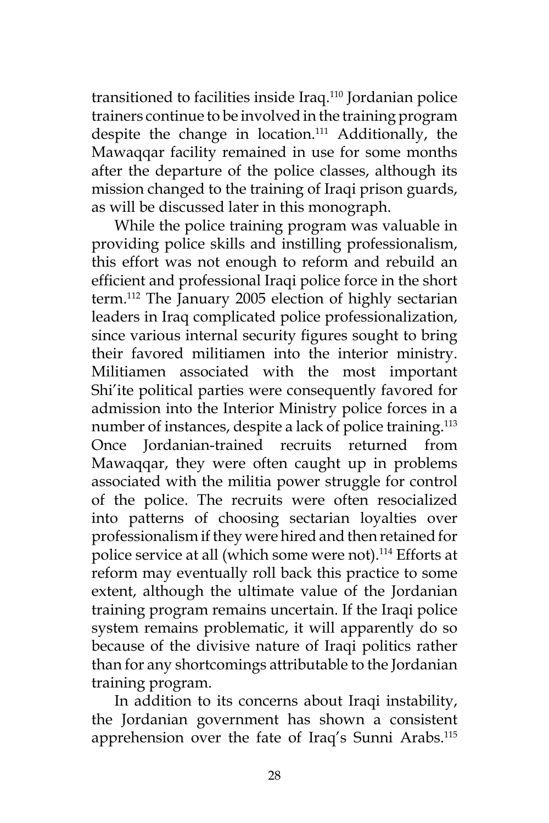transitioned to facilities inside Iraq.110 Jordanian police trainers continue to be involved in the training program despite the change in location.<sup>111</sup> Additionally, the Mawaqqar facility remained in use for some months after the departure of the police classes, although its mission changed to the training of Iraqi prison guards, as will be discussed later in this monograph.

While the police training program was valuable in providing police skills and instilling professionalism, this effort was not enough to reform and rebuild an efficient and professional Iraqi police force in the short term.112 The January 2005 election of highly sectarian leaders in Iraq complicated police professionalization, since various internal security figures sought to bring their favored militiamen into the interior ministry. Militiamen associated with the most important Shi'ite political parties were consequently favored for admission into the Interior Ministry police forces in a number of instances, despite a lack of police training.<sup>113</sup> Once Jordanian-trained recruits returned from Mawaqqar, they were often caught up in problems associated with the militia power struggle for control of the police. The recruits were often resocialized into patterns of choosing sectarian loyalties over professionalism if they were hired and then retained for police service at all (which some were not).<sup>114</sup> Efforts at reform may eventually roll back this practice to some extent, although the ultimate value of the Jordanian training program remains uncertain. If the Iraqi police system remains problematic, it will apparently do so because of the divisive nature of Iraqi politics rather than for any shortcomings attributable to the Jordanian training program.

In addition to its concerns about Iraqi instability, the Jordanian government has shown a consistent apprehension over the fate of Iraq's Sunni Arabs.115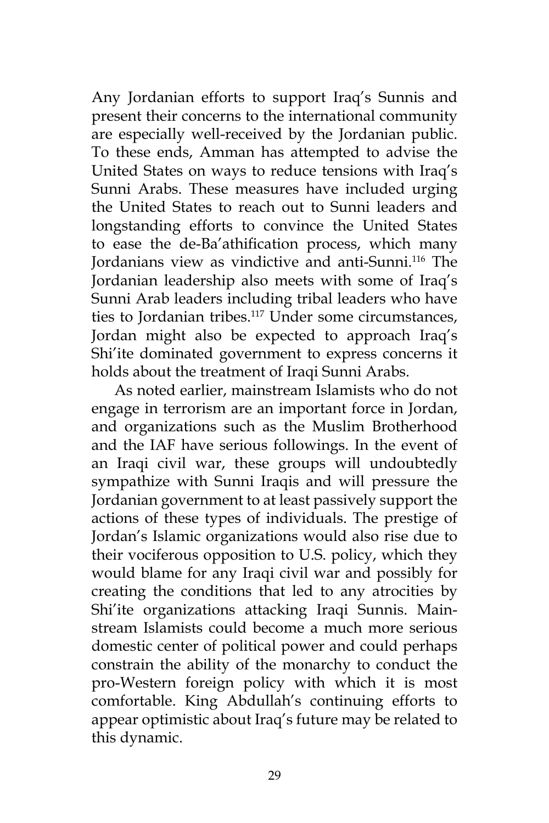Any Jordanian efforts to support Iraq's Sunnis and present their concerns to the international community are especially well-received by the Jordanian public. To these ends, Amman has attempted to advise the United States on ways to reduce tensions with Iraq's Sunni Arabs. These measures have included urging the United States to reach out to Sunni leaders and longstanding efforts to convince the United States to ease the de-Ba'athification process, which many Jordanians view as vindictive and anti-Sunni.116 The Jordanian leadership also meets with some of Iraq's Sunni Arab leaders including tribal leaders who have ties to Jordanian tribes.<sup>117</sup> Under some circumstances, Jordan might also be expected to approach Iraq's Shi'ite dominated government to express concerns it holds about the treatment of Iraqi Sunni Arabs.

As noted earlier, mainstream Islamists who do not engage in terrorism are an important force in Jordan, and organizations such as the Muslim Brotherhood and the IAF have serious followings. In the event of an Iraqi civil war, these groups will undoubtedly sympathize with Sunni Iraqis and will pressure the Jordanian government to at least passively support the actions of these types of individuals. The prestige of Jordan's Islamic organizations would also rise due to their vociferous opposition to U.S. policy, which they would blame for any Iraqi civil war and possibly for creating the conditions that led to any atrocities by Shi'ite organizations attacking Iraqi Sunnis. Mainstream Islamists could become a much more serious domestic center of political power and could perhaps constrain the ability of the monarchy to conduct the pro-Western foreign policy with which it is most comfortable. King Abdullah's continuing efforts to appear optimistic about Iraq's future may be related to this dynamic.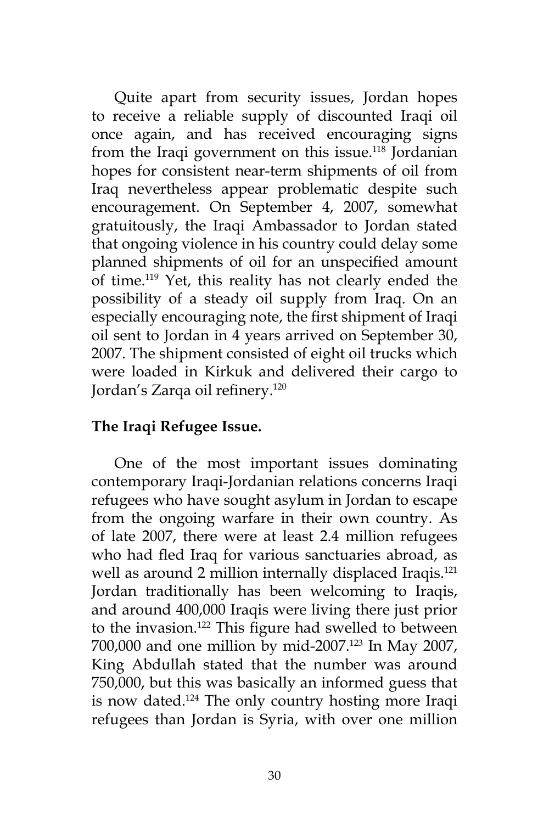Quite apart from security issues, Jordan hopes to receive a reliable supply of discounted Iraqi oil once again, and has received encouraging signs from the Iraqi government on this issue.<sup>118</sup> Jordanian hopes for consistent near-term shipments of oil from Iraq nevertheless appear problematic despite such encouragement. On September 4, 2007, somewhat gratuitously, the Iraqi Ambassador to Jordan stated that ongoing violence in his country could delay some planned shipments of oil for an unspecified amount of time.119 Yet, this reality has not clearly ended the possibility of a steady oil supply from Iraq. On an especially encouraging note, the first shipment of Iraqi oil sent to Jordan in 4 years arrived on September 30, 2007. The shipment consisted of eight oil trucks which were loaded in Kirkuk and delivered their cargo to Jordan's Zarqa oil refinery.<sup>120</sup>

## **The Iraqi Refugee Issue.**

One of the most important issues dominating contemporary Iraqi-Jordanian relations concerns Iraqi refugees who have sought asylum in Jordan to escape from the ongoing warfare in their own country. As of late 2007, there were at least 2.4 million refugees who had fled Iraq for various sanctuaries abroad, as well as around 2 million internally displaced Iraqis.<sup>121</sup> Jordan traditionally has been welcoming to Iraqis, and around 400,000 Iraqis were living there just prior to the invasion.<sup>122</sup> This figure had swelled to between 700,000 and one million by mid-2007.<sup>123</sup> In May 2007, King Abdullah stated that the number was around 750,000, but this was basically an informed guess that is now dated.124 The only country hosting more Iraqi refugees than Jordan is Syria, with over one million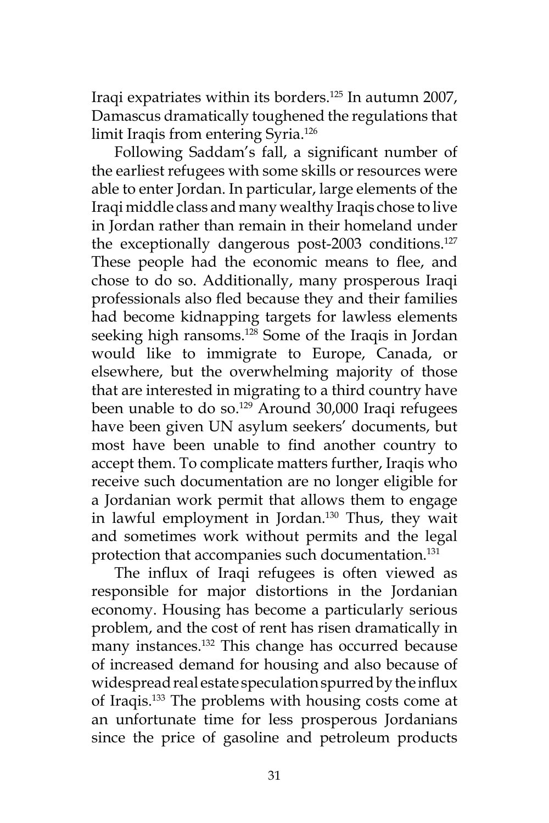Iraqi expatriates within its borders.125 In autumn 2007, Damascus dramatically toughened the regulations that limit Iraqis from entering Syria.126

Following Saddam's fall, a significant number of the earliest refugees with some skills or resources were able to enter Jordan. In particular, large elements of the Iraqi middle class and many wealthy Iraqis chose to live in Jordan rather than remain in their homeland under the exceptionally dangerous post-2003 conditions.<sup>127</sup> These people had the economic means to flee, and chose to do so. Additionally, many prosperous Iraqi professionals also fled because they and their families had become kidnapping targets for lawless elements seeking high ransoms.<sup>128</sup> Some of the Iraqis in Jordan would like to immigrate to Europe, Canada, or elsewhere, but the overwhelming majority of those that are interested in migrating to a third country have been unable to do so.<sup>129</sup> Around 30,000 Iraqi refugees have been given UN asylum seekers' documents, but most have been unable to find another country to accept them. To complicate matters further, Iraqis who receive such documentation are no longer eligible for a Jordanian work permit that allows them to engage in lawful employment in Jordan.130 Thus, they wait and sometimes work without permits and the legal protection that accompanies such documentation.<sup>131</sup>

The influx of Iraqi refugees is often viewed as responsible for major distortions in the Jordanian economy. Housing has become a particularly serious problem, and the cost of rent has risen dramatically in many instances.132 This change has occurred because of increased demand for housing and also because of widespread real estate speculation spurred by the influx of Iraqis.133 The problems with housing costs come at an unfortunate time for less prosperous Jordanians since the price of gasoline and petroleum products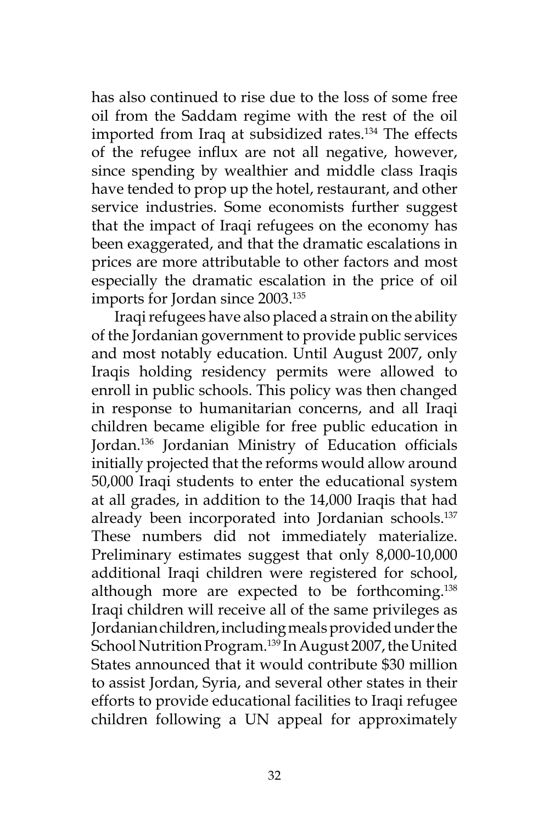has also continued to rise due to the loss of some free oil from the Saddam regime with the rest of the oil imported from Iraq at subsidized rates.<sup>134</sup> The effects of the refugee influx are not all negative, however, since spending by wealthier and middle class Iraqis have tended to prop up the hotel, restaurant, and other service industries. Some economists further suggest that the impact of Iraqi refugees on the economy has been exaggerated, and that the dramatic escalations in prices are more attributable to other factors and most especially the dramatic escalation in the price of oil imports for Jordan since 2003.135

Iraqi refugees have also placed a strain on the ability of the Jordanian government to provide public services and most notably education. Until August 2007, only Iraqis holding residency permits were allowed to enroll in public schools. This policy was then changed in response to humanitarian concerns, and all Iraqi children became eligible for free public education in Jordan.136 Jordanian Ministry of Education officials initially projected that the reforms would allow around 50,000 Iraqi students to enter the educational system at all grades, in addition to the 14,000 Iraqis that had already been incorporated into Jordanian schools.<sup>137</sup> These numbers did not immediately materialize. Preliminary estimates suggest that only 8,000-10,000 additional Iraqi children were registered for school, although more are expected to be forthcoming.138 Iraqi children will receive all of the same privileges as Jordanian children, including meals provided under the School Nutrition Program.<sup>139</sup> In August 2007, the United States announced that it would contribute \$30 million to assist Jordan, Syria, and several other states in their efforts to provide educational facilities to Iraqi refugee children following a UN appeal for approximately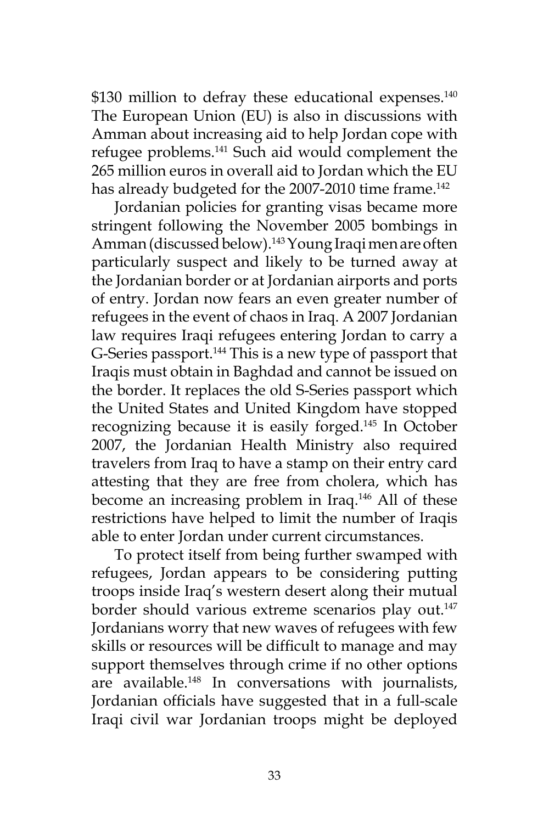\$130 million to defray these educational expenses.<sup>140</sup> The European Union (EU) is also in discussions with Amman about increasing aid to help Jordan cope with refugee problems.141 Such aid would complement the 265 million euros in overall aid to Jordan which the EU has already budgeted for the 2007-2010 time frame.<sup>142</sup>

Jordanian policies for granting visas became more stringent following the November 2005 bombings in Amman (discussed below).143 Young Iraqi men are often particularly suspect and likely to be turned away at the Jordanian border or at Jordanian airports and ports of entry. Jordan now fears an even greater number of refugees in the event of chaos in Iraq. A 2007 Jordanian law requires Iraqi refugees entering Jordan to carry a G-Series passport.144 This is a new type of passport that Iraqis must obtain in Baghdad and cannot be issued on the border. It replaces the old S-Series passport which the United States and United Kingdom have stopped recognizing because it is easily forged.145 In October 2007, the Jordanian Health Ministry also required travelers from Iraq to have a stamp on their entry card attesting that they are free from cholera, which has become an increasing problem in Iraq.<sup>146</sup> All of these restrictions have helped to limit the number of Iraqis able to enter Jordan under current circumstances.

To protect itself from being further swamped with refugees, Jordan appears to be considering putting troops inside Iraq's western desert along their mutual border should various extreme scenarios play out.<sup>147</sup> Jordanians worry that new waves of refugees with few skills or resources will be difficult to manage and may support themselves through crime if no other options are available.<sup>148</sup> In conversations with journalists, Jordanian officials have suggested that in a full-scale Iraqi civil war Jordanian troops might be deployed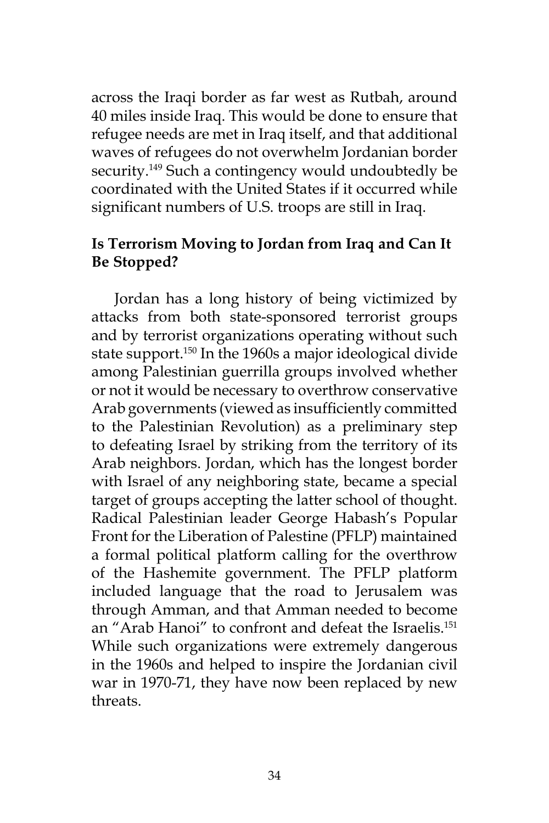across the Iraqi border as far west as Rutbah, around 40 miles inside Iraq. This would be done to ensure that refugee needs are met in Iraq itself, and that additional waves of refugees do not overwhelm Jordanian border security.<sup>149</sup> Such a contingency would undoubtedly be coordinated with the United States if it occurred while significant numbers of U.S. troops are still in Iraq.

## **Is Terrorism Moving to Jordan from Iraq and Can It Be Stopped?**

Jordan has a long history of being victimized by attacks from both state-sponsored terrorist groups and by terrorist organizations operating without such state support.<sup>150</sup> In the 1960s a major ideological divide among Palestinian guerrilla groups involved whether or not it would be necessary to overthrow conservative Arab governments (viewed as insufficiently committed to the Palestinian Revolution) as a preliminary step to defeating Israel by striking from the territory of its Arab neighbors. Jordan, which has the longest border with Israel of any neighboring state, became a special target of groups accepting the latter school of thought. Radical Palestinian leader George Habash's Popular Front for the Liberation of Palestine (PFLP) maintained a formal political platform calling for the overthrow of the Hashemite government. The PFLP platform included language that the road to Jerusalem was through Amman, and that Amman needed to become an "Arab Hanoi" to confront and defeat the Israelis.<sup>151</sup> While such organizations were extremely dangerous in the 1960s and helped to inspire the Jordanian civil war in 1970-71, they have now been replaced by new threats.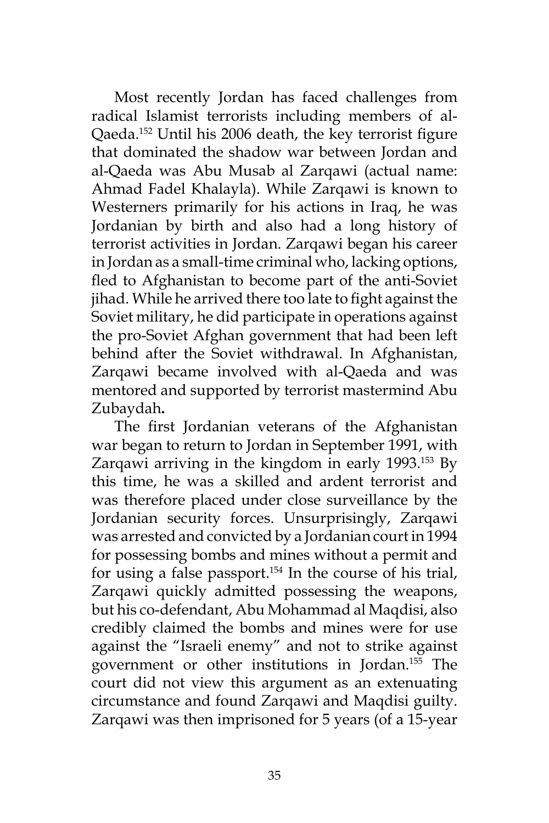Most recently Jordan has faced challenges from radical Islamist terrorists including members of al-Qaeda.152 Until his 2006 death, the key terrorist figure that dominated the shadow war between Jordan and al-Qaeda was Abu Musab al Zarqawi (actual name: Ahmad Fadel Khalayla). While Zarqawi is known to Westerners primarily for his actions in Iraq, he was Jordanian by birth and also had a long history of terrorist activities in Jordan. Zarqawi began his career in Jordan as a small-time criminal who, lacking options, fled to Afghanistan to become part of the anti-Soviet jihad. While he arrived there too late to fight against the Soviet military, he did participate in operations against the pro-Soviet Afghan government that had been left behind after the Soviet withdrawal. In Afghanistan, Zarqawi became involved with al-Qaeda and was mentored and supported by terrorist mastermind Abu Zubaydah**.** 

The first Jordanian veterans of the Afghanistan war began to return to Jordan in September 1991, with Zarqawi arriving in the kingdom in early 1993.153 By this time, he was a skilled and ardent terrorist and was therefore placed under close surveillance by the Jordanian security forces. Unsurprisingly, Zarqawi was arrested and convicted by a Jordanian court in 1994 for possessing bombs and mines without a permit and for using a false passport.<sup>154</sup> In the course of his trial, Zarqawi quickly admitted possessing the weapons, but his co-defendant, Abu Mohammad al Maqdisi, also credibly claimed the bombs and mines were for use against the "Israeli enemy" and not to strike against government or other institutions in Jordan.155 The court did not view this argument as an extenuating circumstance and found Zarqawi and Maqdisi guilty. Zarqawi was then imprisoned for 5 years (of a 15-year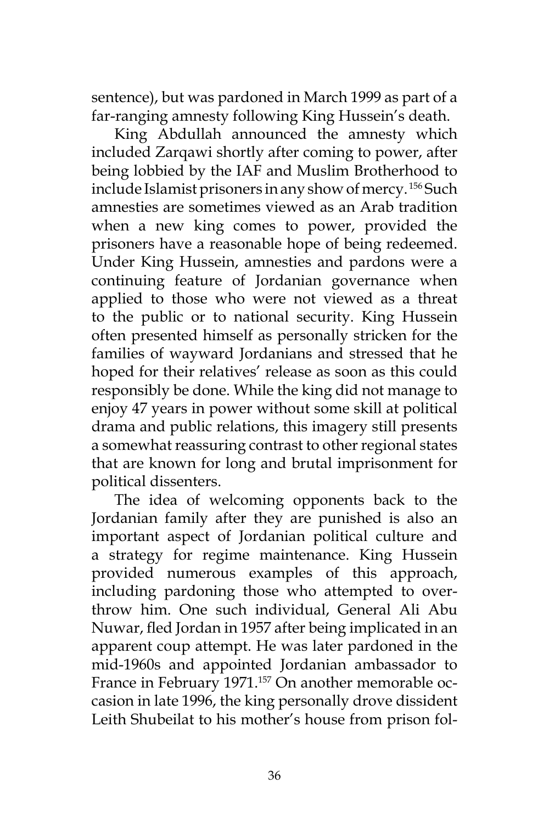sentence), but was pardoned in March 1999 as part of a far-ranging amnesty following King Hussein's death.

King Abdullah announced the amnesty which included Zarqawi shortly after coming to power, after being lobbied by the IAF and Muslim Brotherhood to include Islamist prisoners in any show of mercy. 156 Such amnesties are sometimes viewed as an Arab tradition when a new king comes to power, provided the prisoners have a reasonable hope of being redeemed. Under King Hussein, amnesties and pardons were a continuing feature of Jordanian governance when applied to those who were not viewed as a threat to the public or to national security. King Hussein often presented himself as personally stricken for the families of wayward Jordanians and stressed that he hoped for their relatives' release as soon as this could responsibly be done. While the king did not manage to enjoy 47 years in power without some skill at political drama and public relations, this imagery still presents a somewhat reassuring contrast to other regional states that are known for long and brutal imprisonment for political dissenters.

The idea of welcoming opponents back to the Jordanian family after they are punished is also an important aspect of Jordanian political culture and a strategy for regime maintenance. King Hussein provided numerous examples of this approach, including pardoning those who attempted to overthrow him. One such individual, General Ali Abu Nuwar, fled Jordan in 1957 after being implicated in an apparent coup attempt. He was later pardoned in the mid-1960s and appointed Jordanian ambassador to France in February 1971.<sup>157</sup> On another memorable occasion in late 1996, the king personally drove dissident Leith Shubeilat to his mother's house from prison fol-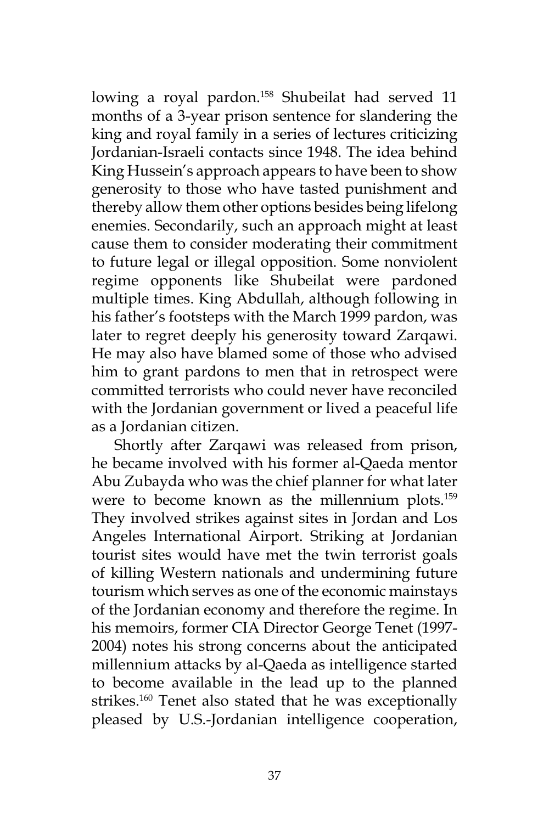lowing a royal pardon.<sup>158</sup> Shubeilat had served 11 months of a 3-year prison sentence for slandering the king and royal family in a series of lectures criticizing Jordanian-Israeli contacts since 1948. The idea behind King Hussein's approach appears to have been to show generosity to those who have tasted punishment and thereby allow them other options besides being lifelong enemies. Secondarily, such an approach might at least cause them to consider moderating their commitment to future legal or illegal opposition. Some nonviolent regime opponents like Shubeilat were pardoned multiple times. King Abdullah, although following in his father's footsteps with the March 1999 pardon, was later to regret deeply his generosity toward Zarqawi. He may also have blamed some of those who advised him to grant pardons to men that in retrospect were committed terrorists who could never have reconciled with the Jordanian government or lived a peaceful life as a Jordanian citizen.

Shortly after Zarqawi was released from prison, he became involved with his former al-Qaeda mentor Abu Zubayda who was the chief planner for what later were to become known as the millennium plots.<sup>159</sup> They involved strikes against sites in Jordan and Los Angeles International Airport. Striking at Jordanian tourist sites would have met the twin terrorist goals of killing Western nationals and undermining future tourism which serves as one of the economic mainstays of the Jordanian economy and therefore the regime. In his memoirs, former CIA Director George Tenet (1997- 2004) notes his strong concerns about the anticipated millennium attacks by al-Qaeda as intelligence started to become available in the lead up to the planned strikes.<sup>160</sup> Tenet also stated that he was exceptionally pleased by U.S.-Jordanian intelligence cooperation,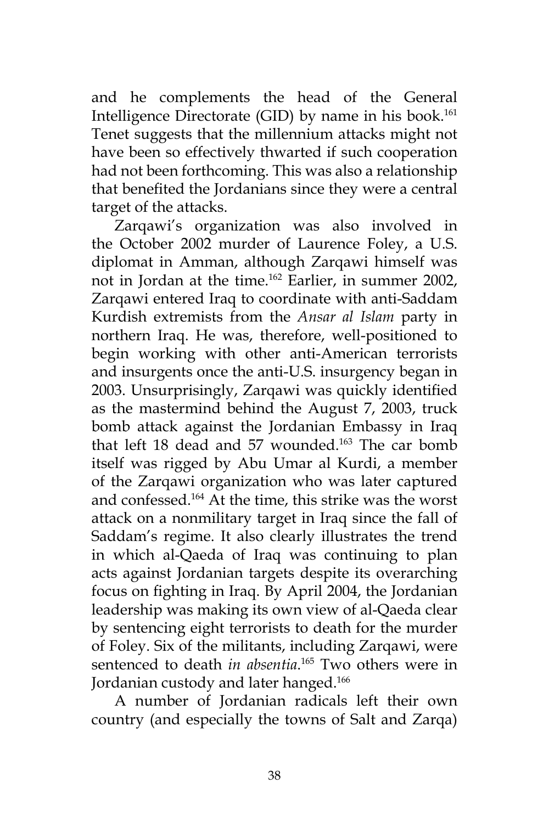and he complements the head of the General Intelligence Directorate (GID) by name in his book.<sup>161</sup> Tenet suggests that the millennium attacks might not have been so effectively thwarted if such cooperation had not been forthcoming. This was also a relationship that benefited the Jordanians since they were a central target of the attacks.

Zarqawi's organization was also involved in the October 2002 murder of Laurence Foley, a U.S. diplomat in Amman, although Zarqawi himself was not in Jordan at the time.162 Earlier, in summer 2002, Zarqawi entered Iraq to coordinate with anti-Saddam Kurdish extremists from the *Ansar al Islam* party in northern Iraq. He was, therefore, well-positioned to begin working with other anti-American terrorists and insurgents once the anti-U.S. insurgency began in 2003. Unsurprisingly, Zarqawi was quickly identified as the mastermind behind the August 7, 2003, truck bomb attack against the Jordanian Embassy in Iraq that left 18 dead and 57 wounded.<sup>163</sup> The car bomb itself was rigged by Abu Umar al Kurdi, a member of the Zarqawi organization who was later captured and confessed.164 At the time, this strike was the worst attack on a nonmilitary target in Iraq since the fall of Saddam's regime. It also clearly illustrates the trend in which al-Qaeda of Iraq was continuing to plan acts against Jordanian targets despite its overarching focus on fighting in Iraq. By April 2004, the Jordanian leadership was making its own view of al-Qaeda clear by sentencing eight terrorists to death for the murder of Foley. Six of the militants, including Zarqawi, were sentenced to death *in absentia*. 165 Two others were in Jordanian custody and later hanged.<sup>166</sup>

A number of Jordanian radicals left their own country (and especially the towns of Salt and Zarqa)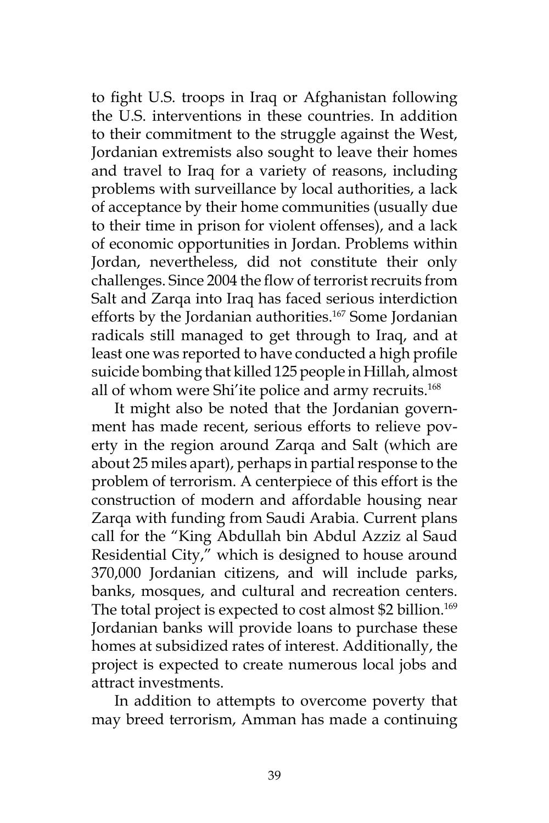to fight U.S. troops in Iraq or Afghanistan following the U.S. interventions in these countries. In addition to their commitment to the struggle against the West, Jordanian extremists also sought to leave their homes and travel to Iraq for a variety of reasons, including problems with surveillance by local authorities, a lack of acceptance by their home communities (usually due to their time in prison for violent offenses), and a lack of economic opportunities in Jordan. Problems within Jordan, nevertheless, did not constitute their only challenges. Since 2004 the flow of terrorist recruits from Salt and Zarqa into Iraq has faced serious interdiction efforts by the Jordanian authorities.<sup>167</sup> Some Jordanian radicals still managed to get through to Iraq, and at least one was reported to have conducted a high profile suicide bombing that killed 125 people in Hillah, almost all of whom were Shi'ite police and army recruits.<sup>168</sup>

It might also be noted that the Jordanian government has made recent, serious efforts to relieve poverty in the region around Zarqa and Salt (which are about 25 miles apart), perhaps in partial response to the problem of terrorism. A centerpiece of this effort is the construction of modern and affordable housing near Zarqa with funding from Saudi Arabia. Current plans call for the "King Abdullah bin Abdul Azziz al Saud Residential City," which is designed to house around 370,000 Jordanian citizens, and will include parks, banks, mosques, and cultural and recreation centers. The total project is expected to cost almost \$2 billion.<sup>169</sup> Jordanian banks will provide loans to purchase these homes at subsidized rates of interest. Additionally, the project is expected to create numerous local jobs and attract investments.

In addition to attempts to overcome poverty that may breed terrorism, Amman has made a continuing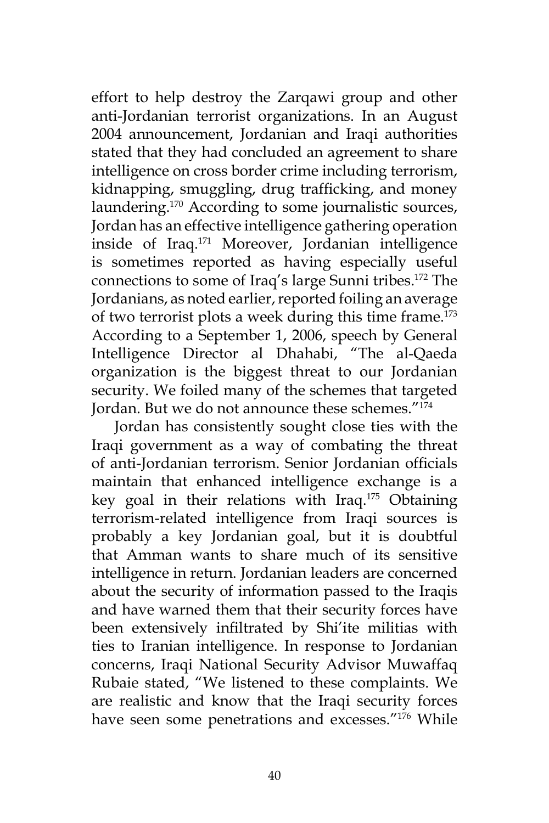effort to help destroy the Zarqawi group and other anti-Jordanian terrorist organizations. In an August 2004 announcement, Jordanian and Iraqi authorities stated that they had concluded an agreement to share intelligence on cross border crime including terrorism, kidnapping, smuggling, drug trafficking, and money laundering.<sup>170</sup> According to some journalistic sources, Jordan has an effective intelligence gathering operation inside of Iraq.171 Moreover, Jordanian intelligence is sometimes reported as having especially useful connections to some of Iraq's large Sunni tribes.172 The Jordanians, as noted earlier, reported foiling an average of two terrorist plots a week during this time frame.<sup>173</sup> According to a September 1, 2006, speech by General Intelligence Director al Dhahabi, "The al-Qaeda organization is the biggest threat to our Jordanian security. We foiled many of the schemes that targeted Jordan. But we do not announce these schemes."174

Jordan has consistently sought close ties with the Iraqi government as a way of combating the threat of anti-Jordanian terrorism. Senior Jordanian officials maintain that enhanced intelligence exchange is a key goal in their relations with Iraq.175 Obtaining terrorism-related intelligence from Iraqi sources is probably a key Jordanian goal, but it is doubtful that Amman wants to share much of its sensitive intelligence in return. Jordanian leaders are concerned about the security of information passed to the Iraqis and have warned them that their security forces have been extensively infiltrated by Shi'ite militias with ties to Iranian intelligence. In response to Jordanian concerns, Iraqi National Security Advisor Muwaffaq Rubaie stated, "We listened to these complaints. We are realistic and know that the Iraqi security forces have seen some penetrations and excesses."<sup>176</sup> While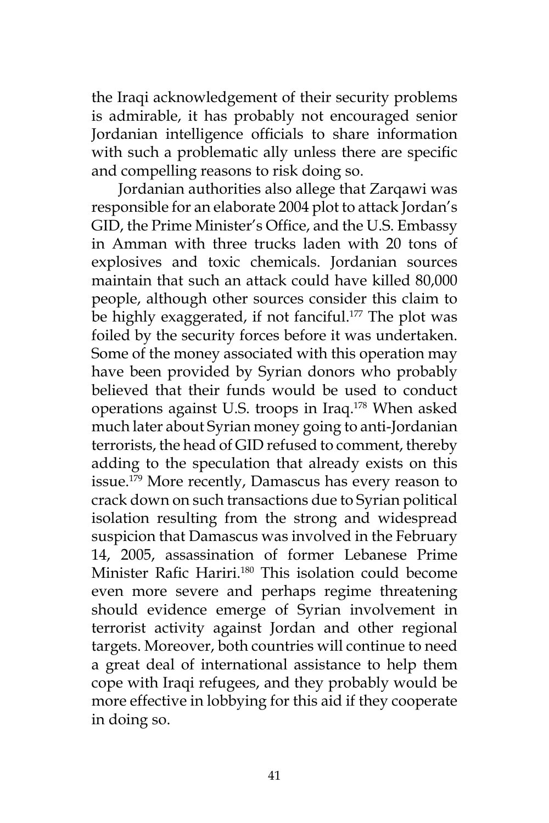the Iraqi acknowledgement of their security problems is admirable, it has probably not encouraged senior Jordanian intelligence officials to share information with such a problematic ally unless there are specific and compelling reasons to risk doing so.

 Jordanian authorities also allege that Zarqawi was responsible for an elaborate 2004 plot to attack Jordan's GID, the Prime Minister's Office, and the U.S. Embassy in Amman with three trucks laden with 20 tons of explosives and toxic chemicals. Jordanian sources maintain that such an attack could have killed 80,000 people, although other sources consider this claim to be highly exaggerated, if not fanciful.<sup>177</sup> The plot was foiled by the security forces before it was undertaken. Some of the money associated with this operation may have been provided by Syrian donors who probably believed that their funds would be used to conduct operations against U.S. troops in Iraq.178 When asked much later about Syrian money going to anti-Jordanian terrorists, the head of GID refused to comment, thereby adding to the speculation that already exists on this issue.<sup>179</sup> More recently, Damascus has every reason to crack down on such transactions due to Syrian political isolation resulting from the strong and widespread suspicion that Damascus was involved in the February 14, 2005, assassination of former Lebanese Prime Minister Rafic Hariri.<sup>180</sup> This isolation could become even more severe and perhaps regime threatening should evidence emerge of Syrian involvement in terrorist activity against Jordan and other regional targets. Moreover, both countries will continue to need a great deal of international assistance to help them cope with Iraqi refugees, and they probably would be more effective in lobbying for this aid if they cooperate in doing so.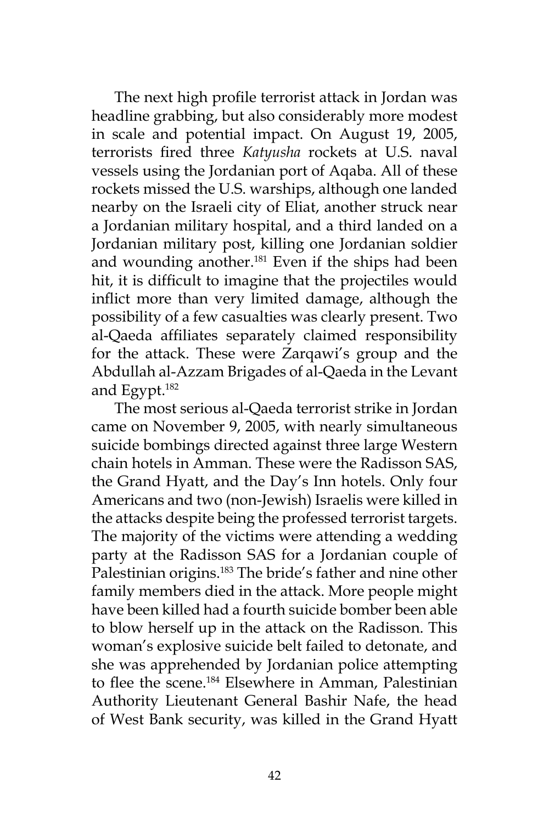The next high profile terrorist attack in Jordan was headline grabbing, but also considerably more modest in scale and potential impact. On August 19, 2005, terrorists fired three *Katyusha* rockets at U.S. naval vessels using the Jordanian port of Aqaba. All of these rockets missed the U.S. warships, although one landed nearby on the Israeli city of Eliat, another struck near a Jordanian military hospital, and a third landed on a Jordanian military post, killing one Jordanian soldier and wounding another.<sup>181</sup> Even if the ships had been hit, it is difficult to imagine that the projectiles would inflict more than very limited damage, although the possibility of a few casualties was clearly present. Two al-Qaeda affiliates separately claimed responsibility for the attack. These were Zarqawi's group and the Abdullah al-Azzam Brigades of al-Qaeda in the Levant and Egypt.182

The most serious al-Qaeda terrorist strike in Jordan came on November 9, 2005, with nearly simultaneous suicide bombings directed against three large Western chain hotels in Amman. These were the Radisson SAS, the Grand Hyatt, and the Day's Inn hotels. Only four Americans and two (non-Jewish) Israelis were killed in the attacks despite being the professed terrorist targets. The majority of the victims were attending a wedding party at the Radisson SAS for a Jordanian couple of Palestinian origins.<sup>183</sup> The bride's father and nine other family members died in the attack. More people might have been killed had a fourth suicide bomber been able to blow herself up in the attack on the Radisson. This woman's explosive suicide belt failed to detonate, and she was apprehended by Jordanian police attempting to flee the scene.<sup>184</sup> Elsewhere in Amman, Palestinian Authority Lieutenant General Bashir Nafe, the head of West Bank security, was killed in the Grand Hyatt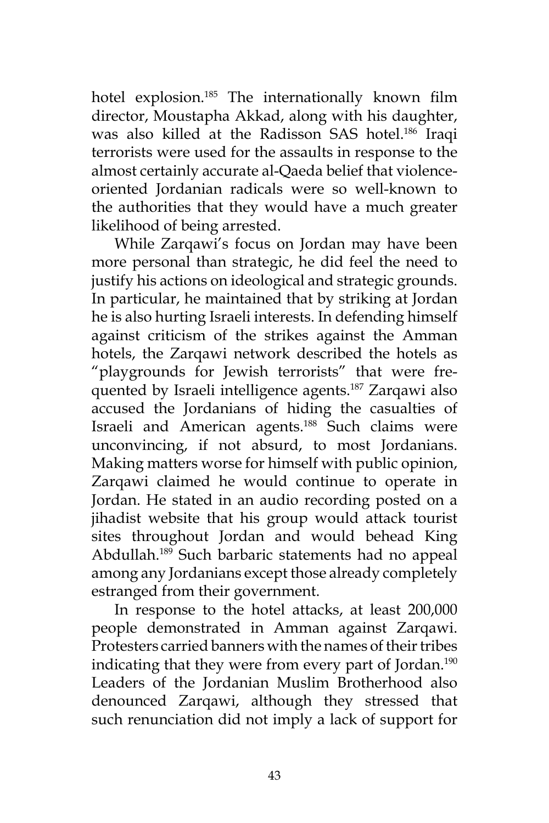hotel explosion.<sup>185</sup> The internationally known film director, Moustapha Akkad, along with his daughter, was also killed at the Radisson SAS hotel.186 Iraqi terrorists were used for the assaults in response to the almost certainly accurate al-Qaeda belief that violenceoriented Jordanian radicals were so well-known to the authorities that they would have a much greater likelihood of being arrested.

While Zarqawi's focus on Jordan may have been more personal than strategic, he did feel the need to justify his actions on ideological and strategic grounds. In particular, he maintained that by striking at Jordan he is also hurting Israeli interests. In defending himself against criticism of the strikes against the Amman hotels, the Zarqawi network described the hotels as "playgrounds for Jewish terrorists" that were frequented by Israeli intelligence agents.<sup>187</sup> Zarqawi also accused the Jordanians of hiding the casualties of Israeli and American agents.<sup>188</sup> Such claims were unconvincing, if not absurd, to most Jordanians. Making matters worse for himself with public opinion, Zarqawi claimed he would continue to operate in Jordan. He stated in an audio recording posted on a jihadist website that his group would attack tourist sites throughout Jordan and would behead King Abdullah.189 Such barbaric statements had no appeal among any Jordanians except those already completely estranged from their government.

In response to the hotel attacks, at least 200,000 people demonstrated in Amman against Zarqawi. Protesters carried banners with the names of their tribes indicating that they were from every part of Jordan.<sup>190</sup> Leaders of the Jordanian Muslim Brotherhood also denounced Zarqawi, although they stressed that such renunciation did not imply a lack of support for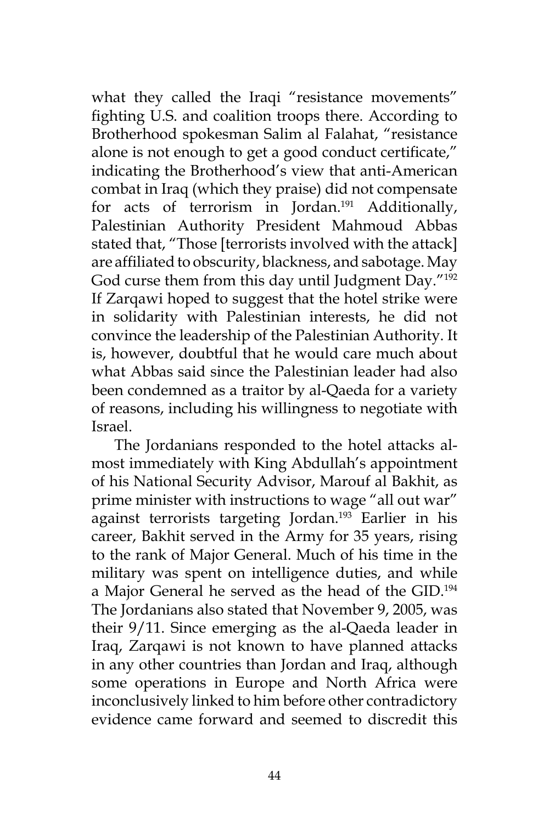what they called the Iraqi "resistance movements" fighting U.S. and coalition troops there. According to Brotherhood spokesman Salim al Falahat, "resistance alone is not enough to get a good conduct certificate," indicating the Brotherhood's view that anti-American combat in Iraq (which they praise) did not compensate for acts of terrorism in Jordan.<sup>191</sup> Additionally, Palestinian Authority President Mahmoud Abbas stated that, "Those [terrorists involved with the attack] are affiliated to obscurity, blackness, and sabotage. May God curse them from this day until Judgment Day."192 If Zarqawi hoped to suggest that the hotel strike were in solidarity with Palestinian interests, he did not convince the leadership of the Palestinian Authority. It is, however, doubtful that he would care much about what Abbas said since the Palestinian leader had also been condemned as a traitor by al-Qaeda for a variety of reasons, including his willingness to negotiate with Israel.

The Jordanians responded to the hotel attacks almost immediately with King Abdullah's appointment of his National Security Advisor, Marouf al Bakhit, as prime minister with instructions to wage "all out war" against terrorists targeting Jordan.<sup>193</sup> Earlier in his career, Bakhit served in the Army for 35 years, rising to the rank of Major General. Much of his time in the military was spent on intelligence duties, and while a Major General he served as the head of the GID.194 The Jordanians also stated that November 9, 2005, was their 9/11. Since emerging as the al-Qaeda leader in Iraq, Zarqawi is not known to have planned attacks in any other countries than Jordan and Iraq, although some operations in Europe and North Africa were inconclusively linked to him before other contradictory evidence came forward and seemed to discredit this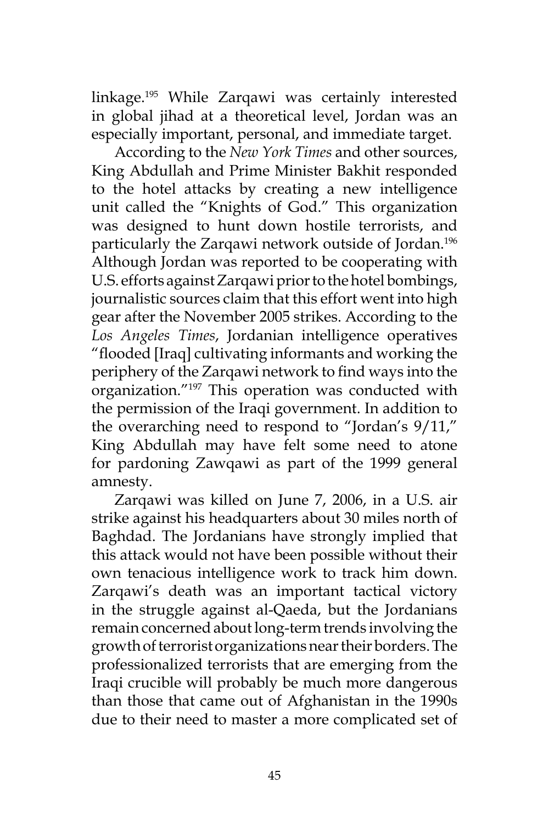linkage.195 While Zarqawi was certainly interested in global jihad at a theoretical level, Jordan was an especially important, personal, and immediate target.

According to the *New York Times* and other sources, King Abdullah and Prime Minister Bakhit responded to the hotel attacks by creating a new intelligence unit called the "Knights of God." This organization was designed to hunt down hostile terrorists, and particularly the Zarqawi network outside of Jordan.196 Although Jordan was reported to be cooperating with U.S. efforts against Zarqawi prior to the hotel bombings, journalistic sources claim that this effort went into high gear after the November 2005 strikes. According to the *Los Angeles Times*, Jordanian intelligence operatives "flooded [Iraq] cultivating informants and working the periphery of the Zarqawi network to find ways into the organization."197 This operation was conducted with the permission of the Iraqi government. In addition to the overarching need to respond to "Jordan's 9/11," King Abdullah may have felt some need to atone for pardoning Zawqawi as part of the 1999 general amnesty.

Zarqawi was killed on June 7, 2006, in a U.S. air strike against his headquarters about 30 miles north of Baghdad. The Jordanians have strongly implied that this attack would not have been possible without their own tenacious intelligence work to track him down. Zarqawi's death was an important tactical victory in the struggle against al-Qaeda, but the Jordanians remain concerned about long-term trends involving the growth of terrorist organizations near their borders. The professionalized terrorists that are emerging from the Iraqi crucible will probably be much more dangerous than those that came out of Afghanistan in the 1990s due to their need to master a more complicated set of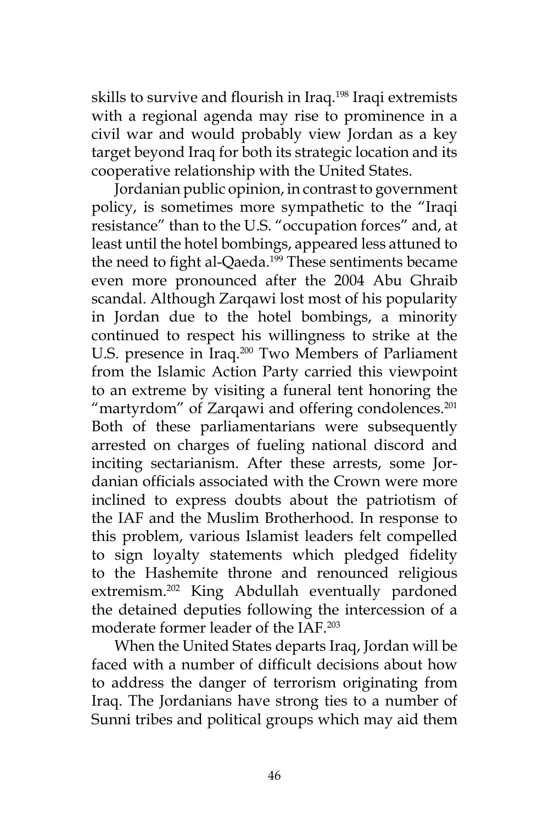skills to survive and flourish in Iraq.198 Iraqi extremists with a regional agenda may rise to prominence in a civil war and would probably view Jordan as a key target beyond Iraq for both its strategic location and its cooperative relationship with the United States.

Jordanian public opinion, in contrast to government policy, is sometimes more sympathetic to the "Iraqi resistance" than to the U.S. "occupation forces" and, at least until the hotel bombings, appeared less attuned to the need to fight al-Qaeda.<sup>199</sup> These sentiments became even more pronounced after the 2004 Abu Ghraib scandal. Although Zarqawi lost most of his popularity in Jordan due to the hotel bombings, a minority continued to respect his willingness to strike at the U.S. presence in Iraq.<sup>200</sup> Two Members of Parliament from the Islamic Action Party carried this viewpoint to an extreme by visiting a funeral tent honoring the "martyrdom" of Zarqawi and offering condolences.<sup>201</sup> Both of these parliamentarians were subsequently arrested on charges of fueling national discord and inciting sectarianism. After these arrests, some Jordanian officials associated with the Crown were more inclined to express doubts about the patriotism of the IAF and the Muslim Brotherhood. In response to this problem, various Islamist leaders felt compelled to sign loyalty statements which pledged fidelity to the Hashemite throne and renounced religious extremism.<sup>202</sup> King Abdullah eventually pardoned the detained deputies following the intercession of a moderate former leader of the IAF.203

When the United States departs Iraq, Jordan will be faced with a number of difficult decisions about how to address the danger of terrorism originating from Iraq. The Jordanians have strong ties to a number of Sunni tribes and political groups which may aid them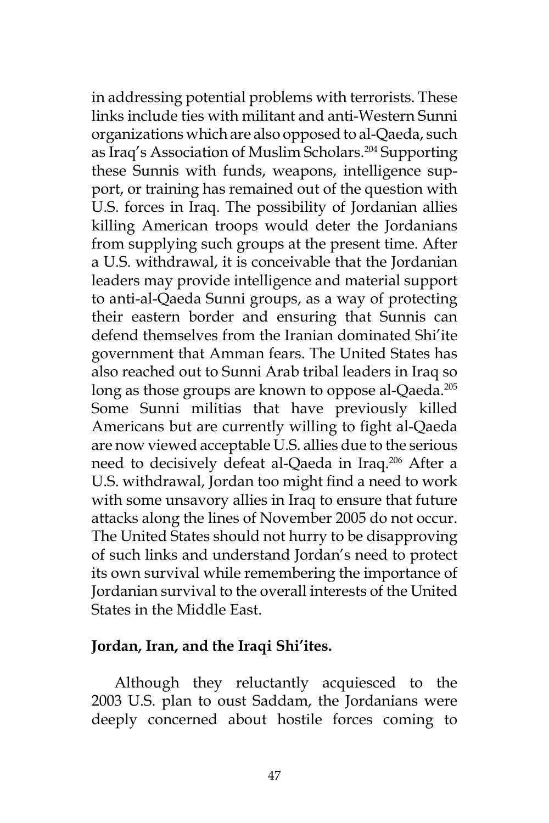in addressing potential problems with terrorists. These links include ties with militant and anti-Western Sunni organizations which are also opposed to al-Qaeda, such as Iraq's Association of Muslim Scholars.204 Supporting these Sunnis with funds, weapons, intelligence support, or training has remained out of the question with U.S. forces in Iraq. The possibility of Jordanian allies killing American troops would deter the Jordanians from supplying such groups at the present time. After a U.S. withdrawal, it is conceivable that the Jordanian leaders may provide intelligence and material support to anti-al-Qaeda Sunni groups, as a way of protecting their eastern border and ensuring that Sunnis can defend themselves from the Iranian dominated Shi'ite government that Amman fears. The United States has also reached out to Sunni Arab tribal leaders in Iraq so long as those groups are known to oppose al-Qaeda.<sup>205</sup> Some Sunni militias that have previously killed Americans but are currently willing to fight al-Qaeda are now viewed acceptable U.S. allies due to the serious need to decisively defeat al-Qaeda in Iraq.<sup>206</sup> After a U.S. withdrawal, Jordan too might find a need to work with some unsavory allies in Iraq to ensure that future attacks along the lines of November 2005 do not occur. The United States should not hurry to be disapproving of such links and understand Jordan's need to protect its own survival while remembering the importance of Jordanian survival to the overall interests of the United States in the Middle East.

### **Jordan, Iran, and the Iraqi Shi'ites.**

Although they reluctantly acquiesced to the 2003 U.S. plan to oust Saddam, the Jordanians were deeply concerned about hostile forces coming to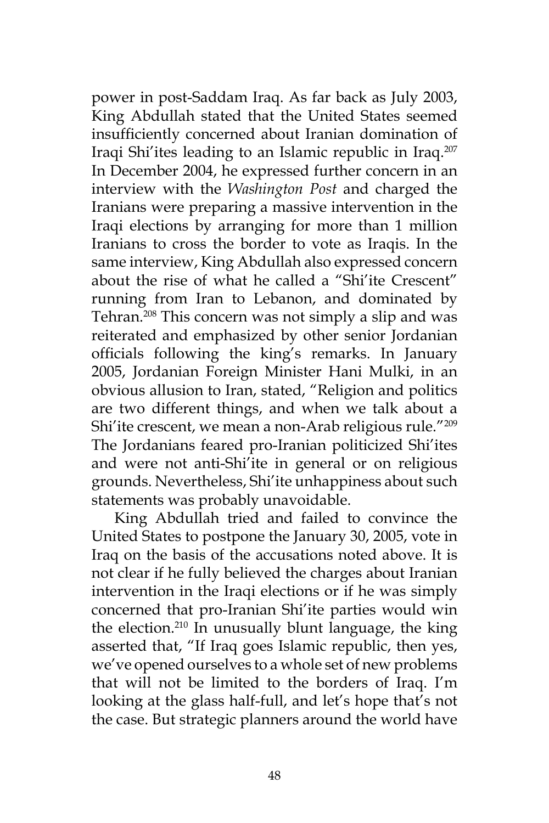power in post-Saddam Iraq. As far back as July 2003, King Abdullah stated that the United States seemed insufficiently concerned about Iranian domination of Iraqi Shi'ites leading to an Islamic republic in Iraq.207 In December 2004, he expressed further concern in an interview with the *Washington Post* and charged the Iranians were preparing a massive intervention in the Iraqi elections by arranging for more than 1 million Iranians to cross the border to vote as Iraqis. In the same interview, King Abdullah also expressed concern about the rise of what he called a "Shi'ite Crescent" running from Iran to Lebanon, and dominated by Tehran.<sup>208</sup> This concern was not simply a slip and was reiterated and emphasized by other senior Jordanian officials following the king's remarks. In January 2005, Jordanian Foreign Minister Hani Mulki, in an obvious allusion to Iran, stated, "Religion and politics are two different things, and when we talk about a Shi'ite crescent, we mean a non-Arab religious rule."<sup>209</sup> The Jordanians feared pro-Iranian politicized Shi'ites and were not anti-Shi'ite in general or on religious grounds. Nevertheless, Shi'ite unhappiness about such statements was probably unavoidable.

King Abdullah tried and failed to convince the United States to postpone the January 30, 2005, vote in Iraq on the basis of the accusations noted above. It is not clear if he fully believed the charges about Iranian intervention in the Iraqi elections or if he was simply concerned that pro-Iranian Shi'ite parties would win the election. $210$  In unusually blunt language, the king asserted that, "If Iraq goes Islamic republic, then yes, we've opened ourselves to a whole set of new problems that will not be limited to the borders of Iraq. I'm looking at the glass half-full, and let's hope that's not the case. But strategic planners around the world have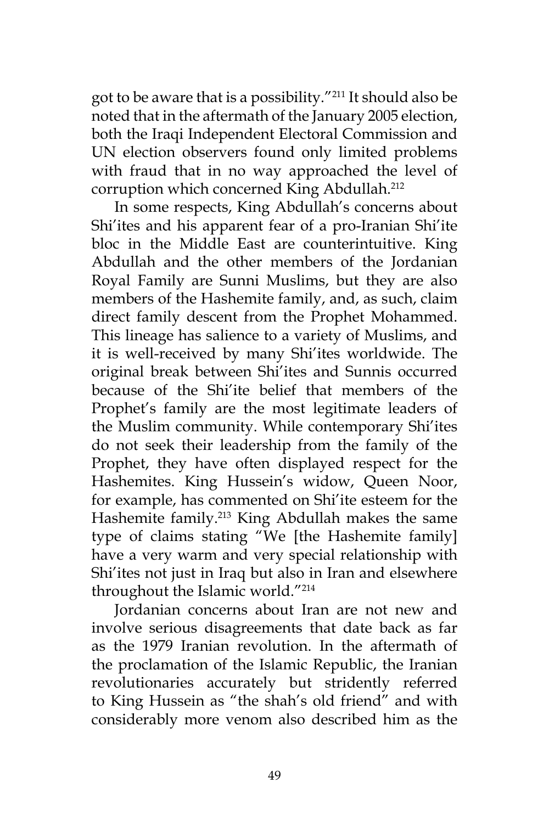got to be aware that is a possibility."211 It should also be noted that in the aftermath of the January 2005 election, both the Iraqi Independent Electoral Commission and UN election observers found only limited problems with fraud that in no way approached the level of corruption which concerned King Abdullah.<sup>212</sup>

In some respects, King Abdullah's concerns about Shi'ites and his apparent fear of a pro-Iranian Shi'ite bloc in the Middle East are counterintuitive. King Abdullah and the other members of the Jordanian Royal Family are Sunni Muslims, but they are also members of the Hashemite family, and, as such, claim direct family descent from the Prophet Mohammed. This lineage has salience to a variety of Muslims, and it is well-received by many Shi'ites worldwide. The original break between Shi'ites and Sunnis occurred because of the Shi'ite belief that members of the Prophet's family are the most legitimate leaders of the Muslim community. While contemporary Shi'ites do not seek their leadership from the family of the Prophet, they have often displayed respect for the Hashemites. King Hussein's widow, Queen Noor, for example, has commented on Shi'ite esteem for the Hashemite family.<sup>213</sup> King Abdullah makes the same type of claims stating "We [the Hashemite family] have a very warm and very special relationship with Shi'ites not just in Iraq but also in Iran and elsewhere throughout the Islamic world."214

Jordanian concerns about Iran are not new and involve serious disagreements that date back as far as the 1979 Iranian revolution. In the aftermath of the proclamation of the Islamic Republic, the Iranian revolutionaries accurately but stridently referred to King Hussein as "the shah's old friend" and with considerably more venom also described him as the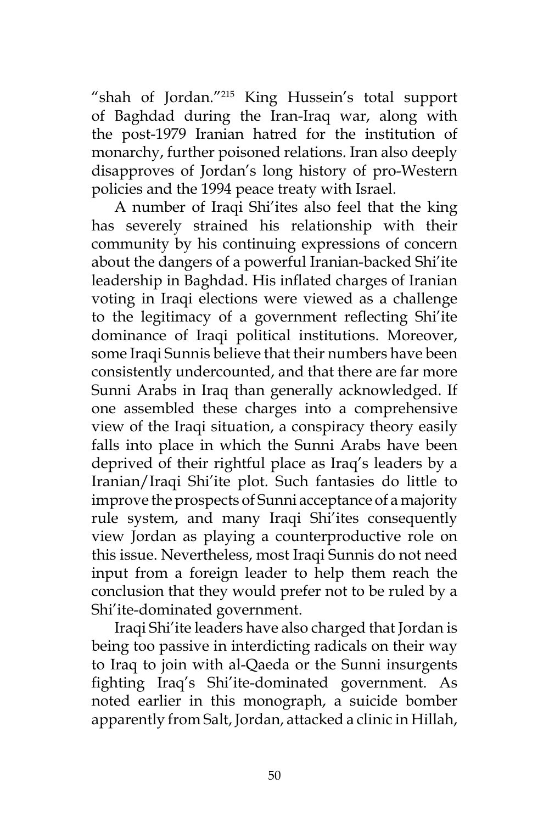"shah of Jordan."215 King Hussein's total support of Baghdad during the Iran-Iraq war, along with the post-1979 Iranian hatred for the institution of monarchy, further poisoned relations. Iran also deeply disapproves of Jordan's long history of pro-Western policies and the 1994 peace treaty with Israel.

A number of Iraqi Shi'ites also feel that the king has severely strained his relationship with their community by his continuing expressions of concern about the dangers of a powerful Iranian-backed Shi'ite leadership in Baghdad. His inflated charges of Iranian voting in Iraqi elections were viewed as a challenge to the legitimacy of a government reflecting Shi'ite dominance of Iraqi political institutions. Moreover, some Iraqi Sunnis believe that their numbers have been consistently undercounted, and that there are far more Sunni Arabs in Iraq than generally acknowledged. If one assembled these charges into a comprehensive view of the Iraqi situation, a conspiracy theory easily falls into place in which the Sunni Arabs have been deprived of their rightful place as Iraq's leaders by a Iranian/Iraqi Shi'ite plot. Such fantasies do little to improve the prospects of Sunni acceptance of a majority rule system, and many Iraqi Shi'ites consequently view Jordan as playing a counterproductive role on this issue. Nevertheless, most Iraqi Sunnis do not need input from a foreign leader to help them reach the conclusion that they would prefer not to be ruled by a Shi'ite-dominated government.

Iraqi Shi'ite leaders have also charged that Jordan is being too passive in interdicting radicals on their way to Iraq to join with al-Qaeda or the Sunni insurgents fighting Iraq's Shi'ite-dominated government. As noted earlier in this monograph, a suicide bomber apparently from Salt, Jordan, attacked a clinic in Hillah,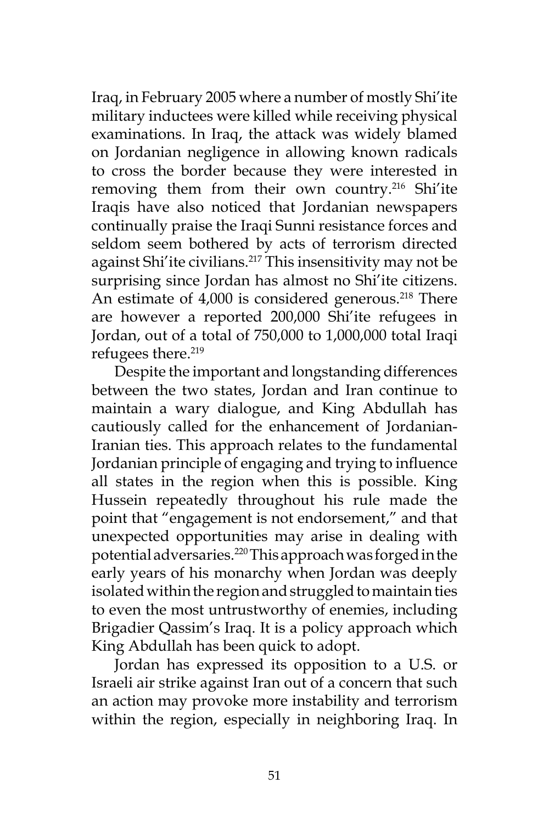Iraq, in February 2005 where a number of mostly Shi'ite military inductees were killed while receiving physical examinations. In Iraq, the attack was widely blamed on Jordanian negligence in allowing known radicals to cross the border because they were interested in removing them from their own country.<sup>216</sup> Shi'ite Iraqis have also noticed that Jordanian newspapers continually praise the Iraqi Sunni resistance forces and seldom seem bothered by acts of terrorism directed against Shi'ite civilians.<sup>217</sup> This insensitivity may not be surprising since Jordan has almost no Shi'ite citizens. An estimate of  $4,000$  is considered generous.<sup>218</sup> There are however a reported 200,000 Shi'ite refugees in Jordan, out of a total of 750,000 to 1,000,000 total Iraqi refugees there.<sup>219</sup>

Despite the important and longstanding differences between the two states, Jordan and Iran continue to maintain a wary dialogue, and King Abdullah has cautiously called for the enhancement of Jordanian-Iranian ties. This approach relates to the fundamental Jordanian principle of engaging and trying to influence all states in the region when this is possible. King Hussein repeatedly throughout his rule made the point that "engagement is not endorsement," and that unexpected opportunities may arise in dealing with potential adversaries.<sup>220</sup> This approach was forged in the early years of his monarchy when Jordan was deeply isolated within the region and struggled to maintain ties to even the most untrustworthy of enemies, including Brigadier Qassim's Iraq. It is a policy approach which King Abdullah has been quick to adopt.

Jordan has expressed its opposition to a U.S. or Israeli air strike against Iran out of a concern that such an action may provoke more instability and terrorism within the region, especially in neighboring Iraq. In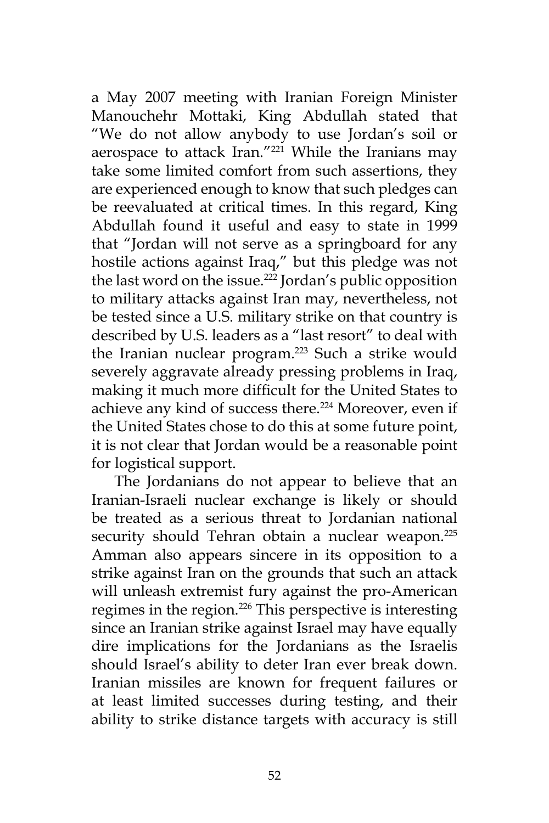a May 2007 meeting with Iranian Foreign Minister Manouchehr Mottaki, King Abdullah stated that "We do not allow anybody to use Jordan's soil or aerospace to attack Iran."<sup>221</sup> While the Iranians may take some limited comfort from such assertions, they are experienced enough to know that such pledges can be reevaluated at critical times. In this regard, King Abdullah found it useful and easy to state in 1999 that "Jordan will not serve as a springboard for any hostile actions against Iraq," but this pledge was not the last word on the issue.<sup>222</sup> Jordan's public opposition to military attacks against Iran may, nevertheless, not be tested since a U.S. military strike on that country is described by U.S. leaders as a "last resort" to deal with the Iranian nuclear program.<sup>223</sup> Such a strike would severely aggravate already pressing problems in Iraq, making it much more difficult for the United States to achieve any kind of success there.<sup>224</sup> Moreover, even if the United States chose to do this at some future point, it is not clear that Jordan would be a reasonable point for logistical support.

The Jordanians do not appear to believe that an Iranian-Israeli nuclear exchange is likely or should be treated as a serious threat to Jordanian national security should Tehran obtain a nuclear weapon.<sup>225</sup> Amman also appears sincere in its opposition to a strike against Iran on the grounds that such an attack will unleash extremist fury against the pro-American regimes in the region.<sup>226</sup> This perspective is interesting since an Iranian strike against Israel may have equally dire implications for the Jordanians as the Israelis should Israel's ability to deter Iran ever break down. Iranian missiles are known for frequent failures or at least limited successes during testing, and their ability to strike distance targets with accuracy is still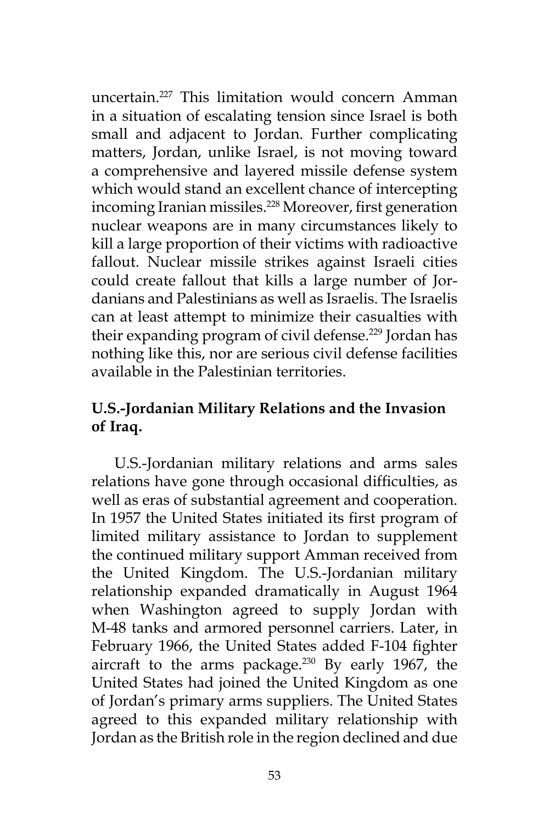uncertain.227 This limitation would concern Amman in a situation of escalating tension since Israel is both small and adjacent to Jordan. Further complicating matters, Jordan, unlike Israel, is not moving toward a comprehensive and layered missile defense system which would stand an excellent chance of intercepting incoming Iranian missiles.<sup>228</sup> Moreover, first generation nuclear weapons are in many circumstances likely to kill a large proportion of their victims with radioactive fallout. Nuclear missile strikes against Israeli cities could create fallout that kills a large number of Jordanians and Palestinians as well as Israelis. The Israelis can at least attempt to minimize their casualties with their expanding program of civil defense.<sup>229</sup> Jordan has nothing like this, nor are serious civil defense facilities available in the Palestinian territories.

# **U.S.-Jordanian Military Relations and the Invasion of Iraq.**

U.S.-Jordanian military relations and arms sales relations have gone through occasional difficulties, as well as eras of substantial agreement and cooperation. In 1957 the United States initiated its first program of limited military assistance to Jordan to supplement the continued military support Amman received from the United Kingdom. The U.S.-Jordanian military relationship expanded dramatically in August 1964 when Washington agreed to supply Jordan with M-48 tanks and armored personnel carriers. Later, in February 1966, the United States added F-104 fighter aircraft to the arms package. $230$  By early 1967, the United States had joined the United Kingdom as one of Jordan's primary arms suppliers. The United States agreed to this expanded military relationship with Jordan as the British role in the region declined and due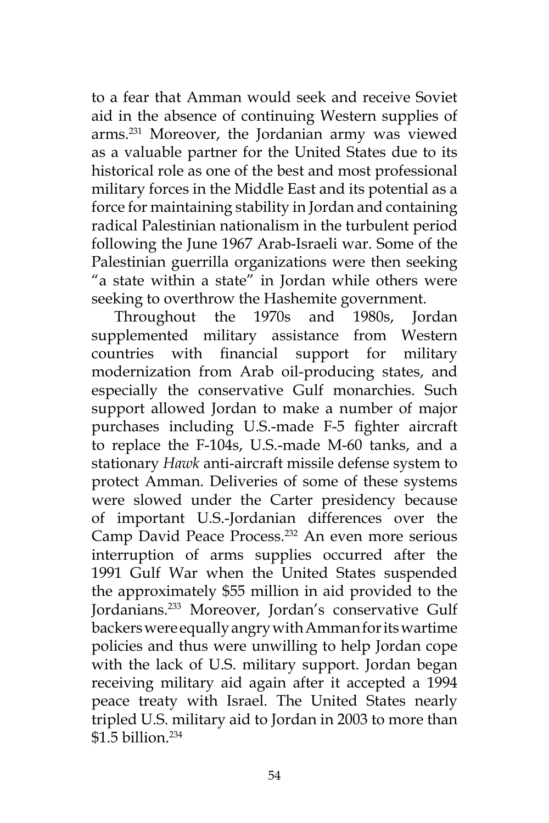to a fear that Amman would seek and receive Soviet aid in the absence of continuing Western supplies of arms.231 Moreover, the Jordanian army was viewed as a valuable partner for the United States due to its historical role as one of the best and most professional military forces in the Middle East and its potential as a force for maintaining stability in Jordan and containing radical Palestinian nationalism in the turbulent period following the June 1967 Arab-Israeli war. Some of the Palestinian guerrilla organizations were then seeking "a state within a state" in Jordan while others were seeking to overthrow the Hashemite government.

Throughout the 1970s and 1980s, Jordan supplemented military assistance from Western countries with financial support for military modernization from Arab oil-producing states, and especially the conservative Gulf monarchies. Such support allowed Jordan to make a number of major purchases including U.S.-made F-5 fighter aircraft to replace the F-104s, U.S.-made M-60 tanks, and a stationary *Hawk* anti-aircraft missile defense system to protect Amman. Deliveries of some of these systems were slowed under the Carter presidency because of important U.S.-Jordanian differences over the Camp David Peace Process.<sup>232</sup> An even more serious interruption of arms supplies occurred after the 1991 Gulf War when the United States suspended the approximately \$55 million in aid provided to the Jordanians.233 Moreover, Jordan's conservative Gulf backers were equally angry with Amman for its wartime policies and thus were unwilling to help Jordan cope with the lack of U.S. military support. Jordan began receiving military aid again after it accepted a 1994 peace treaty with Israel. The United States nearly tripled U.S. military aid to Jordan in 2003 to more than \$1.5 billion.234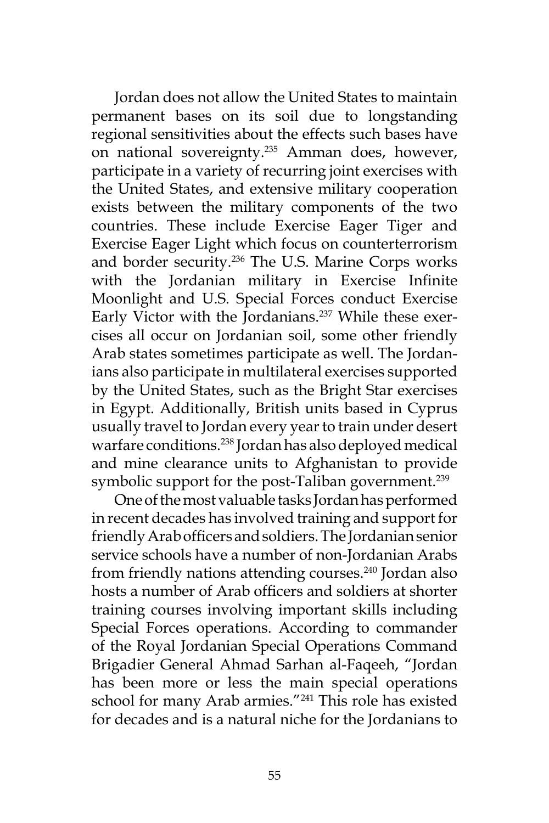Jordan does not allow the United States to maintain permanent bases on its soil due to longstanding regional sensitivities about the effects such bases have on national sovereignty.<sup>235</sup> Amman does, however, participate in a variety of recurring joint exercises with the United States, and extensive military cooperation exists between the military components of the two countries. These include Exercise Eager Tiger and Exercise Eager Light which focus on counterterrorism and border security.<sup>236</sup> The U.S. Marine Corps works with the Jordanian military in Exercise Infinite Moonlight and U.S. Special Forces conduct Exercise Early Victor with the Jordanians.<sup>237</sup> While these exercises all occur on Jordanian soil, some other friendly Arab states sometimes participate as well. The Jordanians also participate in multilateral exercises supported by the United States, such as the Bright Star exercises in Egypt. Additionally, British units based in Cyprus usually travel to Jordan every year to train under desert warfare conditions.238 Jordan has also deployed medical and mine clearance units to Afghanistan to provide symbolic support for the post-Taliban government.<sup>239</sup>

One of the most valuable tasks Jordan has performed in recent decades has involved training and support for friendly Arab officers and soldiers. The Jordanian senior service schools have a number of non-Jordanian Arabs from friendly nations attending courses.<sup>240</sup> Jordan also hosts a number of Arab officers and soldiers at shorter training courses involving important skills including Special Forces operations. According to commander of the Royal Jordanian Special Operations Command Brigadier General Ahmad Sarhan al-Faqeeh, "Jordan has been more or less the main special operations school for many Arab armies."241 This role has existed for decades and is a natural niche for the Jordanians to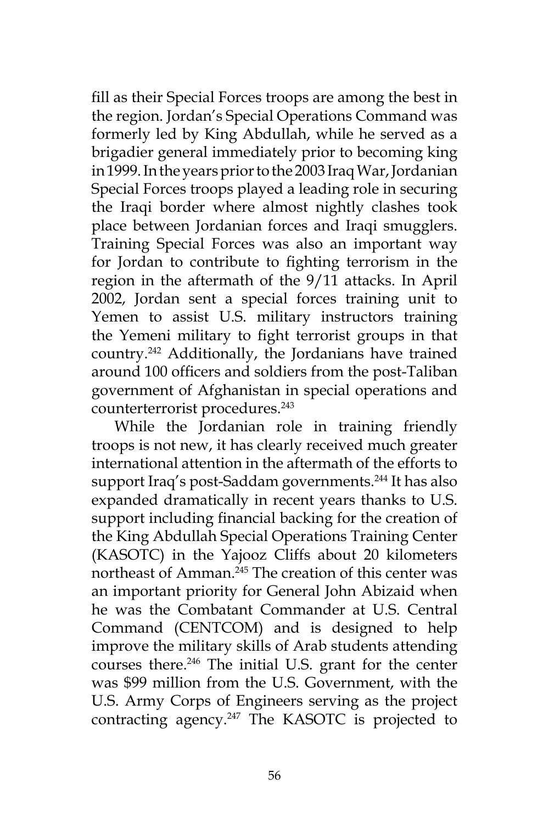fill as their Special Forces troops are among the best in the region. Jordan's Special Operations Command was formerly led by King Abdullah, while he served as a brigadier general immediately prior to becoming king in 1999. In the years prior to the 2003 Iraq War, Jordanian Special Forces troops played a leading role in securing the Iraqi border where almost nightly clashes took place between Jordanian forces and Iraqi smugglers. Training Special Forces was also an important way for Jordan to contribute to fighting terrorism in the region in the aftermath of the 9/11 attacks. In April 2002, Jordan sent a special forces training unit to Yemen to assist U.S. military instructors training the Yemeni military to fight terrorist groups in that country.242 Additionally, the Jordanians have trained around 100 officers and soldiers from the post-Taliban government of Afghanistan in special operations and counterterrorist procedures.<sup>243</sup>

While the Jordanian role in training friendly troops is not new, it has clearly received much greater international attention in the aftermath of the efforts to support Iraq's post-Saddam governments.<sup>244</sup> It has also expanded dramatically in recent years thanks to U.S. support including financial backing for the creation of the King Abdullah Special Operations Training Center (KASOTC) in the Yajooz Cliffs about 20 kilometers northeast of Amman.<sup>245</sup> The creation of this center was an important priority for General John Abizaid when he was the Combatant Commander at U.S. Central Command (CENTCOM) and is designed to help improve the military skills of Arab students attending courses there.<sup>246</sup> The initial U.S. grant for the center was \$99 million from the U.S. Government, with the U.S. Army Corps of Engineers serving as the project contracting agency.<sup>247</sup> The KASOTC is projected to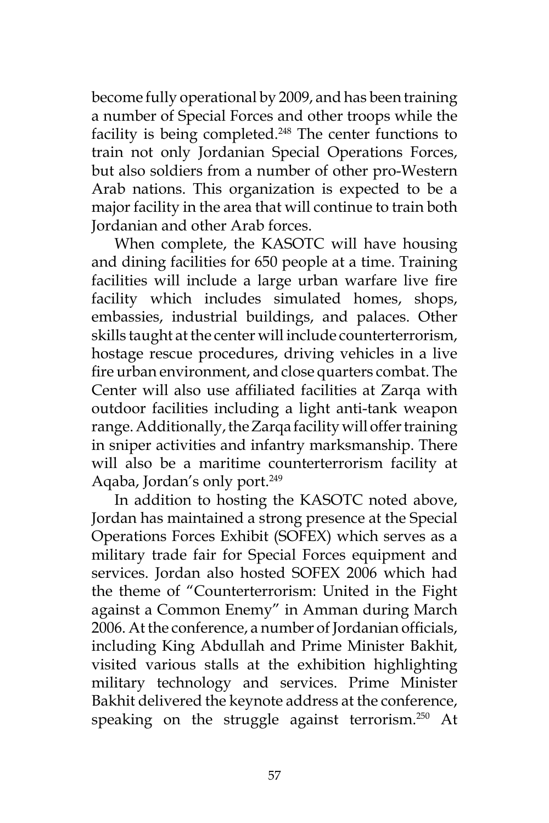become fully operational by 2009, and has been training a number of Special Forces and other troops while the facility is being completed.<sup>248</sup> The center functions to train not only Jordanian Special Operations Forces, but also soldiers from a number of other pro-Western Arab nations. This organization is expected to be a major facility in the area that will continue to train both Jordanian and other Arab forces.

When complete, the KASOTC will have housing and dining facilities for 650 people at a time. Training facilities will include a large urban warfare live fire facility which includes simulated homes, shops, embassies, industrial buildings, and palaces. Other skills taught at the center will include counterterrorism, hostage rescue procedures, driving vehicles in a live fire urban environment, and close quarters combat. The Center will also use affiliated facilities at Zarqa with outdoor facilities including a light anti-tank weapon range. Additionally, the Zarqa facility will offer training in sniper activities and infantry marksmanship. There will also be a maritime counterterrorism facility at Aqaba, Jordan's only port.<sup>249</sup>

In addition to hosting the KASOTC noted above, Jordan has maintained a strong presence at the Special Operations Forces Exhibit (SOFEX) which serves as a military trade fair for Special Forces equipment and services. Jordan also hosted SOFEX 2006 which had the theme of "Counterterrorism: United in the Fight against a Common Enemy" in Amman during March 2006. At the conference, a number of Jordanian officials, including King Abdullah and Prime Minister Bakhit, visited various stalls at the exhibition highlighting military technology and services. Prime Minister Bakhit delivered the keynote address at the conference, speaking on the struggle against terrorism.<sup>250</sup> At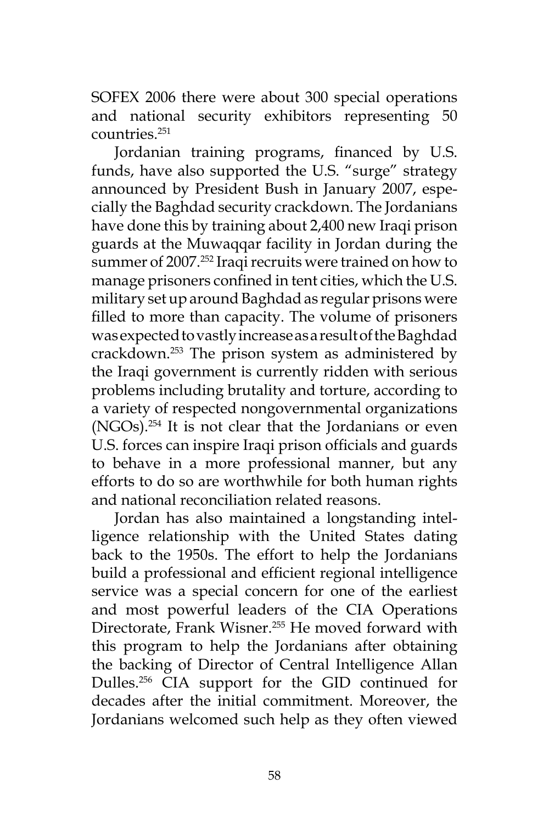SOFEX 2006 there were about 300 special operations and national security exhibitors representing 50 countries.251

Jordanian training programs, financed by U.S. funds, have also supported the U.S. "surge" strategy announced by President Bush in January 2007, especially the Baghdad security crackdown. The Jordanians have done this by training about 2,400 new Iraqi prison guards at the Muwaqqar facility in Jordan during the summer of 2007.<sup>252</sup> Iraqi recruits were trained on how to manage prisoners confined in tent cities, which the U.S. military set up around Baghdad as regular prisons were filled to more than capacity. The volume of prisoners was expected to vastly increase as a result of the Baghdad crackdown.253 The prison system as administered by the Iraqi government is currently ridden with serious problems including brutality and torture, according to a variety of respected nongovernmental organizations (NGOs).254 It is not clear that the Jordanians or even U.S. forces can inspire Iraqi prison officials and guards to behave in a more professional manner, but any efforts to do so are worthwhile for both human rights and national reconciliation related reasons.

Jordan has also maintained a longstanding intelligence relationship with the United States dating back to the 1950s. The effort to help the Jordanians build a professional and efficient regional intelligence service was a special concern for one of the earliest and most powerful leaders of the CIA Operations Directorate, Frank Wisner.<sup>255</sup> He moved forward with this program to help the Jordanians after obtaining the backing of Director of Central Intelligence Allan Dulles.256 CIA support for the GID continued for decades after the initial commitment. Moreover, the Jordanians welcomed such help as they often viewed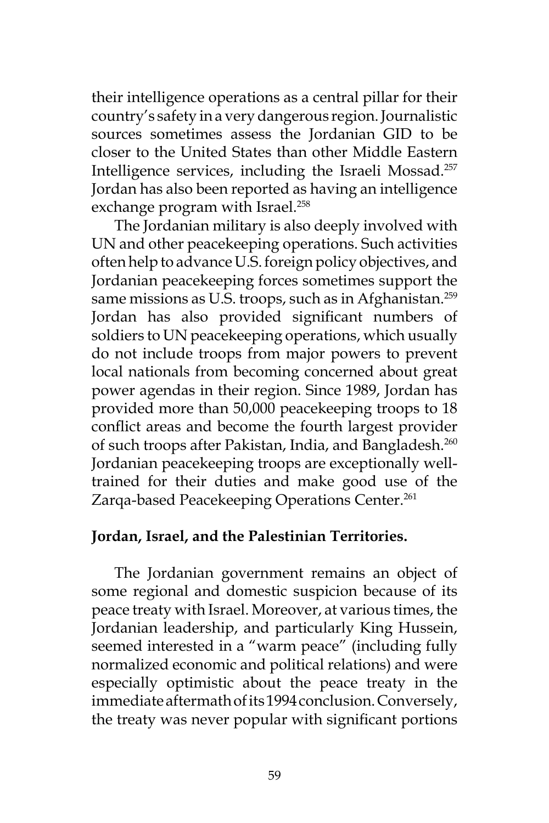their intelligence operations as a central pillar for their country's safety in a very dangerous region. Journalistic sources sometimes assess the Jordanian GID to be closer to the United States than other Middle Eastern Intelligence services, including the Israeli Mossad.257 Jordan has also been reported as having an intelligence exchange program with Israel.<sup>258</sup>

The Jordanian military is also deeply involved with UN and other peacekeeping operations. Such activities often help to advance U.S. foreign policy objectives, and Jordanian peacekeeping forces sometimes support the same missions as U.S. troops, such as in Afghanistan.<sup>259</sup> Jordan has also provided significant numbers of soldiers to UN peacekeeping operations, which usually do not include troops from major powers to prevent local nationals from becoming concerned about great power agendas in their region. Since 1989, Jordan has provided more than 50,000 peacekeeping troops to 18 conflict areas and become the fourth largest provider of such troops after Pakistan, India, and Bangladesh.<sup>260</sup> Jordanian peacekeeping troops are exceptionally welltrained for their duties and make good use of the Zarqa-based Peacekeeping Operations Center.<sup>261</sup>

#### **Jordan, Israel, and the Palestinian Territories.**

The Jordanian government remains an object of some regional and domestic suspicion because of its peace treaty with Israel. Moreover, at various times, the Jordanian leadership, and particularly King Hussein, seemed interested in a "warm peace" (including fully normalized economic and political relations) and were especially optimistic about the peace treaty in the immediate aftermath of its 1994 conclusion. Conversely, the treaty was never popular with significant portions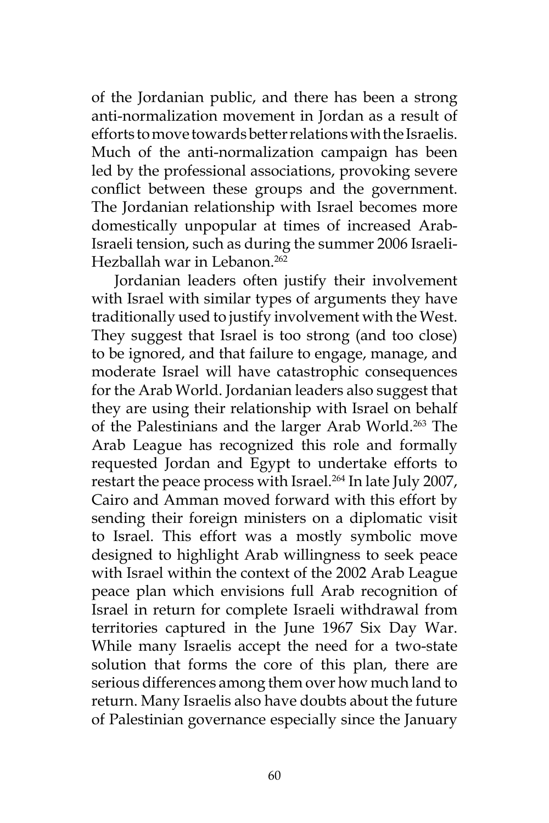of the Jordanian public, and there has been a strong anti-normalization movement in Jordan as a result of efforts to move towards better relations with the Israelis. Much of the anti-normalization campaign has been led by the professional associations, provoking severe conflict between these groups and the government. The Jordanian relationship with Israel becomes more domestically unpopular at times of increased Arab-Israeli tension, such as during the summer 2006 Israeli-Hezballah war in Lebanon.<sup>262</sup>

Jordanian leaders often justify their involvement with Israel with similar types of arguments they have traditionally used to justify involvement with the West. They suggest that Israel is too strong (and too close) to be ignored, and that failure to engage, manage, and moderate Israel will have catastrophic consequences for the Arab World. Jordanian leaders also suggest that they are using their relationship with Israel on behalf of the Palestinians and the larger Arab World.263 The Arab League has recognized this role and formally requested Jordan and Egypt to undertake efforts to restart the peace process with Israel.<sup>264</sup> In late July 2007, Cairo and Amman moved forward with this effort by sending their foreign ministers on a diplomatic visit to Israel. This effort was a mostly symbolic move designed to highlight Arab willingness to seek peace with Israel within the context of the 2002 Arab League peace plan which envisions full Arab recognition of Israel in return for complete Israeli withdrawal from territories captured in the June 1967 Six Day War. While many Israelis accept the need for a two-state solution that forms the core of this plan, there are serious differences among them over how much land to return. Many Israelis also have doubts about the future of Palestinian governance especially since the January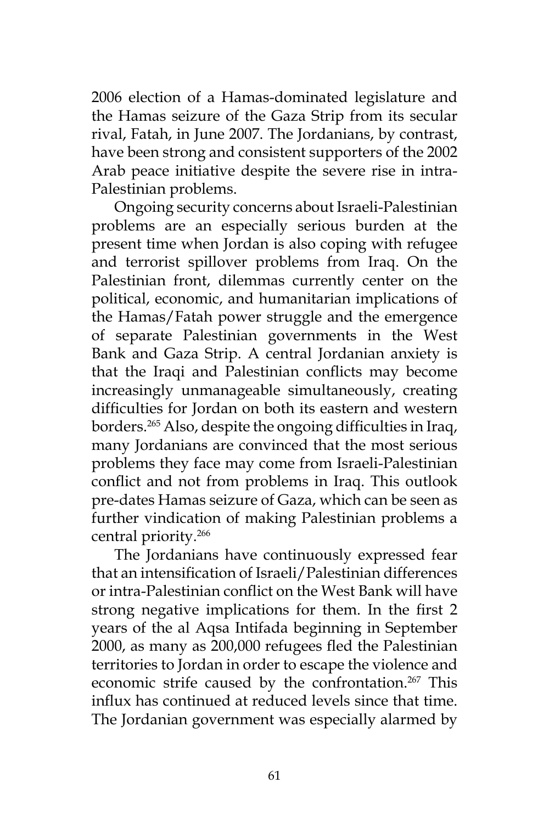2006 election of a Hamas-dominated legislature and the Hamas seizure of the Gaza Strip from its secular rival, Fatah, in June 2007. The Jordanians, by contrast, have been strong and consistent supporters of the 2002 Arab peace initiative despite the severe rise in intra-Palestinian problems.

Ongoing security concerns about Israeli-Palestinian problems are an especially serious burden at the present time when Jordan is also coping with refugee and terrorist spillover problems from Iraq. On the Palestinian front, dilemmas currently center on the political, economic, and humanitarian implications of the Hamas/Fatah power struggle and the emergence of separate Palestinian governments in the West Bank and Gaza Strip. A central Jordanian anxiety is that the Iraqi and Palestinian conflicts may become increasingly unmanageable simultaneously, creating difficulties for Jordan on both its eastern and western borders.265 Also, despite the ongoing difficulties in Iraq, many Jordanians are convinced that the most serious problems they face may come from Israeli-Palestinian conflict and not from problems in Iraq. This outlook pre-dates Hamas seizure of Gaza, which can be seen as further vindication of making Palestinian problems a central priority.266

The Jordanians have continuously expressed fear that an intensification of Israeli/Palestinian differences or intra-Palestinian conflict on the West Bank will have strong negative implications for them. In the first 2 years of the al Aqsa Intifada beginning in September 2000, as many as 200,000 refugees fled the Palestinian territories to Jordan in order to escape the violence and economic strife caused by the confrontation.<sup>267</sup> This influx has continued at reduced levels since that time. The Jordanian government was especially alarmed by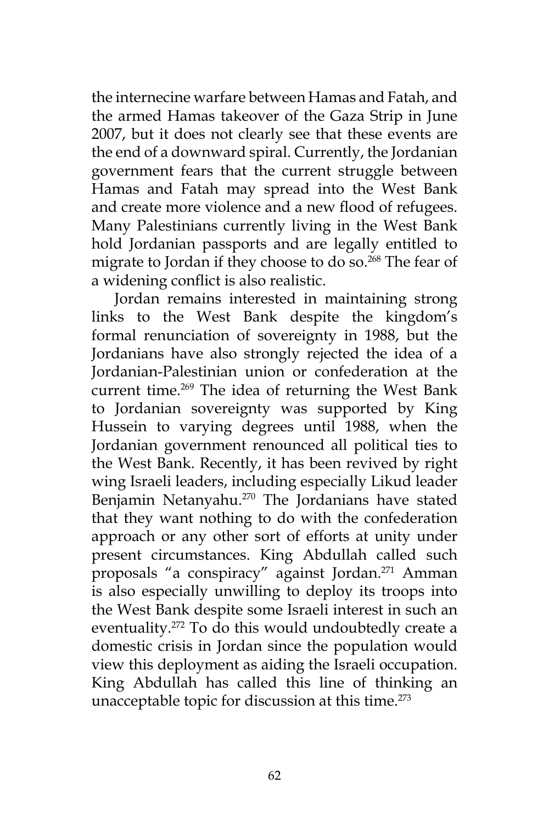the internecine warfare between Hamas and Fatah, and the armed Hamas takeover of the Gaza Strip in June 2007, but it does not clearly see that these events are the end of a downward spiral. Currently, the Jordanian government fears that the current struggle between Hamas and Fatah may spread into the West Bank and create more violence and a new flood of refugees. Many Palestinians currently living in the West Bank hold Jordanian passports and are legally entitled to migrate to Jordan if they choose to do so.<sup>268</sup> The fear of a widening conflict is also realistic.

Jordan remains interested in maintaining strong links to the West Bank despite the kingdom's formal renunciation of sovereignty in 1988, but the Jordanians have also strongly rejected the idea of a Jordanian-Palestinian union or confederation at the current time.<sup>269</sup> The idea of returning the West Bank to Jordanian sovereignty was supported by King Hussein to varying degrees until 1988, when the Jordanian government renounced all political ties to the West Bank. Recently, it has been revived by right wing Israeli leaders, including especially Likud leader Benjamin Netanyahu.<sup>270</sup> The Jordanians have stated that they want nothing to do with the confederation approach or any other sort of efforts at unity under present circumstances. King Abdullah called such proposals "a conspiracy" against Jordan.<sup>271</sup> Amman is also especially unwilling to deploy its troops into the West Bank despite some Israeli interest in such an eventuality.272 To do this would undoubtedly create a domestic crisis in Jordan since the population would view this deployment as aiding the Israeli occupation. King Abdullah has called this line of thinking an unacceptable topic for discussion at this time.<sup>273</sup>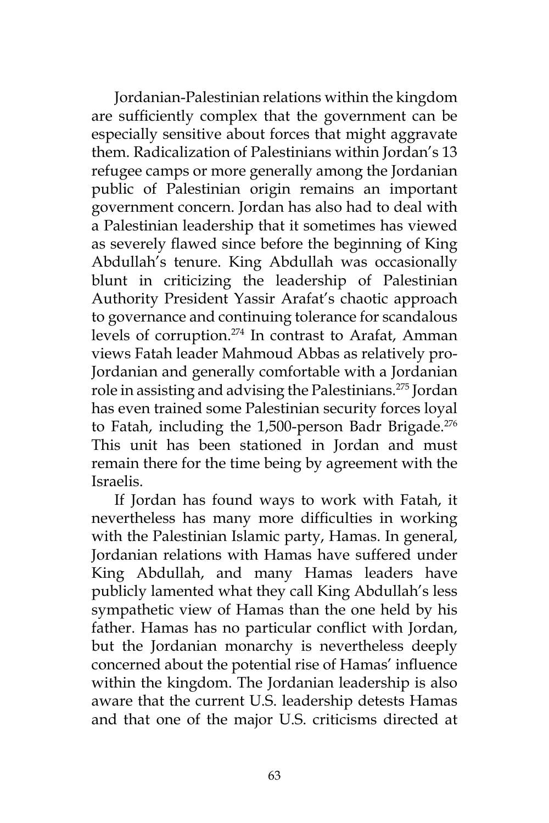Jordanian-Palestinian relations within the kingdom are sufficiently complex that the government can be especially sensitive about forces that might aggravate them. Radicalization of Palestinians within Jordan's 13 refugee camps or more generally among the Jordanian public of Palestinian origin remains an important government concern. Jordan has also had to deal with a Palestinian leadership that it sometimes has viewed as severely flawed since before the beginning of King Abdullah's tenure. King Abdullah was occasionally blunt in criticizing the leadership of Palestinian Authority President Yassir Arafat's chaotic approach to governance and continuing tolerance for scandalous levels of corruption.<sup>274</sup> In contrast to Arafat, Amman views Fatah leader Mahmoud Abbas as relatively pro-Jordanian and generally comfortable with a Jordanian role in assisting and advising the Palestinians.275 Jordan has even trained some Palestinian security forces loyal to Fatah, including the 1,500-person Badr Brigade.<sup>276</sup> This unit has been stationed in Jordan and must remain there for the time being by agreement with the Israelis.

If Jordan has found ways to work with Fatah, it nevertheless has many more difficulties in working with the Palestinian Islamic party, Hamas. In general, Jordanian relations with Hamas have suffered under King Abdullah, and many Hamas leaders have publicly lamented what they call King Abdullah's less sympathetic view of Hamas than the one held by his father. Hamas has no particular conflict with Jordan, but the Jordanian monarchy is nevertheless deeply concerned about the potential rise of Hamas' influence within the kingdom. The Jordanian leadership is also aware that the current U.S. leadership detests Hamas and that one of the major U.S. criticisms directed at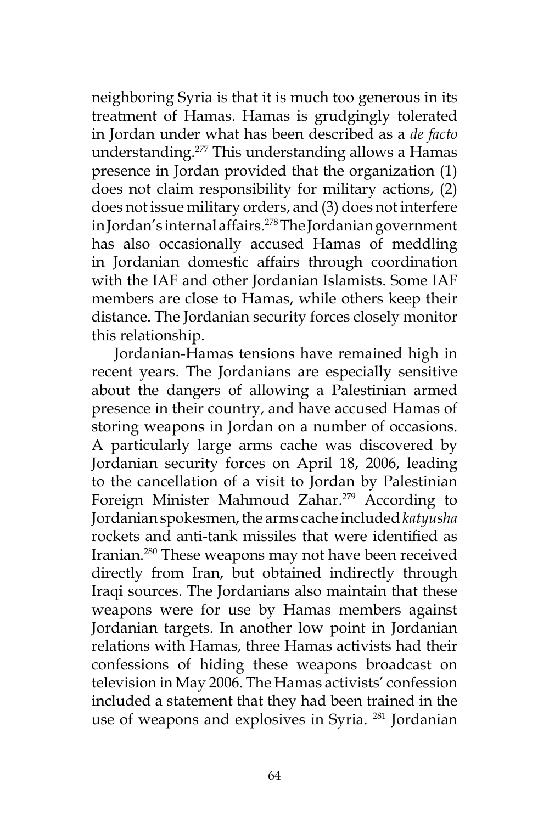neighboring Syria is that it is much too generous in its treatment of Hamas. Hamas is grudgingly tolerated in Jordan under what has been described as a *de facto* understanding.277 This understanding allows a Hamas presence in Jordan provided that the organization (1) does not claim responsibility for military actions, (2) does not issue military orders, and (3) does not interfere in Jordan's internal affairs.<sup>278</sup> The Jordanian government has also occasionally accused Hamas of meddling in Jordanian domestic affairs through coordination with the IAF and other Jordanian Islamists. Some IAF members are close to Hamas, while others keep their distance. The Jordanian security forces closely monitor this relationship.

Jordanian-Hamas tensions have remained high in recent years. The Jordanians are especially sensitive about the dangers of allowing a Palestinian armed presence in their country, and have accused Hamas of storing weapons in Jordan on a number of occasions. A particularly large arms cache was discovered by Jordanian security forces on April 18, 2006, leading to the cancellation of a visit to Jordan by Palestinian Foreign Minister Mahmoud Zahar.<sup>279</sup> According to Jordanian spokesmen, the arms cache included *katyusha* rockets and anti-tank missiles that were identified as Iranian.280 These weapons may not have been received directly from Iran, but obtained indirectly through Iraqi sources. The Jordanians also maintain that these weapons were for use by Hamas members against Jordanian targets. In another low point in Jordanian relations with Hamas, three Hamas activists had their confessions of hiding these weapons broadcast on television in May 2006. The Hamas activists' confession included a statement that they had been trained in the use of weapons and explosives in Syria.<sup>281</sup> Jordanian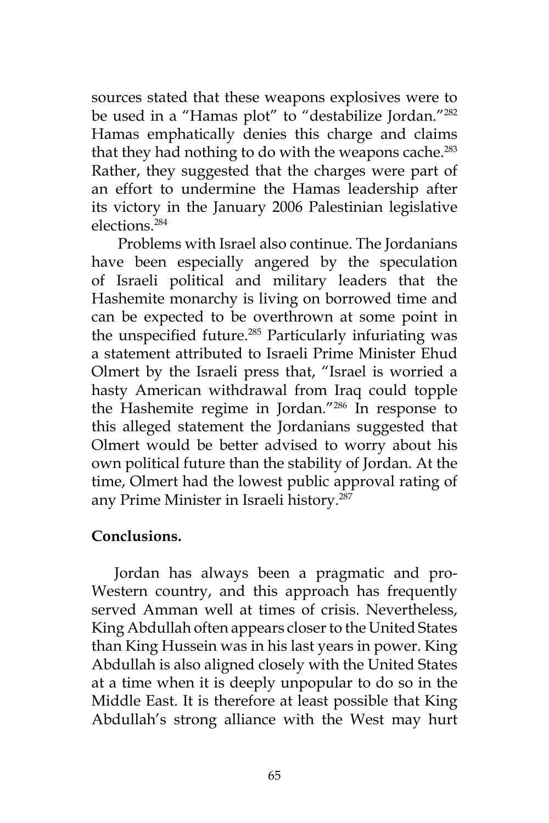sources stated that these weapons explosives were to be used in a "Hamas plot" to "destabilize Jordan."<sup>282</sup> Hamas emphatically denies this charge and claims that they had nothing to do with the weapons cache.<sup>283</sup> Rather, they suggested that the charges were part of an effort to undermine the Hamas leadership after its victory in the January 2006 Palestinian legislative elections<sup>284</sup>

 Problems with Israel also continue. The Jordanians have been especially angered by the speculation of Israeli political and military leaders that the Hashemite monarchy is living on borrowed time and can be expected to be overthrown at some point in the unspecified future.285 Particularly infuriating was a statement attributed to Israeli Prime Minister Ehud Olmert by the Israeli press that, "Israel is worried a hasty American withdrawal from Iraq could topple the Hashemite regime in Jordan."286 In response to this alleged statement the Jordanians suggested that Olmert would be better advised to worry about his own political future than the stability of Jordan. At the time, Olmert had the lowest public approval rating of any Prime Minister in Israeli history.<sup>287</sup>

## **Conclusions.**

Jordan has always been a pragmatic and pro-Western country, and this approach has frequently served Amman well at times of crisis. Nevertheless, King Abdullah often appears closer to the United States than King Hussein was in his last years in power. King Abdullah is also aligned closely with the United States at a time when it is deeply unpopular to do so in the Middle East. It is therefore at least possible that King Abdullah's strong alliance with the West may hurt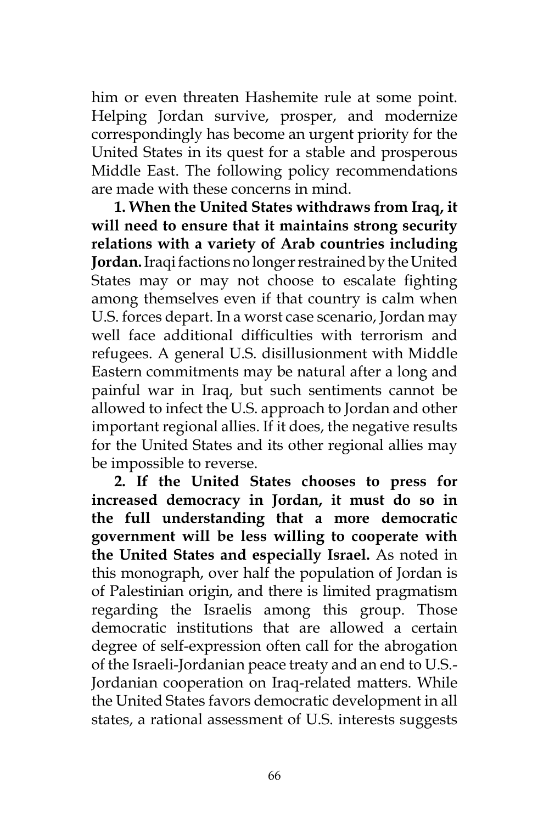him or even threaten Hashemite rule at some point. Helping Jordan survive, prosper, and modernize correspondingly has become an urgent priority for the United States in its quest for a stable and prosperous Middle East. The following policy recommendations are made with these concerns in mind.

**1. When the United States withdraws from Iraq, it will need to ensure that it maintains strong security relations with a variety of Arab countries including Jordan.** Iraqi factions no longer restrained by the United States may or may not choose to escalate fighting among themselves even if that country is calm when U.S. forces depart. In a worst case scenario, Jordan may well face additional difficulties with terrorism and refugees. A general U.S. disillusionment with Middle Eastern commitments may be natural after a long and painful war in Iraq, but such sentiments cannot be allowed to infect the U.S. approach to Jordan and other important regional allies. If it does, the negative results for the United States and its other regional allies may be impossible to reverse.

**2. If the United States chooses to press for increased democracy in Jordan, it must do so in the full understanding that a more democratic government will be less willing to cooperate with the United States and especially Israel.** As noted in this monograph, over half the population of Jordan is of Palestinian origin, and there is limited pragmatism regarding the Israelis among this group. Those democratic institutions that are allowed a certain degree of self-expression often call for the abrogation of the Israeli-Jordanian peace treaty and an end to U.S.- Jordanian cooperation on Iraq-related matters. While the United States favors democratic development in all states, a rational assessment of U.S. interests suggests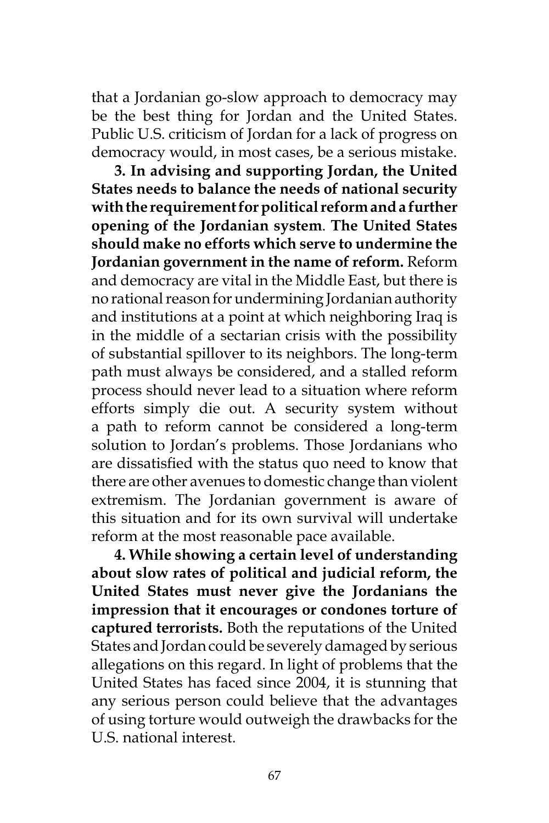that a Jordanian go-slow approach to democracy may be the best thing for Jordan and the United States. Public U.S. criticism of Jordan for a lack of progress on democracy would, in most cases, be a serious mistake.

**3. In advising and supporting Jordan, the United States needs to balance the needs of national security with the requirement for political reform and a further opening of the Jordanian system**. **The United States should make no efforts which serve to undermine the Jordanian government in the name of reform.** Reform and democracy are vital in the Middle East, but there is no rational reason for undermining Jordanian authority and institutions at a point at which neighboring Iraq is in the middle of a sectarian crisis with the possibility of substantial spillover to its neighbors. The long-term path must always be considered, and a stalled reform process should never lead to a situation where reform efforts simply die out. A security system without a path to reform cannot be considered a long-term solution to Jordan's problems. Those Jordanians who are dissatisfied with the status quo need to know that there are other avenues to domestic change than violent extremism. The Jordanian government is aware of this situation and for its own survival will undertake reform at the most reasonable pace available.

**4. While showing a certain level of understanding about slow rates of political and judicial reform, the United States must never give the Jordanians the impression that it encourages or condones torture of captured terrorists.** Both the reputations of the United States and Jordan could be severely damaged by serious allegations on this regard. In light of problems that the United States has faced since 2004, it is stunning that any serious person could believe that the advantages of using torture would outweigh the drawbacks for the U.S. national interest.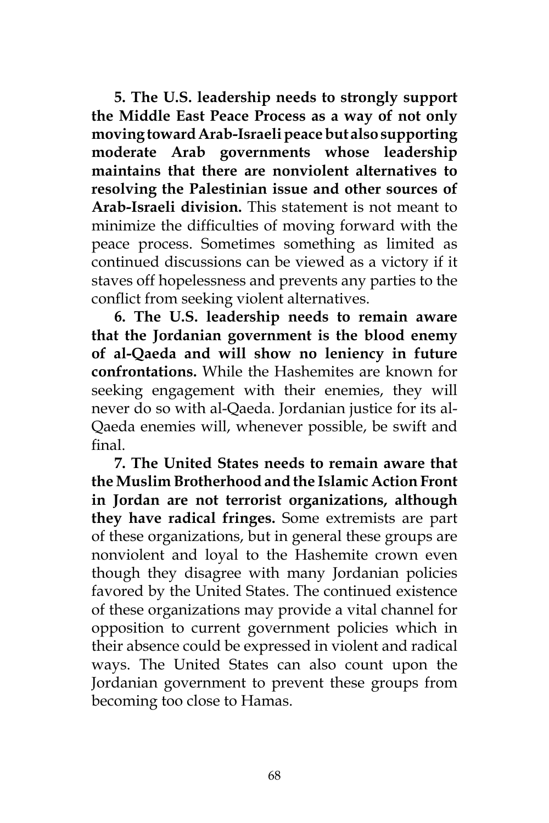**5. The U.S. leadership needs to strongly support the Middle East Peace Process as a way of not only moving toward Arab-Israeli peace but also supporting moderate Arab governments whose leadership maintains that there are nonviolent alternatives to resolving the Palestinian issue and other sources of Arab-Israeli division.** This statement is not meant to minimize the difficulties of moving forward with the peace process. Sometimes something as limited as continued discussions can be viewed as a victory if it staves off hopelessness and prevents any parties to the conflict from seeking violent alternatives.

**6. The U.S. leadership needs to remain aware that the Jordanian government is the blood enemy of al-Qaeda and will show no leniency in future confrontations.** While the Hashemites are known for seeking engagement with their enemies, they will never do so with al-Qaeda. Jordanian justice for its al-Qaeda enemies will, whenever possible, be swift and final.

**7. The United States needs to remain aware that the Muslim Brotherhood and the Islamic Action Front in Jordan are not terrorist organizations, although they have radical fringes.** Some extremists are part of these organizations, but in general these groups are nonviolent and loyal to the Hashemite crown even though they disagree with many Jordanian policies favored by the United States. The continued existence of these organizations may provide a vital channel for opposition to current government policies which in their absence could be expressed in violent and radical ways. The United States can also count upon the Jordanian government to prevent these groups from becoming too close to Hamas.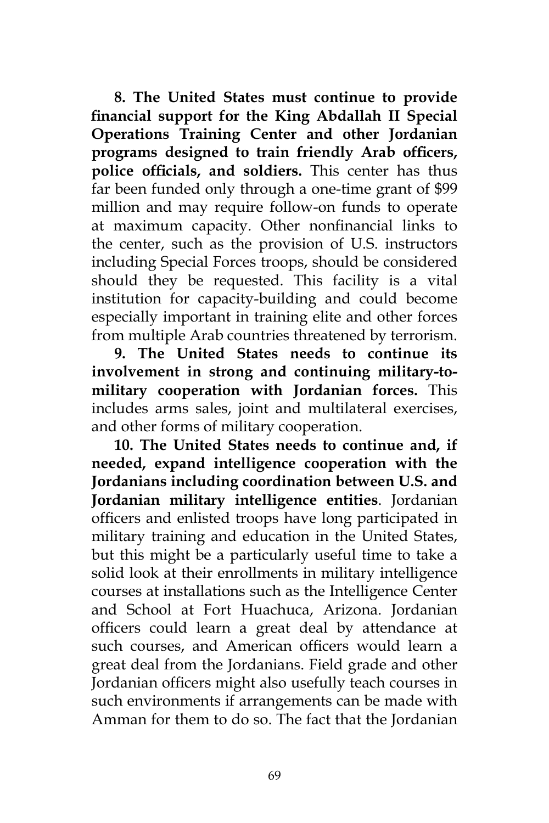**8. The United States must continue to provide financial support for the King Abdallah II Special Operations Training Center and other Jordanian programs designed to train friendly Arab officers, police officials, and soldiers.** This center has thus far been funded only through a one-time grant of \$99 million and may require follow-on funds to operate at maximum capacity. Other nonfinancial links to the center, such as the provision of U.S. instructors including Special Forces troops, should be considered should they be requested. This facility is a vital institution for capacity-building and could become especially important in training elite and other forces from multiple Arab countries threatened by terrorism.

**9. The United States needs to continue its involvement in strong and continuing military-tomilitary cooperation with Jordanian forces.** This includes arms sales, joint and multilateral exercises, and other forms of military cooperation.

**10. The United States needs to continue and, if needed, expand intelligence cooperation with the Jordanians including coordination between U.S. and Jordanian military intelligence entities**. Jordanian officers and enlisted troops have long participated in military training and education in the United States, but this might be a particularly useful time to take a solid look at their enrollments in military intelligence courses at installations such as the Intelligence Center and School at Fort Huachuca, Arizona. Jordanian officers could learn a great deal by attendance at such courses, and American officers would learn a great deal from the Jordanians. Field grade and other Jordanian officers might also usefully teach courses in such environments if arrangements can be made with Amman for them to do so. The fact that the Jordanian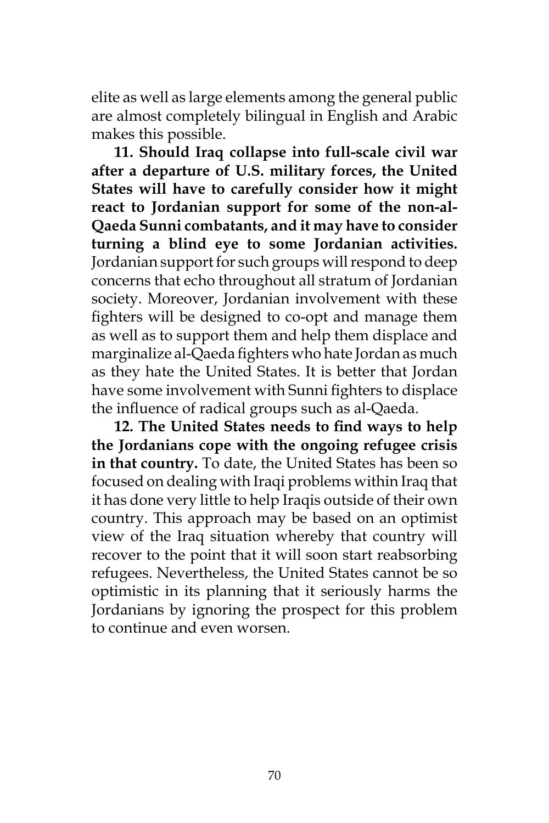elite as well as large elements among the general public are almost completely bilingual in English and Arabic makes this possible.

**11. Should Iraq collapse into full-scale civil war after a departure of U.S. military forces, the United States will have to carefully consider how it might react to Jordanian support for some of the non-al-Qaeda Sunni combatants, and it may have to consider turning a blind eye to some Jordanian activities.** Jordanian support for such groups will respond to deep concerns that echo throughout all stratum of Jordanian society. Moreover, Jordanian involvement with these fighters will be designed to co-opt and manage them as well as to support them and help them displace and marginalize al-Qaeda fighters who hate Jordan as much as they hate the United States. It is better that Jordan have some involvement with Sunni fighters to displace the influence of radical groups such as al-Qaeda.

**12. The United States needs to find ways to help the Jordanians cope with the ongoing refugee crisis in that country.** To date, the United States has been so focused on dealing with Iraqi problems within Iraq that it has done very little to help Iraqis outside of their own country. This approach may be based on an optimist view of the Iraq situation whereby that country will recover to the point that it will soon start reabsorbing refugees. Nevertheless, the United States cannot be so optimistic in its planning that it seriously harms the Jordanians by ignoring the prospect for this problem to continue and even worsen.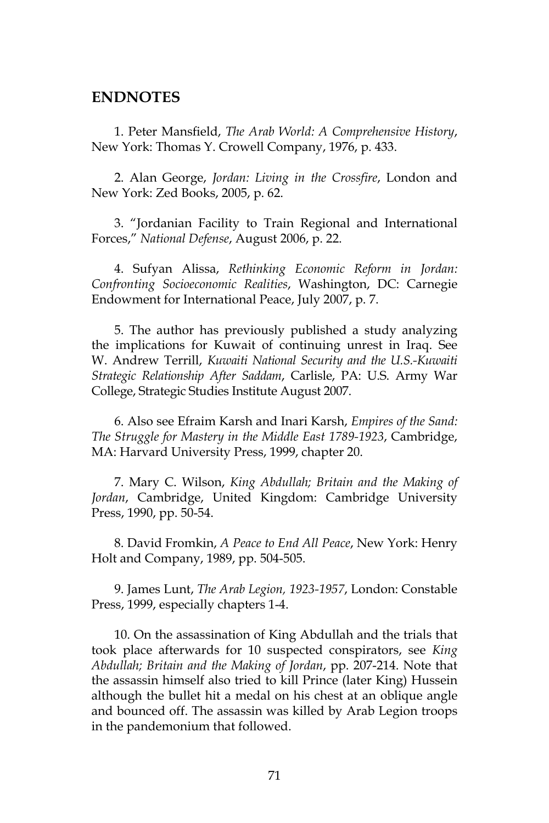## **ENDNOTES**

1. Peter Mansfield, *The Arab World: A Comprehensive History*, New York: Thomas Y. Crowell Company, 1976, p. 433.

2. Alan George, *Jordan: Living in the Crossfire*, London and New York: Zed Books, 2005, p. 62.

3. "Jordanian Facility to Train Regional and International Forces," *National Defense*, August 2006, p. 22.

4. Sufyan Alissa, *Rethinking Economic Reform in Jordan: Confronting Socioeconomic Realities*, Washington, DC: Carnegie Endowment for International Peace, July 2007, p. 7.

5. The author has previously published a study analyzing the implications for Kuwait of continuing unrest in Iraq. See W. Andrew Terrill, *Kuwaiti National Security and the U.S.-Kuwaiti Strategic Relationship After Saddam*, Carlisle, PA: U.S. Army War College, Strategic Studies Institute August 2007.

6. Also see Efraim Karsh and Inari Karsh, *Empires of the Sand: The Struggle for Mastery in the Middle East 1789-1923*, Cambridge, MA: Harvard University Press, 1999, chapter 20.

7. Mary C. Wilson, *King Abdullah; Britain and the Making of Jordan*, Cambridge, United Kingdom: Cambridge University Press, 1990, pp. 50-54.

8. David Fromkin, *A Peace to End All Peace*, New York: Henry Holt and Company, 1989, pp. 504-505.

9. James Lunt, *The Arab Legion, 1923-1957*, London: Constable Press, 1999, especially chapters 1-4.

10. On the assassination of King Abdullah and the trials that took place afterwards for 10 suspected conspirators, see *King Abdullah; Britain and the Making of Jordan*, pp. 207-214. Note that the assassin himself also tried to kill Prince (later King) Hussein although the bullet hit a medal on his chest at an oblique angle and bounced off. The assassin was killed by Arab Legion troops in the pandemonium that followed.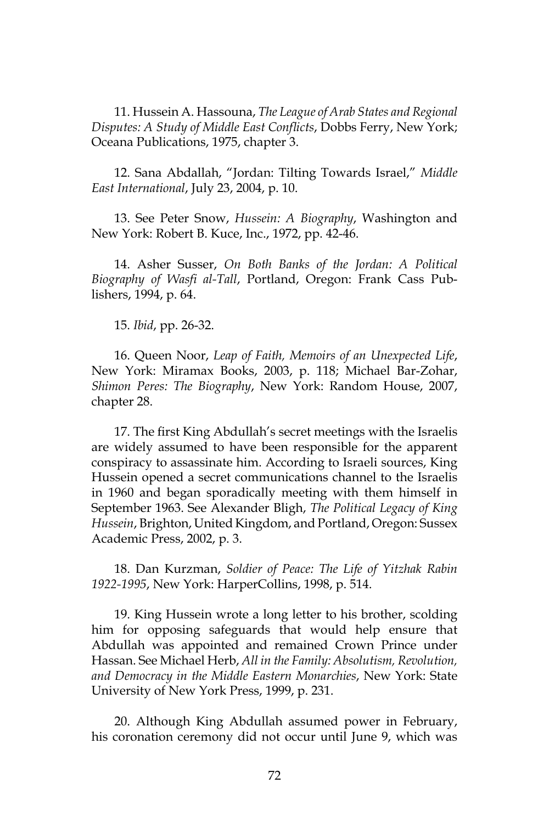11. Hussein A. Hassouna, *The League of Arab States and Regional Disputes: A Study of Middle East Conflicts*, Dobbs Ferry, New York; Oceana Publications, 1975, chapter 3.

12. Sana Abdallah, "Jordan: Tilting Towards Israel," *Middle East International*, July 23, 2004, p. 10.

13. See Peter Snow, *Hussein: A Biography*, Washington and New York: Robert B. Kuce, Inc., 1972, pp. 42-46.

14. Asher Susser, *On Both Banks of the Jordan: A Political Biography of Wasfi al-Tall*, Portland, Oregon: Frank Cass Publishers, 1994, p. 64.

15. *Ibid*, pp. 26-32.

16. Queen Noor, *Leap of Faith, Memoirs of an Unexpected Life*, New York: Miramax Books, 2003, p. 118; Michael Bar-Zohar, *Shimon Peres: The Biography*, New York: Random House, 2007, chapter 28.

17. The first King Abdullah's secret meetings with the Israelis are widely assumed to have been responsible for the apparent conspiracy to assassinate him. According to Israeli sources, King Hussein opened a secret communications channel to the Israelis in 1960 and began sporadically meeting with them himself in September 1963. See Alexander Bligh, *The Political Legacy of King Hussein*, Brighton, United Kingdom, and Portland, Oregon: Sussex Academic Press, 2002, p. 3.

18. Dan Kurzman, *Soldier of Peace: The Life of Yitzhak Rabin 1922-1995*, New York: HarperCollins, 1998, p. 514.

19. King Hussein wrote a long letter to his brother, scolding him for opposing safeguards that would help ensure that Abdullah was appointed and remained Crown Prince under Hassan. See Michael Herb, *All in the Family: Absolutism, Revolution, and Democracy in the Middle Eastern Monarchies*, New York: State University of New York Press, 1999, p. 231.

20. Although King Abdullah assumed power in February, his coronation ceremony did not occur until June 9, which was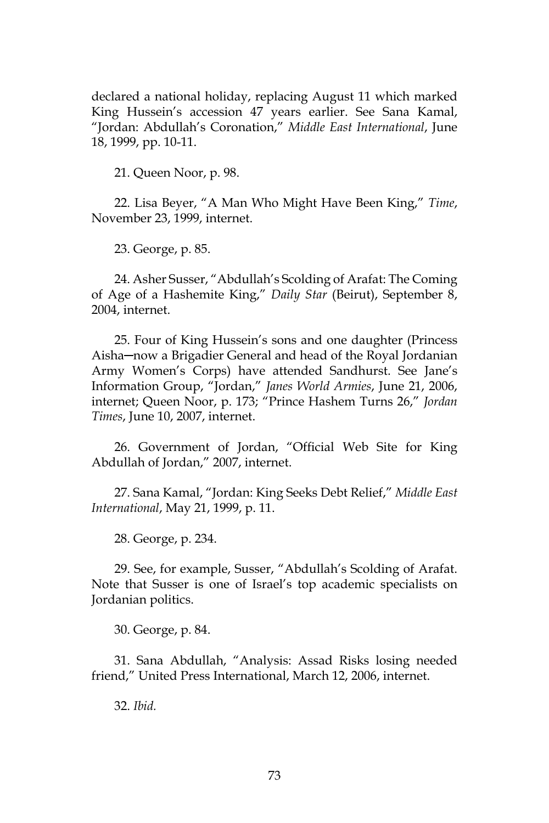declared a national holiday, replacing August 11 which marked King Hussein's accession 47 years earlier. See Sana Kamal, "Jordan: Abdullah's Coronation," *Middle East International*, June 18, 1999, pp. 10-11.

21. Queen Noor, p. 98.

22. Lisa Beyer, "A Man Who Might Have Been King," *Time*, November 23, 1999, internet.

23. George, p. 85.

24. Asher Susser, "Abdullah's Scolding of Arafat: The Coming of Age of a Hashemite King," *Daily Star* (Beirut), September 8, 2004, internet.

25. Four of King Hussein's sons and one daughter (Princess Aisha─now a Brigadier General and head of the Royal Jordanian Army Women's Corps) have attended Sandhurst. See Jane's Information Group, "Jordan," *Janes World Armies*, June 21, 2006, internet; Queen Noor, p. 173; "Prince Hashem Turns 26," *Jordan Times*, June 10, 2007, internet.

26. Government of Jordan, "Official Web Site for King Abdullah of Jordan," 2007, internet.

27. Sana Kamal, "Jordan: King Seeks Debt Relief," *Middle East International*, May 21, 1999, p. 11.

28. George, p. 234.

29. See, for example, Susser, "Abdullah's Scolding of Arafat. Note that Susser is one of Israel's top academic specialists on Jordanian politics.

30. George, p. 84.

31. Sana Abdullah, "Analysis: Assad Risks losing needed friend," United Press International, March 12, 2006, internet.

32. *Ibid.*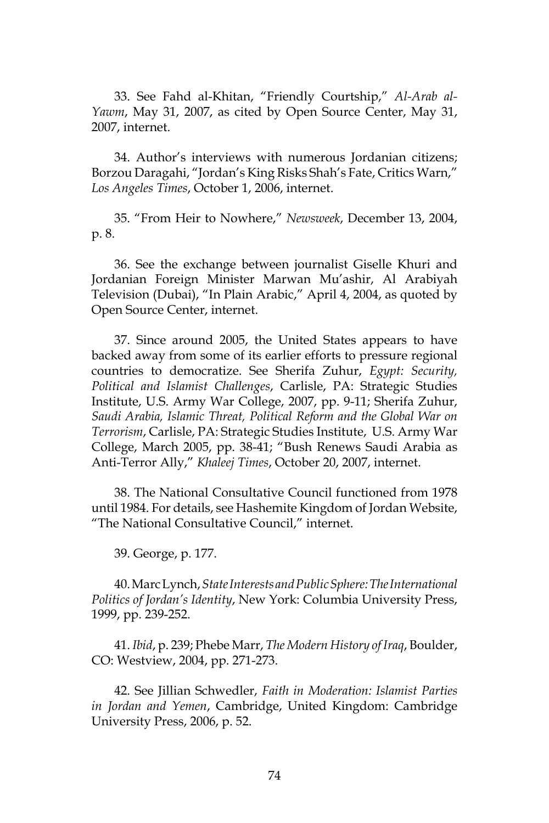33. See Fahd al-Khitan, "Friendly Courtship," *Al-Arab al-Yawm*, May 31, 2007, as cited by Open Source Center, May 31, 2007, internet.

34. Author's interviews with numerous Jordanian citizens; Borzou Daragahi, "Jordan's King Risks Shah's Fate, Critics Warn," *Los Angeles Times*, October 1, 2006, internet.

35. "From Heir to Nowhere," *Newsweek*, December 13, 2004, p. 8.

36. See the exchange between journalist Giselle Khuri and Jordanian Foreign Minister Marwan Mu'ashir, Al Arabiyah Television (Dubai), "In Plain Arabic," April 4, 2004, as quoted by Open Source Center, internet.

37. Since around 2005, the United States appears to have backed away from some of its earlier efforts to pressure regional countries to democratize. See Sherifa Zuhur, *Egypt: Security, Political and Islamist Challenges*, Carlisle, PA: Strategic Studies Institute, U.S. Army War College, 2007, pp. 9-11; Sherifa Zuhur, *Saudi Arabia, Islamic Threat, Political Reform and the Global War on Terrorism*, Carlisle, PA: Strategic Studies Institute, U.S. Army War College, March 2005, pp. 38-41; "Bush Renews Saudi Arabia as Anti-Terror Ally," *Khaleej Times*, October 20, 2007, internet.

38. The National Consultative Council functioned from 1978 until 1984. For details, see Hashemite Kingdom of Jordan Website, "The National Consultative Council," internet.

39. George, p. 177.

40. Marc Lynch, *State Interests and Public Sphere: The International Politics of Jordan's Identity*, New York: Columbia University Press, 1999, pp. 239-252.

41. *Ibid*, p. 239; Phebe Marr, *The Modern History of Iraq*, Boulder, CO: Westview, 2004, pp. 271-273.

42. See Jillian Schwedler, *Faith in Moderation: Islamist Parties in Jordan and Yemen*, Cambridge, United Kingdom: Cambridge University Press, 2006, p. 52.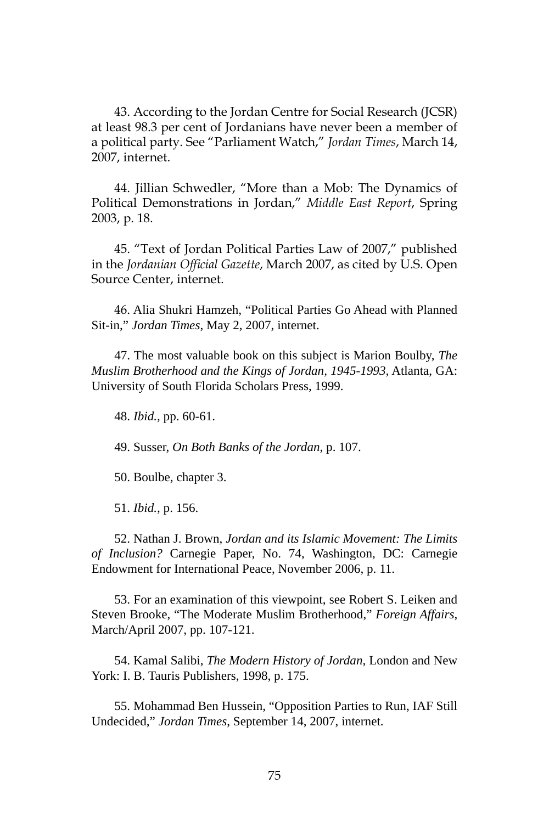43. According to the Jordan Centre for Social Research (JCSR) at least 98.3 per cent of Jordanians have never been a member of a political party. See "Parliament Watch," *Jordan Times*, March 14, 2007, internet.

44. Jillian Schwedler, "More than a Mob: The Dynamics of Political Demonstrations in Jordan," *Middle East Report*, Spring 2003, p. 18.

45. "Text of Jordan Political Parties Law of 2007," published in the *Jordanian Official Gazette*, March 2007, as cited by U.S. Open Source Center, internet.

46. Alia Shukri Hamzeh, "Political Parties Go Ahead with Planned Sit-in," *Jordan Times*, May 2, 2007, internet.

47. The most valuable book on this subject is Marion Boulby, *The Muslim Brotherhood and the Kings of Jordan, 1945-1993*, Atlanta, GA: University of South Florida Scholars Press, 1999.

48. *Ibid.,* pp. 60-61.

49. Susser, *On Both Banks of the Jordan*, p. 107.

50. Boulbe, chapter 3.

51. *Ibid.*, p. 156.

52. Nathan J. Brown, *Jordan and its Islamic Movement: The Limits of Inclusion?* Carnegie Paper, No. 74, Washington, DC: Carnegie Endowment for International Peace, November 2006, p. 11.

53. For an examination of this viewpoint, see Robert S. Leiken and Steven Brooke, "The Moderate Muslim Brotherhood," *Foreign Affairs*, March/April 2007, pp. 107-121.

54. Kamal Salibi, *The Modern History of Jordan*, London and New York: I. B. Tauris Publishers, 1998, p. 175.

55. Mohammad Ben Hussein, "Opposition Parties to Run, IAF Still Undecided," *Jordan Times*, September 14, 2007, internet.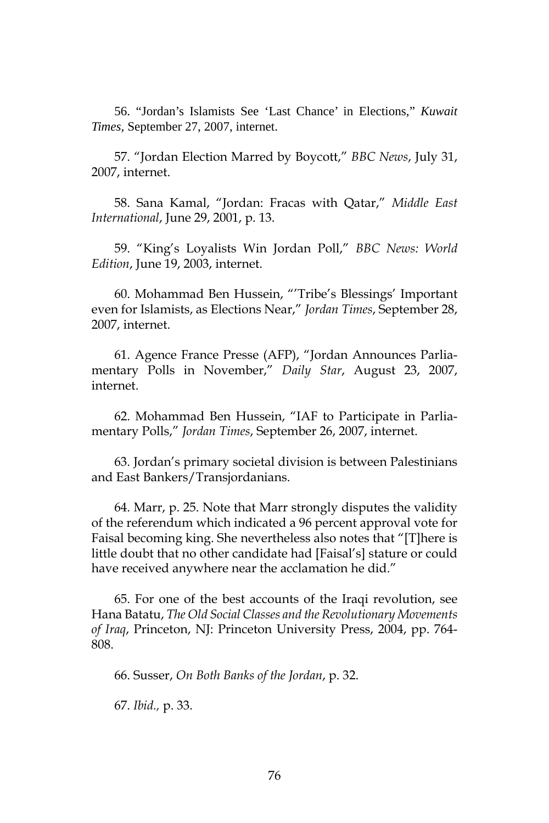56. "Jordan's Islamists See 'Last Chance' in Elections," *Kuwait Times*, September 27, 2007, internet.

57. "Jordan Election Marred by Boycott," *BBC News*, July 31, 2007, internet.

58. Sana Kamal, "Jordan: Fracas with Qatar," *Middle East International*, June 29, 2001, p. 13.

59. "King's Loyalists Win Jordan Poll," *BBC News: World Edition*, June 19, 2003, internet.

60. Mohammad Ben Hussein, "'Tribe's Blessings' Important even for Islamists, as Elections Near," *Jordan Times*, September 28, 2007, internet.

61. Agence France Presse (AFP), "Jordan Announces Parliamentary Polls in November," *Daily Star*, August 23, 2007, internet.

62. Mohammad Ben Hussein, "IAF to Participate in Parliamentary Polls," *Jordan Times*, September 26, 2007, internet.

63. Jordan's primary societal division is between Palestinians and East Bankers/Transjordanians.

64. Marr, p. 25. Note that Marr strongly disputes the validity of the referendum which indicated a 96 percent approval vote for Faisal becoming king. She nevertheless also notes that "[T]here is little doubt that no other candidate had [Faisal's] stature or could have received anywhere near the acclamation he did."

65. For one of the best accounts of the Iraqi revolution, see Hana Batatu, *The Old Social Classes and the Revolutionary Movements of Iraq*, Princeton, NJ: Princeton University Press, 2004, pp. 764- 808.

66. Susser, *On Both Banks of the Jordan*, p. 32.

67. *Ibid.,* p. 33.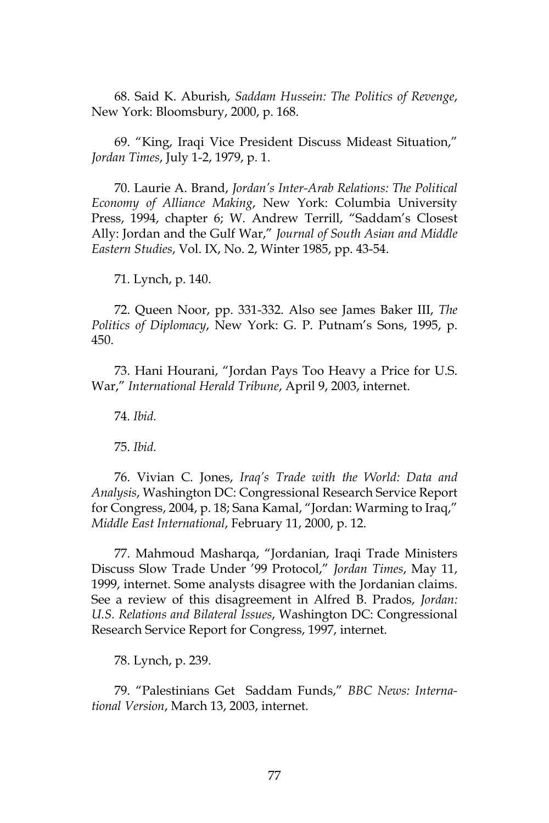68. Said K. Aburish, *Saddam Hussein: The Politics of Revenge*, New York: Bloomsbury, 2000, p. 168.

69. "King, Iraqi Vice President Discuss Mideast Situation," *Jordan Times*, July 1-2, 1979, p. 1.

70. Laurie A. Brand, *Jordan's Inter-Arab Relations: The Political Economy of Alliance Making*, New York: Columbia University Press, 1994, chapter 6; W. Andrew Terrill, "Saddam's Closest Ally: Jordan and the Gulf War," *Journal of South Asian and Middle Eastern Studies*, Vol. IX, No. 2, Winter 1985, pp. 43-54.

71. Lynch, p. 140.

72. Queen Noor, pp. 331-332. Also see James Baker III, *The Politics of Diplomacy*, New York: G. P. Putnam's Sons, 1995, p. 450.

73. Hani Hourani, "Jordan Pays Too Heavy a Price for U.S. War," *International Herald Tribune*, April 9, 2003, internet.

74. *Ibid.*

75. *Ibid.*

76. Vivian C. Jones, *Iraq's Trade with the World: Data and Analysis*, Washington DC: Congressional Research Service Report for Congress, 2004, p. 18; Sana Kamal, "Jordan: Warming to Iraq," *Middle East International*, February 11, 2000, p. 12.

77. Mahmoud Masharqa, "Jordanian, Iraqi Trade Ministers Discuss Slow Trade Under '99 Protocol," *Jordan Times*, May 11, 1999, internet. Some analysts disagree with the Jordanian claims. See a review of this disagreement in Alfred B. Prados, *Jordan: U.S. Relations and Bilateral Issues*, Washington DC: Congressional Research Service Report for Congress, 1997, internet.

78. Lynch, p. 239.

79. "Palestinians Get Saddam Funds," *BBC News: International Version*, March 13, 2003, internet.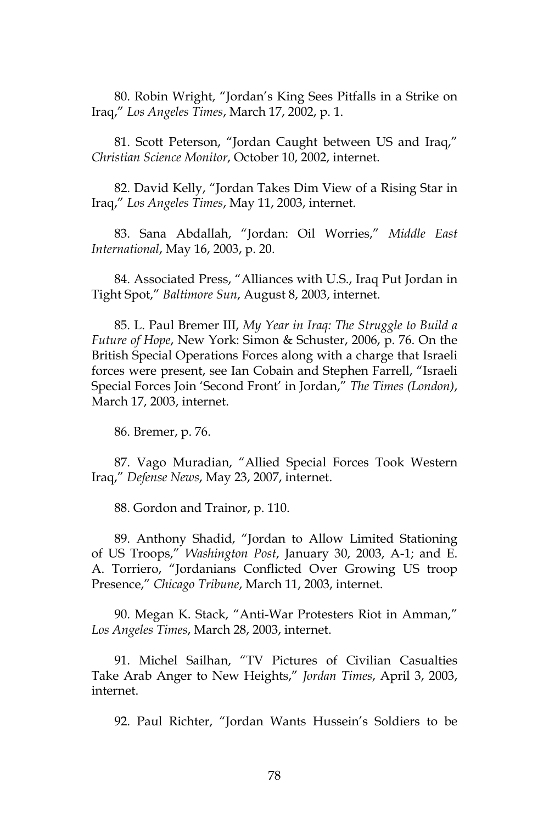80. Robin Wright, "Jordan's King Sees Pitfalls in a Strike on Iraq," *Los Angeles Times*, March 17, 2002, p. 1.

81. Scott Peterson, "Jordan Caught between US and Iraq," *Christian Science Monitor*, October 10, 2002, internet.

82. David Kelly, "Jordan Takes Dim View of a Rising Star in Iraq," *Los Angeles Times*, May 11, 2003, internet.

83. Sana Abdallah, "Jordan: Oil Worries," *Middle East International*, May 16, 2003, p. 20.

84. Associated Press, "Alliances with U.S., Iraq Put Jordan in Tight Spot," *Baltimore Sun*, August 8, 2003, internet.

85. L. Paul Bremer III, *My Year in Iraq: The Struggle to Build a Future of Hope*, New York: Simon & Schuster, 2006, p. 76. On the British Special Operations Forces along with a charge that Israeli forces were present, see Ian Cobain and Stephen Farrell, "Israeli Special Forces Join 'Second Front' in Jordan," *The Times (London)*, March 17, 2003, internet.

86. Bremer, p. 76.

87. Vago Muradian, "Allied Special Forces Took Western Iraq," *Defense News*, May 23, 2007, internet.

88. Gordon and Trainor, p. 110.

89. Anthony Shadid, "Jordan to Allow Limited Stationing of US Troops," *Washington Post*, January 30, 2003, A-1; and E. A. Torriero, "Jordanians Conflicted Over Growing US troop Presence," *Chicago Tribune*, March 11, 2003, internet.

90. Megan K. Stack, "Anti-War Protesters Riot in Amman," *Los Angeles Times*, March 28, 2003, internet.

91. Michel Sailhan, "TV Pictures of Civilian Casualties Take Arab Anger to New Heights," *Jordan Times*, April 3, 2003, internet.

92. Paul Richter, "Jordan Wants Hussein's Soldiers to be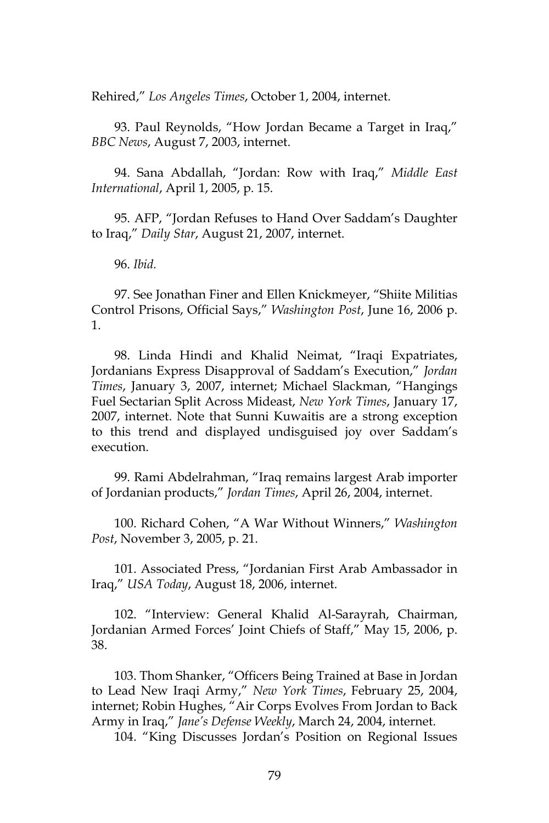Rehired," *Los Angeles Times*, October 1, 2004, internet.

93. Paul Reynolds, "How Jordan Became a Target in Iraq," *BBC News*, August 7, 2003, internet.

94. Sana Abdallah, "Jordan: Row with Iraq," *Middle East International*, April 1, 2005, p. 15.

95. AFP, "Jordan Refuses to Hand Over Saddam's Daughter to Iraq," *Daily Star*, August 21, 2007, internet.

96. *Ibid.*

97. See Jonathan Finer and Ellen Knickmeyer, "Shiite Militias Control Prisons, Official Says," *Washington Post*, June 16, 2006 p. 1.

98. Linda Hindi and Khalid Neimat, "Iraqi Expatriates, Jordanians Express Disapproval of Saddam's Execution," *Jordan Times*, January 3, 2007, internet; Michael Slackman, "Hangings Fuel Sectarian Split Across Mideast, *New York Times*, January 17, 2007, internet. Note that Sunni Kuwaitis are a strong exception to this trend and displayed undisguised joy over Saddam's execution.

99. Rami Abdelrahman, "Iraq remains largest Arab importer of Jordanian products," *Jordan Times*, April 26, 2004, internet.

100. Richard Cohen, "A War Without Winners," *Washington Post*, November 3, 2005, p. 21.

101. Associated Press, "Jordanian First Arab Ambassador in Iraq," *USA Today*, August 18, 2006, internet.

102. "Interview: General Khalid Al-Sarayrah, Chairman, Jordanian Armed Forces' Joint Chiefs of Staff," May 15, 2006, p. 38.

103. Thom Shanker, "Officers Being Trained at Base in Jordan to Lead New Iraqi Army," *New York Times*, February 25, 2004, internet; Robin Hughes, "Air Corps Evolves From Jordan to Back Army in Iraq," *Jane's Defense Weekly*, March 24, 2004, internet.

104. "King Discusses Jordan's Position on Regional Issues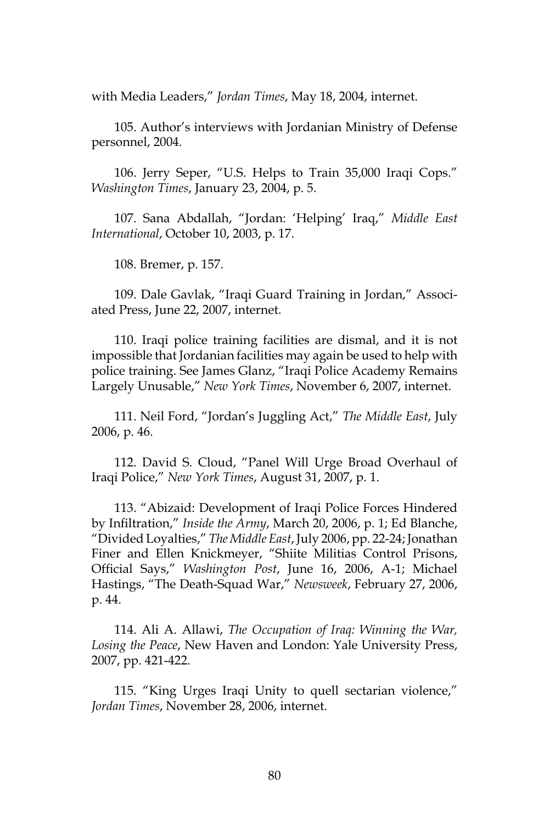with Media Leaders," *Jordan Times*, May 18, 2004, internet.

105. Author's interviews with Jordanian Ministry of Defense personnel, 2004.

106. Jerry Seper, "U.S. Helps to Train 35,000 Iraqi Cops." *Washington Times*, January 23, 2004, p. 5.

107. Sana Abdallah, "Jordan: 'Helping' Iraq," *Middle East International*, October 10, 2003, p. 17.

108. Bremer, p. 157.

109. Dale Gavlak, "Iraqi Guard Training in Jordan," Associated Press, June 22, 2007, internet.

110. Iraqi police training facilities are dismal, and it is not impossible that Jordanian facilities may again be used to help with police training. See James Glanz, "Iraqi Police Academy Remains Largely Unusable," *New York Times*, November 6, 2007, internet.

111. Neil Ford, "Jordan's Juggling Act," *The Middle East*, July 2006, p. 46.

112. David S. Cloud, "Panel Will Urge Broad Overhaul of Iraqi Police," *New York Times*, August 31, 2007, p. 1.

113. "Abizaid: Development of Iraqi Police Forces Hindered by Infiltration," *Inside the Army*, March 20, 2006, p. 1; Ed Blanche, "Divided Loyalties," *The Middle East*, July 2006, pp. 22-24; Jonathan Finer and Ellen Knickmeyer, "Shiite Militias Control Prisons, Official Says," *Washington Post*, June 16, 2006, A-1; Michael Hastings, "The Death-Squad War," *Newsweek*, February 27, 2006, p. 44.

114. Ali A. Allawi, *The Occupation of Iraq: Winning the War, Losing the Peace*, New Haven and London: Yale University Press, 2007, pp. 421-422.

115. "King Urges Iraqi Unity to quell sectarian violence," *Jordan Times*, November 28, 2006, internet.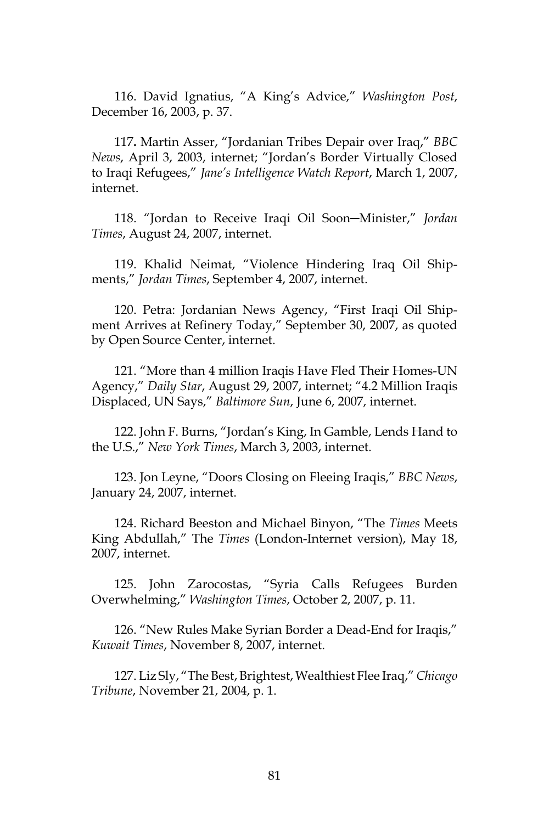116. David Ignatius, "A King's Advice," *Washington Post*, December 16, 2003, p. 37.

117**.** Martin Asser, "Jordanian Tribes Depair over Iraq," *BBC News*, April 3, 2003, internet; "Jordan's Border Virtually Closed to Iraqi Refugees," *Jane's Intelligence Watch Report*, March 1, 2007, internet.

118. "Jordan to Receive Iraqi Oil Soon─Minister," *Jordan Times*, August 24, 2007, internet.

119. Khalid Neimat, "Violence Hindering Iraq Oil Shipments," *Jordan Times*, September 4, 2007, internet.

120. Petra: Jordanian News Agency, "First Iraqi Oil Shipment Arrives at Refinery Today," September 30, 2007, as quoted by Open Source Center, internet.

121. "More than 4 million Iraqis Have Fled Their Homes-UN Agency," *Daily Star*, August 29, 2007, internet; "4.2 Million Iraqis Displaced, UN Says," *Baltimore Sun*, June 6, 2007, internet.

122. John F. Burns, "Jordan's King, In Gamble, Lends Hand to the U.S.," *New York Times*, March 3, 2003, internet.

123. Jon Leyne, "Doors Closing on Fleeing Iraqis," *BBC News*, January 24, 2007, internet.

124. Richard Beeston and Michael Binyon, "The *Times* Meets King Abdullah," The *Times* (London-Internet version), May 18, 2007, internet.

125. John Zarocostas, "Syria Calls Refugees Burden Overwhelming," *Washington Times*, October 2, 2007, p. 11.

126. "New Rules Make Syrian Border a Dead-End for Iraqis," *Kuwait Times*, November 8, 2007, internet.

127. Liz Sly, "The Best, Brightest, Wealthiest Flee Iraq," *Chicago Tribune*, November 21, 2004, p. 1.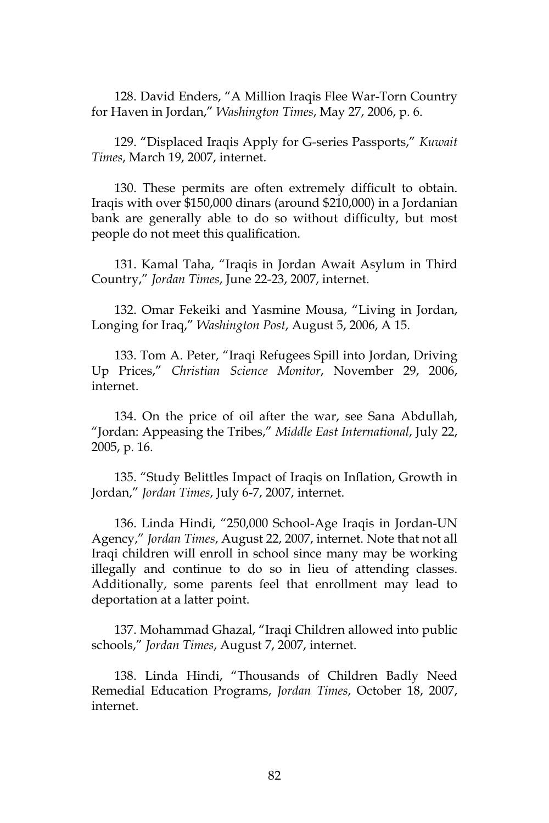128. David Enders, "A Million Iraqis Flee War-Torn Country for Haven in Jordan," *Washington Times*, May 27, 2006, p. 6.

129. "Displaced Iraqis Apply for G-series Passports," *Kuwait Times*, March 19, 2007, internet.

130. These permits are often extremely difficult to obtain. Iraqis with over \$150,000 dinars (around \$210,000) in a Jordanian bank are generally able to do so without difficulty, but most people do not meet this qualification.

131. Kamal Taha, "Iraqis in Jordan Await Asylum in Third Country," *Jordan Times*, June 22-23, 2007, internet.

132. Omar Fekeiki and Yasmine Mousa, "Living in Jordan, Longing for Iraq," *Washington Post*, August 5, 2006, A 15.

133. Tom A. Peter, "Iraqi Refugees Spill into Jordan, Driving Up Prices," *Christian Science Monitor*, November 29, 2006, internet.

134. On the price of oil after the war, see Sana Abdullah, "Jordan: Appeasing the Tribes," *Middle East International*, July 22, 2005, p. 16.

135. "Study Belittles Impact of Iraqis on Inflation, Growth in Jordan," *Jordan Times*, July 6-7, 2007, internet.

136. Linda Hindi, "250,000 School-Age Iraqis in Jordan-UN Agency," *Jordan Times*, August 22, 2007, internet. Note that not all Iraqi children will enroll in school since many may be working illegally and continue to do so in lieu of attending classes. Additionally, some parents feel that enrollment may lead to deportation at a latter point.

137. Mohammad Ghazal, "Iraqi Children allowed into public schools," *Jordan Times*, August 7, 2007, internet.

138. Linda Hindi, "Thousands of Children Badly Need Remedial Education Programs, *Jordan Times*, October 18, 2007, internet.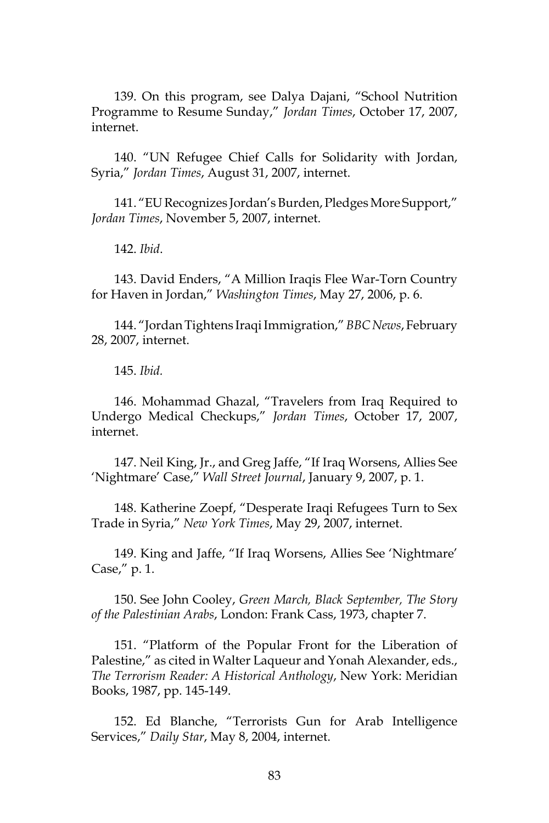139. On this program, see Dalya Dajani, "School Nutrition Programme to Resume Sunday," *Jordan Times*, October 17, 2007, internet.

140. "UN Refugee Chief Calls for Solidarity with Jordan, Syria," *Jordan Times*, August 31, 2007, internet.

141. "EU Recognizes Jordan's Burden, Pledges More Support," *Jordan Times*, November 5, 2007, internet.

142. *Ibid*.

143. David Enders, "A Million Iraqis Flee War-Torn Country for Haven in Jordan," *Washington Times*, May 27, 2006, p. 6.

144. "Jordan Tightens Iraqi Immigration," *BBC News*, February 28, 2007, internet.

145. *Ibid.*

146. Mohammad Ghazal, "Travelers from Iraq Required to Undergo Medical Checkups," *Jordan Times*, October 17, 2007, internet.

147. Neil King, Jr., and Greg Jaffe, "If Iraq Worsens, Allies See 'Nightmare' Case," *Wall Street Journal*, January 9, 2007, p. 1.

148. Katherine Zoepf, "Desperate Iraqi Refugees Turn to Sex Trade in Syria," *New York Times*, May 29, 2007, internet.

149. King and Jaffe, "If Iraq Worsens, Allies See 'Nightmare' Case," p. 1.

150. See John Cooley, *Green March, Black September, The Story of the Palestinian Arabs*, London: Frank Cass, 1973, chapter 7.

151. "Platform of the Popular Front for the Liberation of Palestine," as cited in Walter Laqueur and Yonah Alexander, eds., *The Terrorism Reader: A Historical Anthology*, New York: Meridian Books, 1987, pp. 145-149.

152. Ed Blanche, "Terrorists Gun for Arab Intelligence Services," *Daily Star*, May 8, 2004, internet.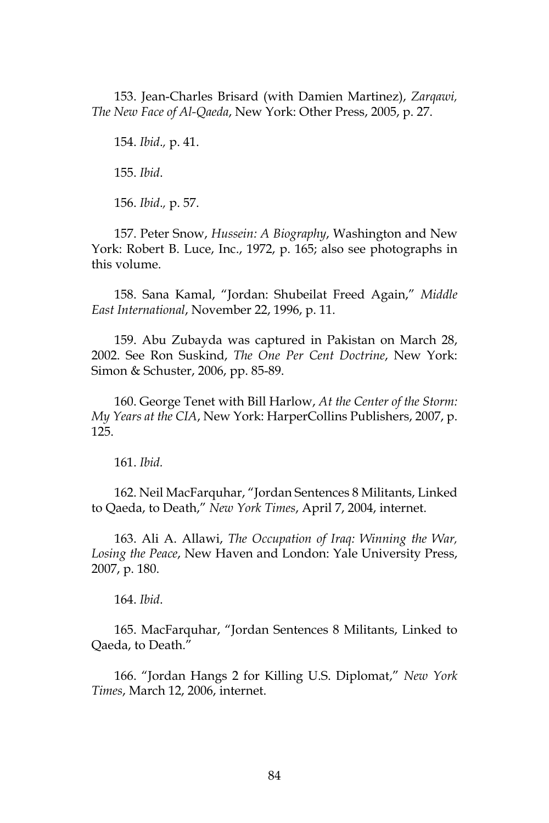153. Jean-Charles Brisard (with Damien Martinez), *Zarqawi, The New Face of Al-Qaeda*, New York: Other Press, 2005, p. 27.

154. *Ibid*.*,* p. 41.

155. *Ibid*.

156. *Ibid*.*,* p. 57.

157. Peter Snow, *Hussein: A Biography*, Washington and New York: Robert B. Luce, Inc., 1972, p. 165; also see photographs in this volume.

158. Sana Kamal, "Jordan: Shubeilat Freed Again," *Middle East International*, November 22, 1996, p. 11.

159. Abu Zubayda was captured in Pakistan on March 28, 2002. See Ron Suskind, *The One Per Cent Doctrine*, New York: Simon & Schuster, 2006, pp. 85-89.

160. George Tenet with Bill Harlow, *At the Center of the Storm: My Years at the CIA*, New York: HarperCollins Publishers, 2007, p. 125.

161. *Ibid.*

162. Neil MacFarquhar, "Jordan Sentences 8 Militants, Linked to Qaeda, to Death," *New York Times*, April 7, 2004, internet.

163. Ali A. Allawi, *The Occupation of Iraq: Winning the War, Losing the Peace*, New Haven and London: Yale University Press, 2007, p. 180.

164. *Ibid*.

165. MacFarquhar, "Jordan Sentences 8 Militants, Linked to Qaeda, to Death."

166. "Jordan Hangs 2 for Killing U.S. Diplomat," *New York Times*, March 12, 2006, internet.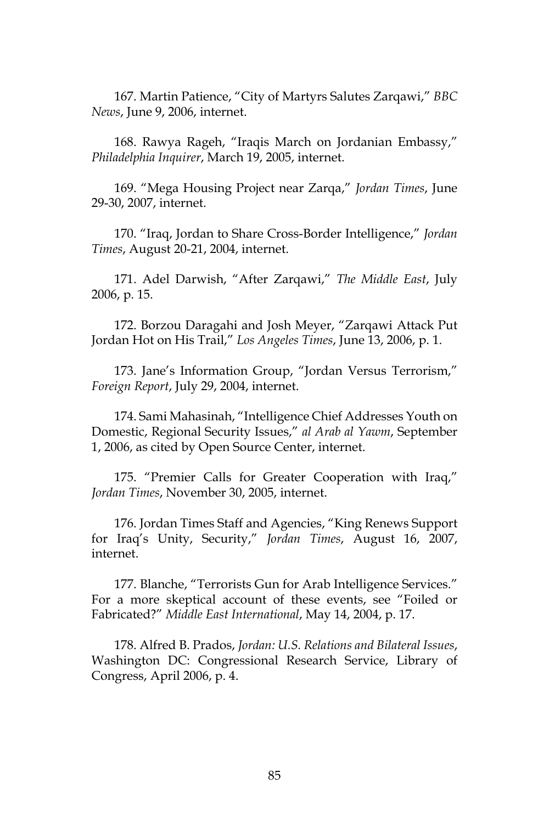167. Martin Patience, "City of Martyrs Salutes Zarqawi," *BBC News*, June 9, 2006, internet.

168. Rawya Rageh, "Iraqis March on Jordanian Embassy," *Philadelphia Inquirer*, March 19, 2005, internet.

169. "Mega Housing Project near Zarqa," *Jordan Times*, June 29-30, 2007, internet.

170. "Iraq, Jordan to Share Cross-Border Intelligence," *Jordan Times*, August 20-21, 2004, internet.

171. Adel Darwish, "After Zarqawi," *The Middle East*, July 2006, p. 15.

172. Borzou Daragahi and Josh Meyer, "Zarqawi Attack Put Jordan Hot on His Trail," *Los Angeles Times*, June 13, 2006, p. 1.

173. Jane's Information Group, "Jordan Versus Terrorism," *Foreign Report*, July 29, 2004, internet.

174. Sami Mahasinah, "Intelligence Chief Addresses Youth on Domestic, Regional Security Issues," *al Arab al Yawm*, September 1, 2006, as cited by Open Source Center, internet.

175. "Premier Calls for Greater Cooperation with Iraq," *Jordan Times*, November 30, 2005, internet.

176. Jordan Times Staff and Agencies, "King Renews Support for Iraq's Unity, Security," *Jordan Times*, August 16, 2007, internet.

177. Blanche, "Terrorists Gun for Arab Intelligence Services." For a more skeptical account of these events, see "Foiled or Fabricated?" *Middle East International*, May 14, 2004, p. 17.

178. Alfred B. Prados, *Jordan: U.S. Relations and Bilateral Issues*, Washington DC: Congressional Research Service, Library of Congress, April 2006, p. 4.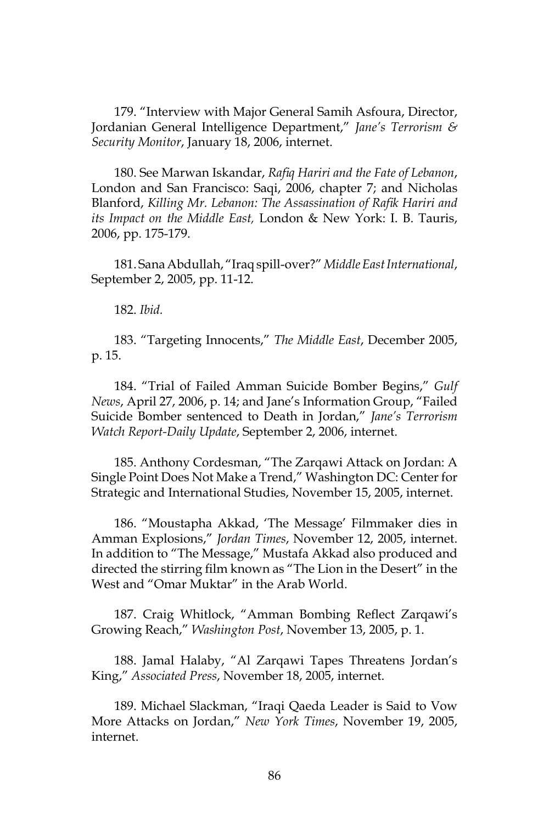179. "Interview with Major General Samih Asfoura, Director, Jordanian General Intelligence Department," *Jane's Terrorism & Security Monitor*, January 18, 2006, internet.

180. See Marwan Iskandar, *Rafiq Hariri and the Fate of Lebanon*, London and San Francisco: Saqi, 2006, chapter 7; and Nicholas Blanford, *Killing Mr. Lebanon: The Assassination of Rafik Hariri and its Impact on the Middle East,* London & New York: I. B. Tauris, 2006, pp. 175-179.

181. Sana Abdullah, "Iraq spill-over?" *Middle East International*, September 2, 2005, pp. 11-12.

182. *Ibid.*

183. "Targeting Innocents," *The Middle East*, December 2005, p. 15.

184. "Trial of Failed Amman Suicide Bomber Begins," *Gulf News*, April 27, 2006, p. 14; and Jane's Information Group, "Failed Suicide Bomber sentenced to Death in Jordan," *Jane's Terrorism Watch Report-Daily Update*, September 2, 2006, internet.

185. Anthony Cordesman, "The Zarqawi Attack on Jordan: A Single Point Does Not Make a Trend," Washington DC: Center for Strategic and International Studies, November 15, 2005, internet.

186. "Moustapha Akkad, 'The Message' Filmmaker dies in Amman Explosions," *Jordan Times*, November 12, 2005, internet. In addition to "The Message," Mustafa Akkad also produced and directed the stirring film known as "The Lion in the Desert" in the West and "Omar Muktar" in the Arab World.

187. Craig Whitlock, "Amman Bombing Reflect Zarqawi's Growing Reach," *Washington Post*, November 13, 2005, p. 1.

188. Jamal Halaby, "Al Zarqawi Tapes Threatens Jordan's King," *Associated Press*, November 18, 2005, internet.

189. Michael Slackman, "Iraqi Qaeda Leader is Said to Vow More Attacks on Jordan," *New York Times*, November 19, 2005, internet.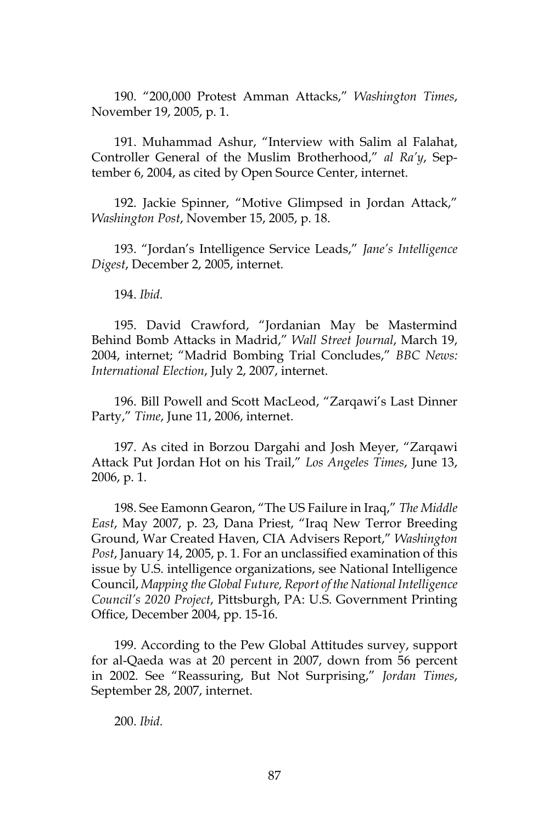190. "200,000 Protest Amman Attacks," *Washington Times*, November 19, 2005, p. 1.

191. Muhammad Ashur, "Interview with Salim al Falahat, Controller General of the Muslim Brotherhood," *al Ra'y*, September 6, 2004, as cited by Open Source Center, internet.

192. Jackie Spinner, "Motive Glimpsed in Jordan Attack," *Washington Post*, November 15, 2005, p. 18.

193. "Jordan's Intelligence Service Leads," *Jane's Intelligence Digest*, December 2, 2005, internet.

194. *Ibid.*

195. David Crawford, "Jordanian May be Mastermind Behind Bomb Attacks in Madrid," *Wall Street Journal*, March 19, 2004, internet; "Madrid Bombing Trial Concludes," *BBC News: International Election*, July 2, 2007, internet.

196. Bill Powell and Scott MacLeod, "Zarqawi's Last Dinner Party," *Time*, June 11, 2006, internet.

197. As cited in Borzou Dargahi and Josh Meyer, "Zarqawi Attack Put Jordan Hot on his Trail," *Los Angeles Times*, June 13, 2006, p. 1.

198. See Eamonn Gearon, "The US Failure in Iraq," *The Middle East*, May 2007, p. 23, Dana Priest, "Iraq New Terror Breeding Ground, War Created Haven, CIA Advisers Report," *Washington Post*, January 14, 2005, p. 1. For an unclassified examination of this issue by U.S. intelligence organizations, see National Intelligence Council, *Mapping the Global Future, Report of the National Intelligence Council's 2020 Project*, Pittsburgh, PA: U.S. Government Printing Office, December 2004, pp. 15-16.

199. According to the Pew Global Attitudes survey, support for al-Qaeda was at 20 percent in 2007, down from 56 percent in 2002. See "Reassuring, But Not Surprising," *Jordan Times*, September 28, 2007, internet.

200. *Ibid.*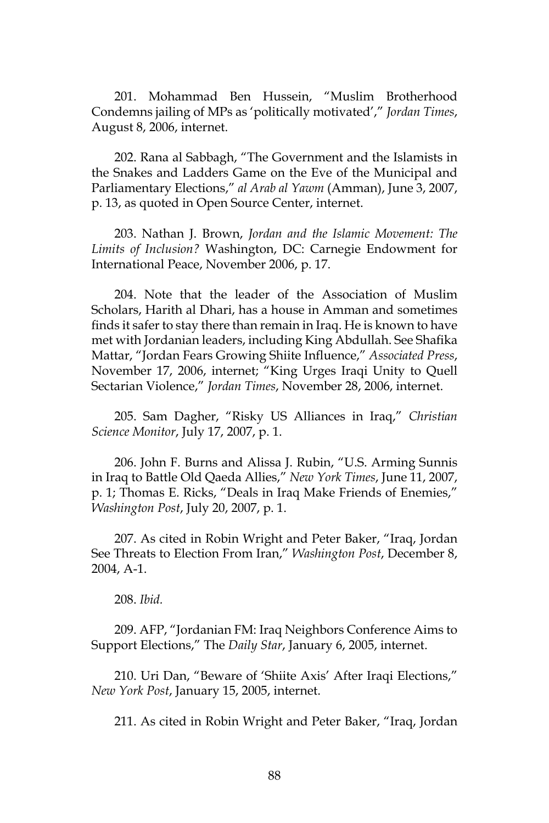201. Mohammad Ben Hussein, "Muslim Brotherhood Condemns jailing of MPs as 'politically motivated'," *Jordan Times*, August 8, 2006, internet.

202. Rana al Sabbagh, "The Government and the Islamists in the Snakes and Ladders Game on the Eve of the Municipal and Parliamentary Elections," *al Arab al Yawm* (Amman), June 3, 2007, p. 13, as quoted in Open Source Center, internet.

203. Nathan J. Brown, *Jordan and the Islamic Movement: The Limits of Inclusion?* Washington, DC: Carnegie Endowment for International Peace, November 2006, p. 17.

204. Note that the leader of the Association of Muslim Scholars, Harith al Dhari, has a house in Amman and sometimes finds it safer to stay there than remain in Iraq. He is known to have met with Jordanian leaders, including King Abdullah. See Shafika Mattar, "Jordan Fears Growing Shiite Influence," *Associated Press*, November 17, 2006, internet; "King Urges Iraqi Unity to Quell Sectarian Violence," *Jordan Times*, November 28, 2006, internet.

205. Sam Dagher, "Risky US Alliances in Iraq," *Christian Science Monitor*, July 17, 2007, p. 1.

206. John F. Burns and Alissa J. Rubin, "U.S. Arming Sunnis in Iraq to Battle Old Qaeda Allies," *New York Times*, June 11, 2007, p. 1; Thomas E. Ricks, "Deals in Iraq Make Friends of Enemies," *Washington Post*, July 20, 2007, p. 1.

207. As cited in Robin Wright and Peter Baker, "Iraq, Jordan See Threats to Election From Iran," *Washington Post*, December 8, 2004, A-1.

208. *Ibid.*

209. AFP, "Jordanian FM: Iraq Neighbors Conference Aims to Support Elections," The *Daily Star*, January 6, 2005, internet.

210. Uri Dan, "Beware of 'Shiite Axis' After Iraqi Elections," *New York Post*, January 15, 2005, internet.

211. As cited in Robin Wright and Peter Baker, "Iraq, Jordan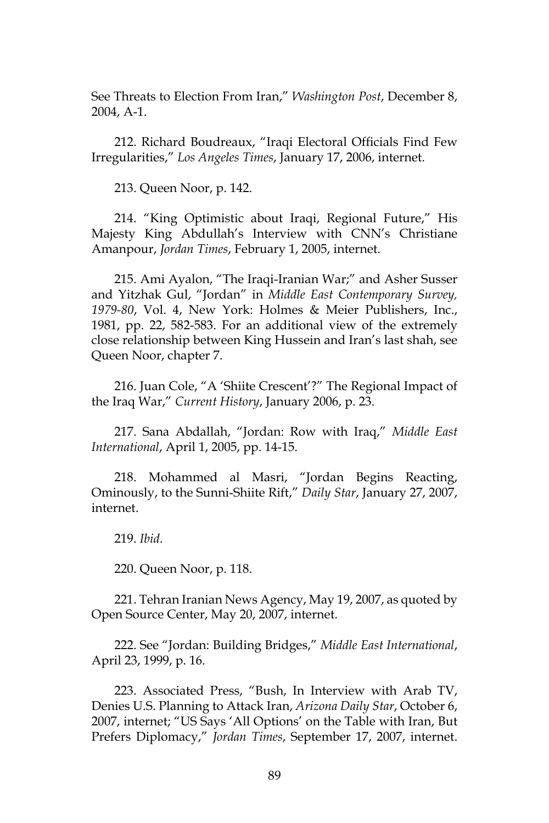See Threats to Election From Iran," *Washington Post*, December 8, 2004, A-1.

212. Richard Boudreaux, "Iraqi Electoral Officials Find Few Irregularities," *Los Angeles Times*, January 17, 2006, internet.

213. Queen Noor, p. 142.

214. "King Optimistic about Iraqi, Regional Future," His Majesty King Abdullah's Interview with CNN's Christiane Amanpour, *Jordan Times*, February 1, 2005, internet.

215. Ami Ayalon, "The Iraqi-Iranian War;" and Asher Susser and Yitzhak Gul, "Jordan" in *Middle East Contemporary Survey, 1979-80*, Vol. 4, New York: Holmes & Meier Publishers, Inc., 1981, pp. 22, 582-583. For an additional view of the extremely close relationship between King Hussein and Iran's last shah, see Queen Noor, chapter 7.

216. Juan Cole, "A 'Shiite Crescent'?" The Regional Impact of the Iraq War," *Current History*, January 2006, p. 23.

217. Sana Abdallah, "Jordan: Row with Iraq," *Middle East International*, April 1, 2005, pp. 14-15.

218. Mohammed al Masri, "Jordan Begins Reacting, Ominously, to the Sunni-Shiite Rift," *Daily Star*, January 27, 2007, internet.

219. *Ibid.*

220. Queen Noor, p. 118.

221. Tehran Iranian News Agency, May 19, 2007, as quoted by Open Source Center, May 20, 2007, internet.

222. See "Jordan: Building Bridges," *Middle East International*, April 23, 1999, p. 16.

223. Associated Press, "Bush, In Interview with Arab TV, Denies U.S. Planning to Attack Iran, *Arizona Daily Star*, October 6, 2007, internet; "US Says 'All Options' on the Table with Iran, But Prefers Diplomacy," *Jordan Times*, September 17, 2007, internet.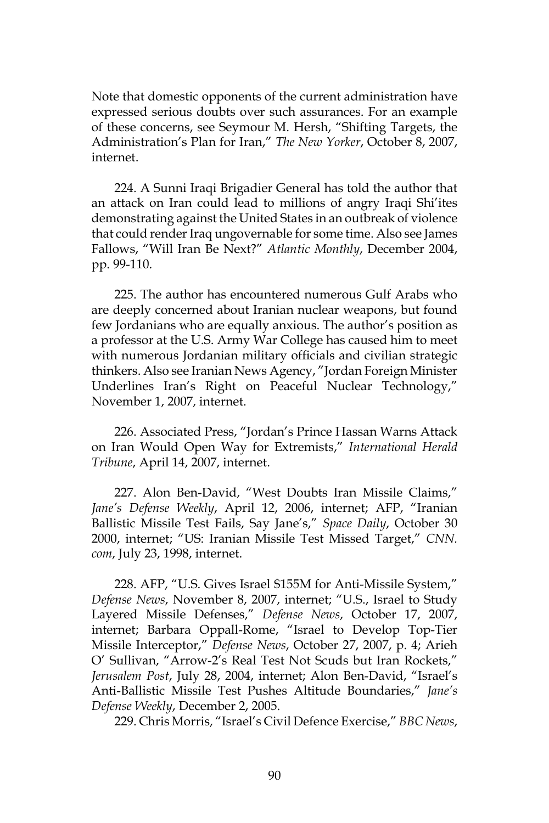Note that domestic opponents of the current administration have expressed serious doubts over such assurances. For an example of these concerns, see Seymour M. Hersh, "Shifting Targets, the Administration's Plan for Iran," *The New Yorker*, October 8, 2007, internet.

224. A Sunni Iraqi Brigadier General has told the author that an attack on Iran could lead to millions of angry Iraqi Shi'ites demonstrating against the United States in an outbreak of violence that could render Iraq ungovernable for some time. Also see James Fallows, "Will Iran Be Next?" *Atlantic Monthly*, December 2004, pp. 99-110.

225. The author has encountered numerous Gulf Arabs who are deeply concerned about Iranian nuclear weapons, but found few Jordanians who are equally anxious. The author's position as a professor at the U.S. Army War College has caused him to meet with numerous Jordanian military officials and civilian strategic thinkers. Also see Iranian News Agency, "Jordan Foreign Minister Underlines Iran's Right on Peaceful Nuclear Technology," November 1, 2007, internet.

226. Associated Press, "Jordan's Prince Hassan Warns Attack on Iran Would Open Way for Extremists," *International Herald Tribune*, April 14, 2007, internet.

227. Alon Ben-David, "West Doubts Iran Missile Claims," *Jane's Defense Weekly*, April 12, 2006, internet; AFP, "Iranian Ballistic Missile Test Fails, Say Jane's," *Space Daily*, October 30 2000, internet; "US: Iranian Missile Test Missed Target," *CNN. com*, July 23, 1998, internet.

228. AFP, "U.S. Gives Israel \$155M for Anti-Missile System," *Defense News*, November 8, 2007, internet; "U.S., Israel to Study Layered Missile Defenses," *Defense News*, October 17, 2007, internet; Barbara Oppall-Rome, "Israel to Develop Top-Tier Missile Interceptor," *Defense News*, October 27, 2007, p. 4; Arieh O' Sullivan, "Arrow-2's Real Test Not Scuds but Iran Rockets," *Jerusalem Post*, July 28, 2004, internet; Alon Ben-David, "Israel's Anti-Ballistic Missile Test Pushes Altitude Boundaries," *Jane's Defense Weekly*, December 2, 2005.

229. Chris Morris, "Israel's Civil Defence Exercise," *BBC News*,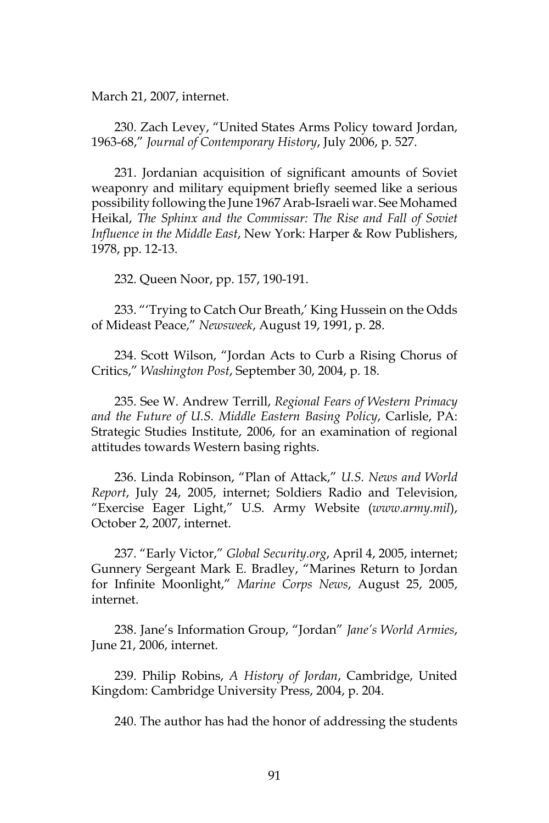March 21, 2007, internet.

230. Zach Levey, "United States Arms Policy toward Jordan, 1963-68," *Journal of Contemporary History*, July 2006, p. 527.

231. Jordanian acquisition of significant amounts of Soviet weaponry and military equipment briefly seemed like a serious possibility following the June 1967 Arab-Israeli war. See Mohamed Heikal, *The Sphinx and the Commissar: The Rise and Fall of Soviet Influence in the Middle East*, New York: Harper & Row Publishers, 1978, pp. 12-13.

232. Queen Noor, pp. 157, 190-191.

233. "'Trying to Catch Our Breath,' King Hussein on the Odds of Mideast Peace," *Newsweek*, August 19, 1991, p. 28.

234. Scott Wilson, "Jordan Acts to Curb a Rising Chorus of Critics," *Washington Post*, September 30, 2004, p. 18.

235. See W. Andrew Terrill, *Regional Fears of Western Primacy and the Future of U.S. Middle Eastern Basing Policy*, Carlisle, PA: Strategic Studies Institute, 2006, for an examination of regional attitudes towards Western basing rights.

236. Linda Robinson, "Plan of Attack," *U.S. News and World Report*, July 24, 2005, internet; Soldiers Radio and Television, "Exercise Eager Light," U.S. Army Website (*www.army.mil*), October 2, 2007, internet.

237. "Early Victor," *Global Security.org*, April 4, 2005, internet; Gunnery Sergeant Mark E. Bradley, "Marines Return to Jordan for Infinite Moonlight," *Marine Corps News*, August 25, 2005, internet.

238. Jane's Information Group, "Jordan" *Jane's World Armies*, June 21, 2006, internet.

239. Philip Robins, *A History of Jordan*, Cambridge, United Kingdom: Cambridge University Press, 2004, p. 204.

240. The author has had the honor of addressing the students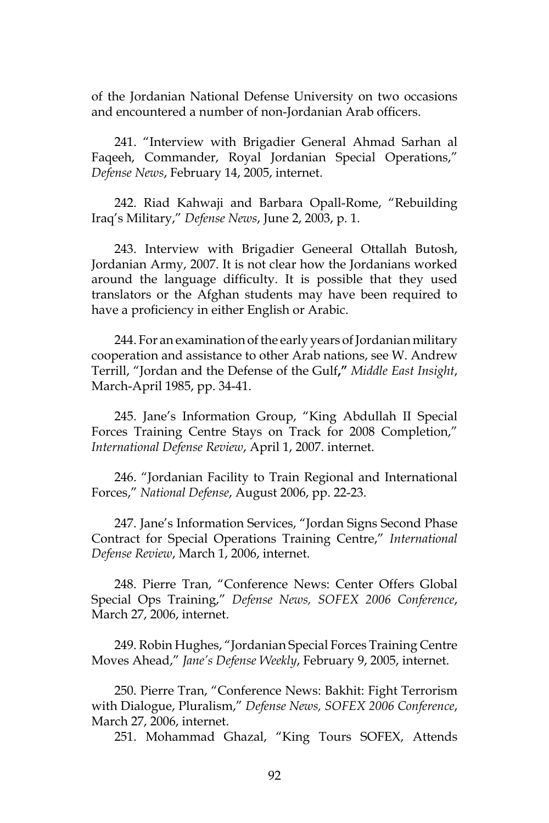of the Jordanian National Defense University on two occasions and encountered a number of non-Jordanian Arab officers.

241. "Interview with Brigadier General Ahmad Sarhan al Faqeeh, Commander, Royal Jordanian Special Operations," *Defense News*, February 14, 2005, internet.

242. Riad Kahwaji and Barbara Opall-Rome, "Rebuilding Iraq's Military," *Defense News*, June 2, 2003, p. 1.

243. Interview with Brigadier Geneeral Ottallah Butosh, Jordanian Army, 2007. It is not clear how the Jordanians worked around the language difficulty. It is possible that they used translators or the Afghan students may have been required to have a proficiency in either English or Arabic.

244. For an examination of the early years of Jordanian military cooperation and assistance to other Arab nations, see W. Andrew Terrill, "Jordan and the Defense of the Gulf**,"** *Middle East Insight*, March-April 1985, pp. 34-41.

245. Jane's Information Group, "King Abdullah II Special Forces Training Centre Stays on Track for 2008 Completion," *International Defense Review*, April 1, 2007. internet.

246. "Jordanian Facility to Train Regional and International Forces," *National Defense*, August 2006, pp. 22-23.

247. Jane's Information Services, "Jordan Signs Second Phase Contract for Special Operations Training Centre," *International Defense Review*, March 1, 2006, internet.

248. Pierre Tran, "Conference News: Center Offers Global Special Ops Training," *Defense News, SOFEX 2006 Conference*, March 27, 2006, internet.

249. Robin Hughes, "Jordanian Special Forces Training Centre Moves Ahead," *Jane's Defense Weekly*, February 9, 2005, internet.

250. Pierre Tran, "Conference News: Bakhit: Fight Terrorism with Dialogue, Pluralism," *Defense News, SOFEX 2006 Conference*, March 27, 2006, internet.

251. Mohammad Ghazal, "King Tours SOFEX, Attends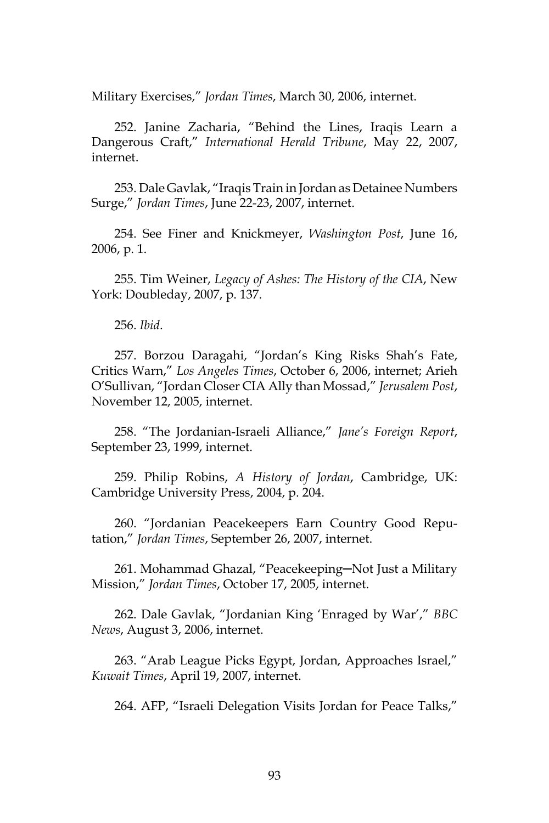Military Exercises," *Jordan Times*, March 30, 2006, internet.

252. Janine Zacharia, "Behind the Lines, Iraqis Learn a Dangerous Craft," *International Herald Tribune*, May 22, 2007, internet.

253. Dale Gavlak, "Iraqis Train in Jordan as Detainee Numbers Surge," *Jordan Times*, June 22-23, 2007, internet.

254. See Finer and Knickmeyer, *Washington Post*, June 16, 2006, p. 1.

255. Tim Weiner, *Legacy of Ashes: The History of the CIA*, New York: Doubleday, 2007, p. 137.

256. *Ibid*.

257. Borzou Daragahi, "Jordan's King Risks Shah's Fate, Critics Warn," *Los Angeles Times*, October 6, 2006, internet; Arieh O'Sullivan, "Jordan Closer CIA Ally than Mossad," *Jerusalem Post*, November 12, 2005, internet.

258. "The Jordanian-Israeli Alliance," *Jane's Foreign Report*, September 23, 1999, internet.

259. Philip Robins, *A History of Jordan*, Cambridge, UK: Cambridge University Press, 2004, p. 204.

260. "Jordanian Peacekeepers Earn Country Good Reputation," *Jordan Times*, September 26, 2007, internet.

261. Mohammad Ghazal, "Peacekeeping─Not Just a Military Mission," *Jordan Times*, October 17, 2005, internet.

262. Dale Gavlak, "Jordanian King 'Enraged by War'," *BBC News*, August 3, 2006, internet.

263. "Arab League Picks Egypt, Jordan, Approaches Israel," *Kuwait Times*, April 19, 2007, internet.

264. AFP, "Israeli Delegation Visits Jordan for Peace Talks,"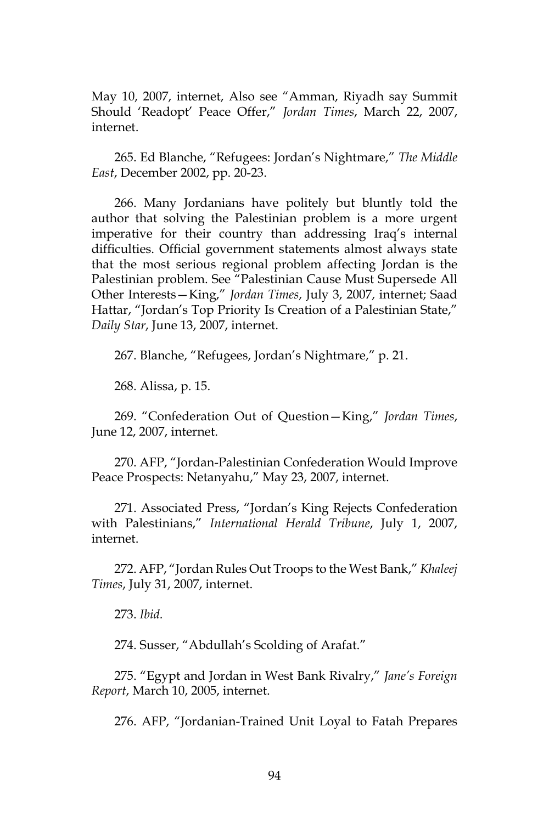May 10, 2007, internet, Also see "Amman, Riyadh say Summit Should 'Readopt' Peace Offer," *Jordan Times*, March 22, 2007, internet.

265. Ed Blanche, "Refugees: Jordan's Nightmare," *The Middle East*, December 2002, pp. 20-23.

266. Many Jordanians have politely but bluntly told the author that solving the Palestinian problem is a more urgent imperative for their country than addressing Iraq's internal difficulties. Official government statements almost always state that the most serious regional problem affecting Jordan is the Palestinian problem. See "Palestinian Cause Must Supersede All Other Interests—King," *Jordan Times*, July 3, 2007, internet; Saad Hattar, "Jordan's Top Priority Is Creation of a Palestinian State," *Daily Star*, June 13, 2007, internet.

267. Blanche, "Refugees, Jordan's Nightmare," p. 21.

268. Alissa, p. 15.

269. "Confederation Out of Question—King," *Jordan Times*, June 12, 2007, internet.

270. AFP, "Jordan-Palestinian Confederation Would Improve Peace Prospects: Netanyahu," May 23, 2007, internet.

271. Associated Press, "Jordan's King Rejects Confederation with Palestinians," *International Herald Tribune*, July 1, 2007, internet.

272. AFP, "Jordan Rules Out Troops to the West Bank," *Khaleej Times*, July 31, 2007, internet.

273. *Ibid.*

274. Susser, "Abdullah's Scolding of Arafat."

275. "Egypt and Jordan in West Bank Rivalry," *Jane's Foreign Report*, March 10, 2005, internet.

276. AFP, "Jordanian-Trained Unit Loyal to Fatah Prepares